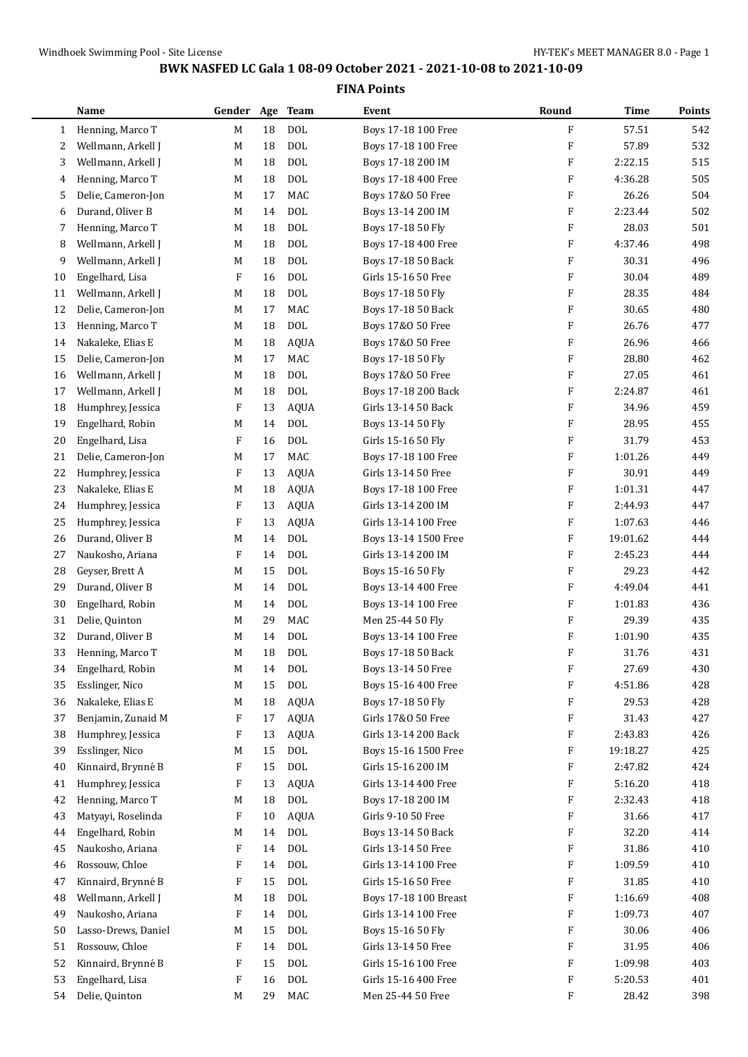| <b>DOL</b><br>F<br>542<br>Henning, Marco T<br>18<br>Boys 17-18 100 Free<br>57.51<br>$\mathbf{1}$<br>М<br>$\rm DOL$<br>F<br>57.89<br>532<br>M<br>18<br>Boys 17-18 100 Free<br>2<br>Wellmann, Arkell J<br><b>DOL</b><br>F<br>515<br>Wellmann, Arkell J<br>M<br>18<br>Boys 17-18 200 IM<br>2:22.15<br>3<br><b>DOL</b><br>505<br>Henning, Marco T<br>Boys 17-18 400 Free<br>F<br>4:36.28<br>М<br>18<br>4<br>MAC<br>F<br>26.26<br>504<br>Delie, Cameron-Jon<br>M<br>17<br>5<br>Boys 17&0 50 Free<br>Durand, Oliver B<br><b>DOL</b><br>F<br>502<br>14<br>Boys 13-14 200 IM<br>2:23.44<br>М<br>6<br>Henning, Marco T<br><b>DOL</b><br>28.03<br>501<br>18<br>Boys 17-18 50 Fly<br>F<br>7<br>М<br>$\rm DOL$<br>498<br>Wellmann, Arkell J<br>M<br>18<br>F<br>4:37.46<br>8<br>Boys 17-18 400 Free<br>Wellmann, Arkell J<br><b>DOL</b><br>30.31<br>496<br>18<br>F<br>9<br>М<br>Boys 17-18 50 Back<br>F<br>F<br>489<br>Engelhard, Lisa<br><b>DOL</b><br>Girls 15-16 50 Free<br>30.04<br>10<br>16<br>F<br>484<br>Wellmann, Arkell J<br>DOL<br>Boys 17-18 50 Fly<br>28.35<br>11<br>M<br>18<br>MAC<br>F<br>480<br>12<br>Delie, Cameron-Jon<br>Boys 17-18 50 Back<br>30.65<br>M<br>17<br><b>DOL</b><br>26.76<br>477<br>Henning, Marco T<br>18<br>Boys 17&0 50 Free<br>F<br>13<br>М<br>Nakaleke, Elias E<br>M<br><b>AQUA</b><br>F<br>26.96<br>466<br>14<br>18<br>Boys 17&0 50 Free<br>MAC<br>462<br>15<br>Delie, Cameron-Jon<br>M<br>Boys 17-18 50 Fly<br>F<br>28.80<br>17<br>Wellmann, Arkell J<br><b>DOL</b><br>F<br>461<br>18<br>Boys 17&0 50 Free<br>27.05<br>16<br>М<br><b>DOL</b><br>Wellmann, Arkell J<br>18<br>F<br>2:24.87<br>461<br>17<br>M<br>Boys 17-18 200 Back<br>F<br>459<br>18<br>Humphrey, Jessica<br>F<br>13<br><b>AQUA</b><br>Girls 13-14 50 Back<br>34.96<br>Engelhard, Robin<br><b>DOL</b><br>455<br>Boys 13-14 50 Fly<br>F<br>28.95<br>19<br>М<br>14<br>$\rm DOL$<br>F<br>31.79<br>453<br>20<br>Engelhard, Lisa<br>F<br>16<br>Girls 15-16 50 Fly<br>F<br>449<br>Delie, Cameron-Jon<br>MAC<br>Boys 17-18 100 Free<br>1:01.26<br>21<br>M<br>17<br>F<br>F<br>30.91<br>449<br>22<br>Humphrey, Jessica<br>13<br><b>AQUA</b><br>Girls 13-14 50 Free<br>F<br>447<br>23<br>Nakaleke, Elias E<br>18<br><b>AQUA</b><br>Boys 17-18 100 Free<br>1:01.31<br>M<br>F<br>447<br>Humphrey, Jessica<br>F<br>13<br><b>AQUA</b><br>Girls 13-14 200 IM<br>2:44.93<br>24<br>1:07.63<br>446<br>Humphrey, Jessica<br>F<br>13<br><b>AQUA</b><br>Girls 13-14 100 Free<br>F<br>25<br><b>DOL</b><br>19:01.62<br>Durand, Oliver B<br>M<br>Boys 13-14 1500 Free<br>F<br>444<br>26<br>14<br><b>DOL</b><br>444<br>Naukosho, Ariana<br>F<br>14<br>Girls 13-14 200 IM<br>F<br>2:45.23<br>27<br><b>DOL</b><br>F<br>442<br>Geyser, Brett A<br>15<br>Boys 15-16 50 Fly<br>29.23<br>28<br>М<br><b>DOL</b><br>29<br>Durand, Oliver B<br>M<br>14<br>Boys 13-14 400 Free<br>F<br>4:49.04<br>441<br><b>DOL</b><br>436<br>30<br>Engelhard, Robin<br>14<br>Boys 13-14 100 Free<br>F<br>1:01.83<br>М<br>MAC<br>29.39<br>435<br>Delie, Quinton<br>29<br>F<br>31<br>М<br>Men 25-44 50 Fly<br>32<br>Durand, Oliver B<br><b>DOL</b><br>Boys 13-14 100 Free<br>F<br>1:01.90<br>435<br>M<br>14<br><b>DOL</b><br>F<br>18<br>Boys 17-18 50 Back<br>31.76<br>431<br>33<br>Henning, Marco T<br>M<br>Boys 13-14 50 Free<br>F<br>Engelhard, Robin<br>14<br>DOL<br>27.69<br>430<br>М<br>34<br>Boys 15-16 400 Free<br>F<br>428<br>Esslinger, Nico<br>15<br>DOL<br>4:51.86<br>35<br>M<br>428<br>Nakaleke, Elias E<br>18<br><b>AQUA</b><br>Boys 17-18 50 Fly<br>F<br>29.53<br>36<br>M<br>Girls 17&0 50 Free<br>427<br>Benjamin, Zunaid M<br>17<br><b>AQUA</b><br>F<br>31.43<br>37<br>F<br>Humphrey, Jessica<br>F<br><b>AQUA</b><br>Girls 13-14 200 Back<br>F<br>2:43.83<br>426<br>38<br>13<br>425<br>39<br>Esslinger, Nico<br>DOL<br>Boys 15-16 1500 Free<br>F<br>19:18.27<br>M<br>15<br><b>DOL</b><br>424<br>Kinnaird, Brynné B<br>F<br>Girls 15-16 200 IM<br>F<br>2:47.82<br>40<br>15<br>418<br>Humphrey, Jessica<br>F<br><b>AQUA</b><br>Girls 13-14 400 Free<br>F<br>5:16.20<br>41<br>13<br>418<br>Henning, Marco T<br>18<br>$\rm DOL$<br>Boys 17-18 200 IM<br>F<br>2:32.43<br>42<br>M<br>417<br>Matyayi, Roselinda<br>F<br><b>AQUA</b><br>Girls 9-10 50 Free<br>F<br>31.66<br>43<br>10<br>$\rm DOL$<br>Engelhard, Robin<br>Boys 13-14 50 Back<br>F<br>32.20<br>414<br>M<br>14<br>44<br>410<br>Naukosho, Ariana<br>F<br>DOL<br>Girls 13-14 50 Free<br>F<br>31.86<br>45<br>14<br>Rossouw, Chloe<br><b>DOL</b><br>F<br>Girls 13-14 100 Free<br>F<br>1:09.59<br>410<br>46<br>14<br>Kinnaird, Brynné B<br>F<br>15<br>DOL<br>Girls 15-16 50 Free<br>F<br>31.85<br>410<br>47<br>Wellmann, Arkell J<br><b>DOL</b><br>408<br>18<br>Boys 17-18 100 Breast<br>F<br>1:16.69<br>48<br>M<br>Naukosho, Ariana<br>$\rm DOL$<br>407<br>F<br>Girls 13-14 100 Free<br>1:09.73<br>49<br>14<br>F<br>Lasso-Drews, Daniel<br>DOL<br>Boys 15-16 50 Fly<br>F<br>30.06<br>406<br>50<br>M<br>15<br>Rossouw, Chloe<br>F<br>DOL<br>Girls 13-14 50 Free<br>F<br>31.95<br>406<br>51<br>14<br>52<br>Kinnaird, Brynné B<br>F<br><b>DOL</b><br>Girls 15-16 100 Free<br>F<br>1:09.98<br>403<br>15<br>Engelhard, Lisa<br>53<br>F<br>DOL<br>Girls 15-16 400 Free<br>F<br>5:20.53<br>401<br>16<br>Delie, Quinton<br>$\rm MAC$<br>F<br>29<br>Men 25-44 50 Free<br>28.42<br>398<br>54<br>M | Name | Gender Age Team |  | Event | Round | Time | <b>Points</b> |
|-----------------------------------------------------------------------------------------------------------------------------------------------------------------------------------------------------------------------------------------------------------------------------------------------------------------------------------------------------------------------------------------------------------------------------------------------------------------------------------------------------------------------------------------------------------------------------------------------------------------------------------------------------------------------------------------------------------------------------------------------------------------------------------------------------------------------------------------------------------------------------------------------------------------------------------------------------------------------------------------------------------------------------------------------------------------------------------------------------------------------------------------------------------------------------------------------------------------------------------------------------------------------------------------------------------------------------------------------------------------------------------------------------------------------------------------------------------------------------------------------------------------------------------------------------------------------------------------------------------------------------------------------------------------------------------------------------------------------------------------------------------------------------------------------------------------------------------------------------------------------------------------------------------------------------------------------------------------------------------------------------------------------------------------------------------------------------------------------------------------------------------------------------------------------------------------------------------------------------------------------------------------------------------------------------------------------------------------------------------------------------------------------------------------------------------------------------------------------------------------------------------------------------------------------------------------------------------------------------------------------------------------------------------------------------------------------------------------------------------------------------------------------------------------------------------------------------------------------------------------------------------------------------------------------------------------------------------------------------------------------------------------------------------------------------------------------------------------------------------------------------------------------------------------------------------------------------------------------------------------------------------------------------------------------------------------------------------------------------------------------------------------------------------------------------------------------------------------------------------------------------------------------------------------------------------------------------------------------------------------------------------------------------------------------------------------------------------------------------------------------------------------------------------------------------------------------------------------------------------------------------------------------------------------------------------------------------------------------------------------------------------------------------------------------------------------------------------------------------------------------------------------------------------------------------------------------------------------------------------------------------------------------------------------------------------------------------------------------------------------------------------------------------------------------------------------------------------------------------------------------------------------------------------------------------------------------------------------------------------------------------------------------------------------------------------------------------------------------------------------------------------------------------------------------------------------------------------------------------------------------------------------------------------------------------------------------------------------------------------------------------------------------------------------------------------------------------------------------------------------------------------------------------------------------------------------------------------------------------------------------------------------------------------------------|------|-----------------|--|-------|-------|------|---------------|
|                                                                                                                                                                                                                                                                                                                                                                                                                                                                                                                                                                                                                                                                                                                                                                                                                                                                                                                                                                                                                                                                                                                                                                                                                                                                                                                                                                                                                                                                                                                                                                                                                                                                                                                                                                                                                                                                                                                                                                                                                                                                                                                                                                                                                                                                                                                                                                                                                                                                                                                                                                                                                                                                                                                                                                                                                                                                                                                                                                                                                                                                                                                                                                                                                                                                                                                                                                                                                                                                                                                                                                                                                                                                                                                                                                                                                                                                                                                                                                                                                                                                                                                                                                                                                                                                                                                                                                                                                                                                                                                                                                                                                                                                                                                                                                                                                                                                                                                                                                                                                                                                                                                                                                                                                                                                                               |      |                 |  |       |       |      |               |
|                                                                                                                                                                                                                                                                                                                                                                                                                                                                                                                                                                                                                                                                                                                                                                                                                                                                                                                                                                                                                                                                                                                                                                                                                                                                                                                                                                                                                                                                                                                                                                                                                                                                                                                                                                                                                                                                                                                                                                                                                                                                                                                                                                                                                                                                                                                                                                                                                                                                                                                                                                                                                                                                                                                                                                                                                                                                                                                                                                                                                                                                                                                                                                                                                                                                                                                                                                                                                                                                                                                                                                                                                                                                                                                                                                                                                                                                                                                                                                                                                                                                                                                                                                                                                                                                                                                                                                                                                                                                                                                                                                                                                                                                                                                                                                                                                                                                                                                                                                                                                                                                                                                                                                                                                                                                                               |      |                 |  |       |       |      |               |
|                                                                                                                                                                                                                                                                                                                                                                                                                                                                                                                                                                                                                                                                                                                                                                                                                                                                                                                                                                                                                                                                                                                                                                                                                                                                                                                                                                                                                                                                                                                                                                                                                                                                                                                                                                                                                                                                                                                                                                                                                                                                                                                                                                                                                                                                                                                                                                                                                                                                                                                                                                                                                                                                                                                                                                                                                                                                                                                                                                                                                                                                                                                                                                                                                                                                                                                                                                                                                                                                                                                                                                                                                                                                                                                                                                                                                                                                                                                                                                                                                                                                                                                                                                                                                                                                                                                                                                                                                                                                                                                                                                                                                                                                                                                                                                                                                                                                                                                                                                                                                                                                                                                                                                                                                                                                                               |      |                 |  |       |       |      |               |
|                                                                                                                                                                                                                                                                                                                                                                                                                                                                                                                                                                                                                                                                                                                                                                                                                                                                                                                                                                                                                                                                                                                                                                                                                                                                                                                                                                                                                                                                                                                                                                                                                                                                                                                                                                                                                                                                                                                                                                                                                                                                                                                                                                                                                                                                                                                                                                                                                                                                                                                                                                                                                                                                                                                                                                                                                                                                                                                                                                                                                                                                                                                                                                                                                                                                                                                                                                                                                                                                                                                                                                                                                                                                                                                                                                                                                                                                                                                                                                                                                                                                                                                                                                                                                                                                                                                                                                                                                                                                                                                                                                                                                                                                                                                                                                                                                                                                                                                                                                                                                                                                                                                                                                                                                                                                                               |      |                 |  |       |       |      |               |
|                                                                                                                                                                                                                                                                                                                                                                                                                                                                                                                                                                                                                                                                                                                                                                                                                                                                                                                                                                                                                                                                                                                                                                                                                                                                                                                                                                                                                                                                                                                                                                                                                                                                                                                                                                                                                                                                                                                                                                                                                                                                                                                                                                                                                                                                                                                                                                                                                                                                                                                                                                                                                                                                                                                                                                                                                                                                                                                                                                                                                                                                                                                                                                                                                                                                                                                                                                                                                                                                                                                                                                                                                                                                                                                                                                                                                                                                                                                                                                                                                                                                                                                                                                                                                                                                                                                                                                                                                                                                                                                                                                                                                                                                                                                                                                                                                                                                                                                                                                                                                                                                                                                                                                                                                                                                                               |      |                 |  |       |       |      |               |
|                                                                                                                                                                                                                                                                                                                                                                                                                                                                                                                                                                                                                                                                                                                                                                                                                                                                                                                                                                                                                                                                                                                                                                                                                                                                                                                                                                                                                                                                                                                                                                                                                                                                                                                                                                                                                                                                                                                                                                                                                                                                                                                                                                                                                                                                                                                                                                                                                                                                                                                                                                                                                                                                                                                                                                                                                                                                                                                                                                                                                                                                                                                                                                                                                                                                                                                                                                                                                                                                                                                                                                                                                                                                                                                                                                                                                                                                                                                                                                                                                                                                                                                                                                                                                                                                                                                                                                                                                                                                                                                                                                                                                                                                                                                                                                                                                                                                                                                                                                                                                                                                                                                                                                                                                                                                                               |      |                 |  |       |       |      |               |
|                                                                                                                                                                                                                                                                                                                                                                                                                                                                                                                                                                                                                                                                                                                                                                                                                                                                                                                                                                                                                                                                                                                                                                                                                                                                                                                                                                                                                                                                                                                                                                                                                                                                                                                                                                                                                                                                                                                                                                                                                                                                                                                                                                                                                                                                                                                                                                                                                                                                                                                                                                                                                                                                                                                                                                                                                                                                                                                                                                                                                                                                                                                                                                                                                                                                                                                                                                                                                                                                                                                                                                                                                                                                                                                                                                                                                                                                                                                                                                                                                                                                                                                                                                                                                                                                                                                                                                                                                                                                                                                                                                                                                                                                                                                                                                                                                                                                                                                                                                                                                                                                                                                                                                                                                                                                                               |      |                 |  |       |       |      |               |
|                                                                                                                                                                                                                                                                                                                                                                                                                                                                                                                                                                                                                                                                                                                                                                                                                                                                                                                                                                                                                                                                                                                                                                                                                                                                                                                                                                                                                                                                                                                                                                                                                                                                                                                                                                                                                                                                                                                                                                                                                                                                                                                                                                                                                                                                                                                                                                                                                                                                                                                                                                                                                                                                                                                                                                                                                                                                                                                                                                                                                                                                                                                                                                                                                                                                                                                                                                                                                                                                                                                                                                                                                                                                                                                                                                                                                                                                                                                                                                                                                                                                                                                                                                                                                                                                                                                                                                                                                                                                                                                                                                                                                                                                                                                                                                                                                                                                                                                                                                                                                                                                                                                                                                                                                                                                                               |      |                 |  |       |       |      |               |
|                                                                                                                                                                                                                                                                                                                                                                                                                                                                                                                                                                                                                                                                                                                                                                                                                                                                                                                                                                                                                                                                                                                                                                                                                                                                                                                                                                                                                                                                                                                                                                                                                                                                                                                                                                                                                                                                                                                                                                                                                                                                                                                                                                                                                                                                                                                                                                                                                                                                                                                                                                                                                                                                                                                                                                                                                                                                                                                                                                                                                                                                                                                                                                                                                                                                                                                                                                                                                                                                                                                                                                                                                                                                                                                                                                                                                                                                                                                                                                                                                                                                                                                                                                                                                                                                                                                                                                                                                                                                                                                                                                                                                                                                                                                                                                                                                                                                                                                                                                                                                                                                                                                                                                                                                                                                                               |      |                 |  |       |       |      |               |
|                                                                                                                                                                                                                                                                                                                                                                                                                                                                                                                                                                                                                                                                                                                                                                                                                                                                                                                                                                                                                                                                                                                                                                                                                                                                                                                                                                                                                                                                                                                                                                                                                                                                                                                                                                                                                                                                                                                                                                                                                                                                                                                                                                                                                                                                                                                                                                                                                                                                                                                                                                                                                                                                                                                                                                                                                                                                                                                                                                                                                                                                                                                                                                                                                                                                                                                                                                                                                                                                                                                                                                                                                                                                                                                                                                                                                                                                                                                                                                                                                                                                                                                                                                                                                                                                                                                                                                                                                                                                                                                                                                                                                                                                                                                                                                                                                                                                                                                                                                                                                                                                                                                                                                                                                                                                                               |      |                 |  |       |       |      |               |
|                                                                                                                                                                                                                                                                                                                                                                                                                                                                                                                                                                                                                                                                                                                                                                                                                                                                                                                                                                                                                                                                                                                                                                                                                                                                                                                                                                                                                                                                                                                                                                                                                                                                                                                                                                                                                                                                                                                                                                                                                                                                                                                                                                                                                                                                                                                                                                                                                                                                                                                                                                                                                                                                                                                                                                                                                                                                                                                                                                                                                                                                                                                                                                                                                                                                                                                                                                                                                                                                                                                                                                                                                                                                                                                                                                                                                                                                                                                                                                                                                                                                                                                                                                                                                                                                                                                                                                                                                                                                                                                                                                                                                                                                                                                                                                                                                                                                                                                                                                                                                                                                                                                                                                                                                                                                                               |      |                 |  |       |       |      |               |
|                                                                                                                                                                                                                                                                                                                                                                                                                                                                                                                                                                                                                                                                                                                                                                                                                                                                                                                                                                                                                                                                                                                                                                                                                                                                                                                                                                                                                                                                                                                                                                                                                                                                                                                                                                                                                                                                                                                                                                                                                                                                                                                                                                                                                                                                                                                                                                                                                                                                                                                                                                                                                                                                                                                                                                                                                                                                                                                                                                                                                                                                                                                                                                                                                                                                                                                                                                                                                                                                                                                                                                                                                                                                                                                                                                                                                                                                                                                                                                                                                                                                                                                                                                                                                                                                                                                                                                                                                                                                                                                                                                                                                                                                                                                                                                                                                                                                                                                                                                                                                                                                                                                                                                                                                                                                                               |      |                 |  |       |       |      |               |
|                                                                                                                                                                                                                                                                                                                                                                                                                                                                                                                                                                                                                                                                                                                                                                                                                                                                                                                                                                                                                                                                                                                                                                                                                                                                                                                                                                                                                                                                                                                                                                                                                                                                                                                                                                                                                                                                                                                                                                                                                                                                                                                                                                                                                                                                                                                                                                                                                                                                                                                                                                                                                                                                                                                                                                                                                                                                                                                                                                                                                                                                                                                                                                                                                                                                                                                                                                                                                                                                                                                                                                                                                                                                                                                                                                                                                                                                                                                                                                                                                                                                                                                                                                                                                                                                                                                                                                                                                                                                                                                                                                                                                                                                                                                                                                                                                                                                                                                                                                                                                                                                                                                                                                                                                                                                                               |      |                 |  |       |       |      |               |
|                                                                                                                                                                                                                                                                                                                                                                                                                                                                                                                                                                                                                                                                                                                                                                                                                                                                                                                                                                                                                                                                                                                                                                                                                                                                                                                                                                                                                                                                                                                                                                                                                                                                                                                                                                                                                                                                                                                                                                                                                                                                                                                                                                                                                                                                                                                                                                                                                                                                                                                                                                                                                                                                                                                                                                                                                                                                                                                                                                                                                                                                                                                                                                                                                                                                                                                                                                                                                                                                                                                                                                                                                                                                                                                                                                                                                                                                                                                                                                                                                                                                                                                                                                                                                                                                                                                                                                                                                                                                                                                                                                                                                                                                                                                                                                                                                                                                                                                                                                                                                                                                                                                                                                                                                                                                                               |      |                 |  |       |       |      |               |
|                                                                                                                                                                                                                                                                                                                                                                                                                                                                                                                                                                                                                                                                                                                                                                                                                                                                                                                                                                                                                                                                                                                                                                                                                                                                                                                                                                                                                                                                                                                                                                                                                                                                                                                                                                                                                                                                                                                                                                                                                                                                                                                                                                                                                                                                                                                                                                                                                                                                                                                                                                                                                                                                                                                                                                                                                                                                                                                                                                                                                                                                                                                                                                                                                                                                                                                                                                                                                                                                                                                                                                                                                                                                                                                                                                                                                                                                                                                                                                                                                                                                                                                                                                                                                                                                                                                                                                                                                                                                                                                                                                                                                                                                                                                                                                                                                                                                                                                                                                                                                                                                                                                                                                                                                                                                                               |      |                 |  |       |       |      |               |
|                                                                                                                                                                                                                                                                                                                                                                                                                                                                                                                                                                                                                                                                                                                                                                                                                                                                                                                                                                                                                                                                                                                                                                                                                                                                                                                                                                                                                                                                                                                                                                                                                                                                                                                                                                                                                                                                                                                                                                                                                                                                                                                                                                                                                                                                                                                                                                                                                                                                                                                                                                                                                                                                                                                                                                                                                                                                                                                                                                                                                                                                                                                                                                                                                                                                                                                                                                                                                                                                                                                                                                                                                                                                                                                                                                                                                                                                                                                                                                                                                                                                                                                                                                                                                                                                                                                                                                                                                                                                                                                                                                                                                                                                                                                                                                                                                                                                                                                                                                                                                                                                                                                                                                                                                                                                                               |      |                 |  |       |       |      |               |
|                                                                                                                                                                                                                                                                                                                                                                                                                                                                                                                                                                                                                                                                                                                                                                                                                                                                                                                                                                                                                                                                                                                                                                                                                                                                                                                                                                                                                                                                                                                                                                                                                                                                                                                                                                                                                                                                                                                                                                                                                                                                                                                                                                                                                                                                                                                                                                                                                                                                                                                                                                                                                                                                                                                                                                                                                                                                                                                                                                                                                                                                                                                                                                                                                                                                                                                                                                                                                                                                                                                                                                                                                                                                                                                                                                                                                                                                                                                                                                                                                                                                                                                                                                                                                                                                                                                                                                                                                                                                                                                                                                                                                                                                                                                                                                                                                                                                                                                                                                                                                                                                                                                                                                                                                                                                                               |      |                 |  |       |       |      |               |
|                                                                                                                                                                                                                                                                                                                                                                                                                                                                                                                                                                                                                                                                                                                                                                                                                                                                                                                                                                                                                                                                                                                                                                                                                                                                                                                                                                                                                                                                                                                                                                                                                                                                                                                                                                                                                                                                                                                                                                                                                                                                                                                                                                                                                                                                                                                                                                                                                                                                                                                                                                                                                                                                                                                                                                                                                                                                                                                                                                                                                                                                                                                                                                                                                                                                                                                                                                                                                                                                                                                                                                                                                                                                                                                                                                                                                                                                                                                                                                                                                                                                                                                                                                                                                                                                                                                                                                                                                                                                                                                                                                                                                                                                                                                                                                                                                                                                                                                                                                                                                                                                                                                                                                                                                                                                                               |      |                 |  |       |       |      |               |
|                                                                                                                                                                                                                                                                                                                                                                                                                                                                                                                                                                                                                                                                                                                                                                                                                                                                                                                                                                                                                                                                                                                                                                                                                                                                                                                                                                                                                                                                                                                                                                                                                                                                                                                                                                                                                                                                                                                                                                                                                                                                                                                                                                                                                                                                                                                                                                                                                                                                                                                                                                                                                                                                                                                                                                                                                                                                                                                                                                                                                                                                                                                                                                                                                                                                                                                                                                                                                                                                                                                                                                                                                                                                                                                                                                                                                                                                                                                                                                                                                                                                                                                                                                                                                                                                                                                                                                                                                                                                                                                                                                                                                                                                                                                                                                                                                                                                                                                                                                                                                                                                                                                                                                                                                                                                                               |      |                 |  |       |       |      |               |
|                                                                                                                                                                                                                                                                                                                                                                                                                                                                                                                                                                                                                                                                                                                                                                                                                                                                                                                                                                                                                                                                                                                                                                                                                                                                                                                                                                                                                                                                                                                                                                                                                                                                                                                                                                                                                                                                                                                                                                                                                                                                                                                                                                                                                                                                                                                                                                                                                                                                                                                                                                                                                                                                                                                                                                                                                                                                                                                                                                                                                                                                                                                                                                                                                                                                                                                                                                                                                                                                                                                                                                                                                                                                                                                                                                                                                                                                                                                                                                                                                                                                                                                                                                                                                                                                                                                                                                                                                                                                                                                                                                                                                                                                                                                                                                                                                                                                                                                                                                                                                                                                                                                                                                                                                                                                                               |      |                 |  |       |       |      |               |
|                                                                                                                                                                                                                                                                                                                                                                                                                                                                                                                                                                                                                                                                                                                                                                                                                                                                                                                                                                                                                                                                                                                                                                                                                                                                                                                                                                                                                                                                                                                                                                                                                                                                                                                                                                                                                                                                                                                                                                                                                                                                                                                                                                                                                                                                                                                                                                                                                                                                                                                                                                                                                                                                                                                                                                                                                                                                                                                                                                                                                                                                                                                                                                                                                                                                                                                                                                                                                                                                                                                                                                                                                                                                                                                                                                                                                                                                                                                                                                                                                                                                                                                                                                                                                                                                                                                                                                                                                                                                                                                                                                                                                                                                                                                                                                                                                                                                                                                                                                                                                                                                                                                                                                                                                                                                                               |      |                 |  |       |       |      |               |
|                                                                                                                                                                                                                                                                                                                                                                                                                                                                                                                                                                                                                                                                                                                                                                                                                                                                                                                                                                                                                                                                                                                                                                                                                                                                                                                                                                                                                                                                                                                                                                                                                                                                                                                                                                                                                                                                                                                                                                                                                                                                                                                                                                                                                                                                                                                                                                                                                                                                                                                                                                                                                                                                                                                                                                                                                                                                                                                                                                                                                                                                                                                                                                                                                                                                                                                                                                                                                                                                                                                                                                                                                                                                                                                                                                                                                                                                                                                                                                                                                                                                                                                                                                                                                                                                                                                                                                                                                                                                                                                                                                                                                                                                                                                                                                                                                                                                                                                                                                                                                                                                                                                                                                                                                                                                                               |      |                 |  |       |       |      |               |
|                                                                                                                                                                                                                                                                                                                                                                                                                                                                                                                                                                                                                                                                                                                                                                                                                                                                                                                                                                                                                                                                                                                                                                                                                                                                                                                                                                                                                                                                                                                                                                                                                                                                                                                                                                                                                                                                                                                                                                                                                                                                                                                                                                                                                                                                                                                                                                                                                                                                                                                                                                                                                                                                                                                                                                                                                                                                                                                                                                                                                                                                                                                                                                                                                                                                                                                                                                                                                                                                                                                                                                                                                                                                                                                                                                                                                                                                                                                                                                                                                                                                                                                                                                                                                                                                                                                                                                                                                                                                                                                                                                                                                                                                                                                                                                                                                                                                                                                                                                                                                                                                                                                                                                                                                                                                                               |      |                 |  |       |       |      |               |
|                                                                                                                                                                                                                                                                                                                                                                                                                                                                                                                                                                                                                                                                                                                                                                                                                                                                                                                                                                                                                                                                                                                                                                                                                                                                                                                                                                                                                                                                                                                                                                                                                                                                                                                                                                                                                                                                                                                                                                                                                                                                                                                                                                                                                                                                                                                                                                                                                                                                                                                                                                                                                                                                                                                                                                                                                                                                                                                                                                                                                                                                                                                                                                                                                                                                                                                                                                                                                                                                                                                                                                                                                                                                                                                                                                                                                                                                                                                                                                                                                                                                                                                                                                                                                                                                                                                                                                                                                                                                                                                                                                                                                                                                                                                                                                                                                                                                                                                                                                                                                                                                                                                                                                                                                                                                                               |      |                 |  |       |       |      |               |
|                                                                                                                                                                                                                                                                                                                                                                                                                                                                                                                                                                                                                                                                                                                                                                                                                                                                                                                                                                                                                                                                                                                                                                                                                                                                                                                                                                                                                                                                                                                                                                                                                                                                                                                                                                                                                                                                                                                                                                                                                                                                                                                                                                                                                                                                                                                                                                                                                                                                                                                                                                                                                                                                                                                                                                                                                                                                                                                                                                                                                                                                                                                                                                                                                                                                                                                                                                                                                                                                                                                                                                                                                                                                                                                                                                                                                                                                                                                                                                                                                                                                                                                                                                                                                                                                                                                                                                                                                                                                                                                                                                                                                                                                                                                                                                                                                                                                                                                                                                                                                                                                                                                                                                                                                                                                                               |      |                 |  |       |       |      |               |
|                                                                                                                                                                                                                                                                                                                                                                                                                                                                                                                                                                                                                                                                                                                                                                                                                                                                                                                                                                                                                                                                                                                                                                                                                                                                                                                                                                                                                                                                                                                                                                                                                                                                                                                                                                                                                                                                                                                                                                                                                                                                                                                                                                                                                                                                                                                                                                                                                                                                                                                                                                                                                                                                                                                                                                                                                                                                                                                                                                                                                                                                                                                                                                                                                                                                                                                                                                                                                                                                                                                                                                                                                                                                                                                                                                                                                                                                                                                                                                                                                                                                                                                                                                                                                                                                                                                                                                                                                                                                                                                                                                                                                                                                                                                                                                                                                                                                                                                                                                                                                                                                                                                                                                                                                                                                                               |      |                 |  |       |       |      |               |
|                                                                                                                                                                                                                                                                                                                                                                                                                                                                                                                                                                                                                                                                                                                                                                                                                                                                                                                                                                                                                                                                                                                                                                                                                                                                                                                                                                                                                                                                                                                                                                                                                                                                                                                                                                                                                                                                                                                                                                                                                                                                                                                                                                                                                                                                                                                                                                                                                                                                                                                                                                                                                                                                                                                                                                                                                                                                                                                                                                                                                                                                                                                                                                                                                                                                                                                                                                                                                                                                                                                                                                                                                                                                                                                                                                                                                                                                                                                                                                                                                                                                                                                                                                                                                                                                                                                                                                                                                                                                                                                                                                                                                                                                                                                                                                                                                                                                                                                                                                                                                                                                                                                                                                                                                                                                                               |      |                 |  |       |       |      |               |
|                                                                                                                                                                                                                                                                                                                                                                                                                                                                                                                                                                                                                                                                                                                                                                                                                                                                                                                                                                                                                                                                                                                                                                                                                                                                                                                                                                                                                                                                                                                                                                                                                                                                                                                                                                                                                                                                                                                                                                                                                                                                                                                                                                                                                                                                                                                                                                                                                                                                                                                                                                                                                                                                                                                                                                                                                                                                                                                                                                                                                                                                                                                                                                                                                                                                                                                                                                                                                                                                                                                                                                                                                                                                                                                                                                                                                                                                                                                                                                                                                                                                                                                                                                                                                                                                                                                                                                                                                                                                                                                                                                                                                                                                                                                                                                                                                                                                                                                                                                                                                                                                                                                                                                                                                                                                                               |      |                 |  |       |       |      |               |
|                                                                                                                                                                                                                                                                                                                                                                                                                                                                                                                                                                                                                                                                                                                                                                                                                                                                                                                                                                                                                                                                                                                                                                                                                                                                                                                                                                                                                                                                                                                                                                                                                                                                                                                                                                                                                                                                                                                                                                                                                                                                                                                                                                                                                                                                                                                                                                                                                                                                                                                                                                                                                                                                                                                                                                                                                                                                                                                                                                                                                                                                                                                                                                                                                                                                                                                                                                                                                                                                                                                                                                                                                                                                                                                                                                                                                                                                                                                                                                                                                                                                                                                                                                                                                                                                                                                                                                                                                                                                                                                                                                                                                                                                                                                                                                                                                                                                                                                                                                                                                                                                                                                                                                                                                                                                                               |      |                 |  |       |       |      |               |
|                                                                                                                                                                                                                                                                                                                                                                                                                                                                                                                                                                                                                                                                                                                                                                                                                                                                                                                                                                                                                                                                                                                                                                                                                                                                                                                                                                                                                                                                                                                                                                                                                                                                                                                                                                                                                                                                                                                                                                                                                                                                                                                                                                                                                                                                                                                                                                                                                                                                                                                                                                                                                                                                                                                                                                                                                                                                                                                                                                                                                                                                                                                                                                                                                                                                                                                                                                                                                                                                                                                                                                                                                                                                                                                                                                                                                                                                                                                                                                                                                                                                                                                                                                                                                                                                                                                                                                                                                                                                                                                                                                                                                                                                                                                                                                                                                                                                                                                                                                                                                                                                                                                                                                                                                                                                                               |      |                 |  |       |       |      |               |
|                                                                                                                                                                                                                                                                                                                                                                                                                                                                                                                                                                                                                                                                                                                                                                                                                                                                                                                                                                                                                                                                                                                                                                                                                                                                                                                                                                                                                                                                                                                                                                                                                                                                                                                                                                                                                                                                                                                                                                                                                                                                                                                                                                                                                                                                                                                                                                                                                                                                                                                                                                                                                                                                                                                                                                                                                                                                                                                                                                                                                                                                                                                                                                                                                                                                                                                                                                                                                                                                                                                                                                                                                                                                                                                                                                                                                                                                                                                                                                                                                                                                                                                                                                                                                                                                                                                                                                                                                                                                                                                                                                                                                                                                                                                                                                                                                                                                                                                                                                                                                                                                                                                                                                                                                                                                                               |      |                 |  |       |       |      |               |
|                                                                                                                                                                                                                                                                                                                                                                                                                                                                                                                                                                                                                                                                                                                                                                                                                                                                                                                                                                                                                                                                                                                                                                                                                                                                                                                                                                                                                                                                                                                                                                                                                                                                                                                                                                                                                                                                                                                                                                                                                                                                                                                                                                                                                                                                                                                                                                                                                                                                                                                                                                                                                                                                                                                                                                                                                                                                                                                                                                                                                                                                                                                                                                                                                                                                                                                                                                                                                                                                                                                                                                                                                                                                                                                                                                                                                                                                                                                                                                                                                                                                                                                                                                                                                                                                                                                                                                                                                                                                                                                                                                                                                                                                                                                                                                                                                                                                                                                                                                                                                                                                                                                                                                                                                                                                                               |      |                 |  |       |       |      |               |
|                                                                                                                                                                                                                                                                                                                                                                                                                                                                                                                                                                                                                                                                                                                                                                                                                                                                                                                                                                                                                                                                                                                                                                                                                                                                                                                                                                                                                                                                                                                                                                                                                                                                                                                                                                                                                                                                                                                                                                                                                                                                                                                                                                                                                                                                                                                                                                                                                                                                                                                                                                                                                                                                                                                                                                                                                                                                                                                                                                                                                                                                                                                                                                                                                                                                                                                                                                                                                                                                                                                                                                                                                                                                                                                                                                                                                                                                                                                                                                                                                                                                                                                                                                                                                                                                                                                                                                                                                                                                                                                                                                                                                                                                                                                                                                                                                                                                                                                                                                                                                                                                                                                                                                                                                                                                                               |      |                 |  |       |       |      |               |
|                                                                                                                                                                                                                                                                                                                                                                                                                                                                                                                                                                                                                                                                                                                                                                                                                                                                                                                                                                                                                                                                                                                                                                                                                                                                                                                                                                                                                                                                                                                                                                                                                                                                                                                                                                                                                                                                                                                                                                                                                                                                                                                                                                                                                                                                                                                                                                                                                                                                                                                                                                                                                                                                                                                                                                                                                                                                                                                                                                                                                                                                                                                                                                                                                                                                                                                                                                                                                                                                                                                                                                                                                                                                                                                                                                                                                                                                                                                                                                                                                                                                                                                                                                                                                                                                                                                                                                                                                                                                                                                                                                                                                                                                                                                                                                                                                                                                                                                                                                                                                                                                                                                                                                                                                                                                                               |      |                 |  |       |       |      |               |
|                                                                                                                                                                                                                                                                                                                                                                                                                                                                                                                                                                                                                                                                                                                                                                                                                                                                                                                                                                                                                                                                                                                                                                                                                                                                                                                                                                                                                                                                                                                                                                                                                                                                                                                                                                                                                                                                                                                                                                                                                                                                                                                                                                                                                                                                                                                                                                                                                                                                                                                                                                                                                                                                                                                                                                                                                                                                                                                                                                                                                                                                                                                                                                                                                                                                                                                                                                                                                                                                                                                                                                                                                                                                                                                                                                                                                                                                                                                                                                                                                                                                                                                                                                                                                                                                                                                                                                                                                                                                                                                                                                                                                                                                                                                                                                                                                                                                                                                                                                                                                                                                                                                                                                                                                                                                                               |      |                 |  |       |       |      |               |
|                                                                                                                                                                                                                                                                                                                                                                                                                                                                                                                                                                                                                                                                                                                                                                                                                                                                                                                                                                                                                                                                                                                                                                                                                                                                                                                                                                                                                                                                                                                                                                                                                                                                                                                                                                                                                                                                                                                                                                                                                                                                                                                                                                                                                                                                                                                                                                                                                                                                                                                                                                                                                                                                                                                                                                                                                                                                                                                                                                                                                                                                                                                                                                                                                                                                                                                                                                                                                                                                                                                                                                                                                                                                                                                                                                                                                                                                                                                                                                                                                                                                                                                                                                                                                                                                                                                                                                                                                                                                                                                                                                                                                                                                                                                                                                                                                                                                                                                                                                                                                                                                                                                                                                                                                                                                                               |      |                 |  |       |       |      |               |
|                                                                                                                                                                                                                                                                                                                                                                                                                                                                                                                                                                                                                                                                                                                                                                                                                                                                                                                                                                                                                                                                                                                                                                                                                                                                                                                                                                                                                                                                                                                                                                                                                                                                                                                                                                                                                                                                                                                                                                                                                                                                                                                                                                                                                                                                                                                                                                                                                                                                                                                                                                                                                                                                                                                                                                                                                                                                                                                                                                                                                                                                                                                                                                                                                                                                                                                                                                                                                                                                                                                                                                                                                                                                                                                                                                                                                                                                                                                                                                                                                                                                                                                                                                                                                                                                                                                                                                                                                                                                                                                                                                                                                                                                                                                                                                                                                                                                                                                                                                                                                                                                                                                                                                                                                                                                                               |      |                 |  |       |       |      |               |
|                                                                                                                                                                                                                                                                                                                                                                                                                                                                                                                                                                                                                                                                                                                                                                                                                                                                                                                                                                                                                                                                                                                                                                                                                                                                                                                                                                                                                                                                                                                                                                                                                                                                                                                                                                                                                                                                                                                                                                                                                                                                                                                                                                                                                                                                                                                                                                                                                                                                                                                                                                                                                                                                                                                                                                                                                                                                                                                                                                                                                                                                                                                                                                                                                                                                                                                                                                                                                                                                                                                                                                                                                                                                                                                                                                                                                                                                                                                                                                                                                                                                                                                                                                                                                                                                                                                                                                                                                                                                                                                                                                                                                                                                                                                                                                                                                                                                                                                                                                                                                                                                                                                                                                                                                                                                                               |      |                 |  |       |       |      |               |
|                                                                                                                                                                                                                                                                                                                                                                                                                                                                                                                                                                                                                                                                                                                                                                                                                                                                                                                                                                                                                                                                                                                                                                                                                                                                                                                                                                                                                                                                                                                                                                                                                                                                                                                                                                                                                                                                                                                                                                                                                                                                                                                                                                                                                                                                                                                                                                                                                                                                                                                                                                                                                                                                                                                                                                                                                                                                                                                                                                                                                                                                                                                                                                                                                                                                                                                                                                                                                                                                                                                                                                                                                                                                                                                                                                                                                                                                                                                                                                                                                                                                                                                                                                                                                                                                                                                                                                                                                                                                                                                                                                                                                                                                                                                                                                                                                                                                                                                                                                                                                                                                                                                                                                                                                                                                                               |      |                 |  |       |       |      |               |
|                                                                                                                                                                                                                                                                                                                                                                                                                                                                                                                                                                                                                                                                                                                                                                                                                                                                                                                                                                                                                                                                                                                                                                                                                                                                                                                                                                                                                                                                                                                                                                                                                                                                                                                                                                                                                                                                                                                                                                                                                                                                                                                                                                                                                                                                                                                                                                                                                                                                                                                                                                                                                                                                                                                                                                                                                                                                                                                                                                                                                                                                                                                                                                                                                                                                                                                                                                                                                                                                                                                                                                                                                                                                                                                                                                                                                                                                                                                                                                                                                                                                                                                                                                                                                                                                                                                                                                                                                                                                                                                                                                                                                                                                                                                                                                                                                                                                                                                                                                                                                                                                                                                                                                                                                                                                                               |      |                 |  |       |       |      |               |
|                                                                                                                                                                                                                                                                                                                                                                                                                                                                                                                                                                                                                                                                                                                                                                                                                                                                                                                                                                                                                                                                                                                                                                                                                                                                                                                                                                                                                                                                                                                                                                                                                                                                                                                                                                                                                                                                                                                                                                                                                                                                                                                                                                                                                                                                                                                                                                                                                                                                                                                                                                                                                                                                                                                                                                                                                                                                                                                                                                                                                                                                                                                                                                                                                                                                                                                                                                                                                                                                                                                                                                                                                                                                                                                                                                                                                                                                                                                                                                                                                                                                                                                                                                                                                                                                                                                                                                                                                                                                                                                                                                                                                                                                                                                                                                                                                                                                                                                                                                                                                                                                                                                                                                                                                                                                                               |      |                 |  |       |       |      |               |
|                                                                                                                                                                                                                                                                                                                                                                                                                                                                                                                                                                                                                                                                                                                                                                                                                                                                                                                                                                                                                                                                                                                                                                                                                                                                                                                                                                                                                                                                                                                                                                                                                                                                                                                                                                                                                                                                                                                                                                                                                                                                                                                                                                                                                                                                                                                                                                                                                                                                                                                                                                                                                                                                                                                                                                                                                                                                                                                                                                                                                                                                                                                                                                                                                                                                                                                                                                                                                                                                                                                                                                                                                                                                                                                                                                                                                                                                                                                                                                                                                                                                                                                                                                                                                                                                                                                                                                                                                                                                                                                                                                                                                                                                                                                                                                                                                                                                                                                                                                                                                                                                                                                                                                                                                                                                                               |      |                 |  |       |       |      |               |
|                                                                                                                                                                                                                                                                                                                                                                                                                                                                                                                                                                                                                                                                                                                                                                                                                                                                                                                                                                                                                                                                                                                                                                                                                                                                                                                                                                                                                                                                                                                                                                                                                                                                                                                                                                                                                                                                                                                                                                                                                                                                                                                                                                                                                                                                                                                                                                                                                                                                                                                                                                                                                                                                                                                                                                                                                                                                                                                                                                                                                                                                                                                                                                                                                                                                                                                                                                                                                                                                                                                                                                                                                                                                                                                                                                                                                                                                                                                                                                                                                                                                                                                                                                                                                                                                                                                                                                                                                                                                                                                                                                                                                                                                                                                                                                                                                                                                                                                                                                                                                                                                                                                                                                                                                                                                                               |      |                 |  |       |       |      |               |
|                                                                                                                                                                                                                                                                                                                                                                                                                                                                                                                                                                                                                                                                                                                                                                                                                                                                                                                                                                                                                                                                                                                                                                                                                                                                                                                                                                                                                                                                                                                                                                                                                                                                                                                                                                                                                                                                                                                                                                                                                                                                                                                                                                                                                                                                                                                                                                                                                                                                                                                                                                                                                                                                                                                                                                                                                                                                                                                                                                                                                                                                                                                                                                                                                                                                                                                                                                                                                                                                                                                                                                                                                                                                                                                                                                                                                                                                                                                                                                                                                                                                                                                                                                                                                                                                                                                                                                                                                                                                                                                                                                                                                                                                                                                                                                                                                                                                                                                                                                                                                                                                                                                                                                                                                                                                                               |      |                 |  |       |       |      |               |
|                                                                                                                                                                                                                                                                                                                                                                                                                                                                                                                                                                                                                                                                                                                                                                                                                                                                                                                                                                                                                                                                                                                                                                                                                                                                                                                                                                                                                                                                                                                                                                                                                                                                                                                                                                                                                                                                                                                                                                                                                                                                                                                                                                                                                                                                                                                                                                                                                                                                                                                                                                                                                                                                                                                                                                                                                                                                                                                                                                                                                                                                                                                                                                                                                                                                                                                                                                                                                                                                                                                                                                                                                                                                                                                                                                                                                                                                                                                                                                                                                                                                                                                                                                                                                                                                                                                                                                                                                                                                                                                                                                                                                                                                                                                                                                                                                                                                                                                                                                                                                                                                                                                                                                                                                                                                                               |      |                 |  |       |       |      |               |
|                                                                                                                                                                                                                                                                                                                                                                                                                                                                                                                                                                                                                                                                                                                                                                                                                                                                                                                                                                                                                                                                                                                                                                                                                                                                                                                                                                                                                                                                                                                                                                                                                                                                                                                                                                                                                                                                                                                                                                                                                                                                                                                                                                                                                                                                                                                                                                                                                                                                                                                                                                                                                                                                                                                                                                                                                                                                                                                                                                                                                                                                                                                                                                                                                                                                                                                                                                                                                                                                                                                                                                                                                                                                                                                                                                                                                                                                                                                                                                                                                                                                                                                                                                                                                                                                                                                                                                                                                                                                                                                                                                                                                                                                                                                                                                                                                                                                                                                                                                                                                                                                                                                                                                                                                                                                                               |      |                 |  |       |       |      |               |
|                                                                                                                                                                                                                                                                                                                                                                                                                                                                                                                                                                                                                                                                                                                                                                                                                                                                                                                                                                                                                                                                                                                                                                                                                                                                                                                                                                                                                                                                                                                                                                                                                                                                                                                                                                                                                                                                                                                                                                                                                                                                                                                                                                                                                                                                                                                                                                                                                                                                                                                                                                                                                                                                                                                                                                                                                                                                                                                                                                                                                                                                                                                                                                                                                                                                                                                                                                                                                                                                                                                                                                                                                                                                                                                                                                                                                                                                                                                                                                                                                                                                                                                                                                                                                                                                                                                                                                                                                                                                                                                                                                                                                                                                                                                                                                                                                                                                                                                                                                                                                                                                                                                                                                                                                                                                                               |      |                 |  |       |       |      |               |
|                                                                                                                                                                                                                                                                                                                                                                                                                                                                                                                                                                                                                                                                                                                                                                                                                                                                                                                                                                                                                                                                                                                                                                                                                                                                                                                                                                                                                                                                                                                                                                                                                                                                                                                                                                                                                                                                                                                                                                                                                                                                                                                                                                                                                                                                                                                                                                                                                                                                                                                                                                                                                                                                                                                                                                                                                                                                                                                                                                                                                                                                                                                                                                                                                                                                                                                                                                                                                                                                                                                                                                                                                                                                                                                                                                                                                                                                                                                                                                                                                                                                                                                                                                                                                                                                                                                                                                                                                                                                                                                                                                                                                                                                                                                                                                                                                                                                                                                                                                                                                                                                                                                                                                                                                                                                                               |      |                 |  |       |       |      |               |
|                                                                                                                                                                                                                                                                                                                                                                                                                                                                                                                                                                                                                                                                                                                                                                                                                                                                                                                                                                                                                                                                                                                                                                                                                                                                                                                                                                                                                                                                                                                                                                                                                                                                                                                                                                                                                                                                                                                                                                                                                                                                                                                                                                                                                                                                                                                                                                                                                                                                                                                                                                                                                                                                                                                                                                                                                                                                                                                                                                                                                                                                                                                                                                                                                                                                                                                                                                                                                                                                                                                                                                                                                                                                                                                                                                                                                                                                                                                                                                                                                                                                                                                                                                                                                                                                                                                                                                                                                                                                                                                                                                                                                                                                                                                                                                                                                                                                                                                                                                                                                                                                                                                                                                                                                                                                                               |      |                 |  |       |       |      |               |
|                                                                                                                                                                                                                                                                                                                                                                                                                                                                                                                                                                                                                                                                                                                                                                                                                                                                                                                                                                                                                                                                                                                                                                                                                                                                                                                                                                                                                                                                                                                                                                                                                                                                                                                                                                                                                                                                                                                                                                                                                                                                                                                                                                                                                                                                                                                                                                                                                                                                                                                                                                                                                                                                                                                                                                                                                                                                                                                                                                                                                                                                                                                                                                                                                                                                                                                                                                                                                                                                                                                                                                                                                                                                                                                                                                                                                                                                                                                                                                                                                                                                                                                                                                                                                                                                                                                                                                                                                                                                                                                                                                                                                                                                                                                                                                                                                                                                                                                                                                                                                                                                                                                                                                                                                                                                                               |      |                 |  |       |       |      |               |
|                                                                                                                                                                                                                                                                                                                                                                                                                                                                                                                                                                                                                                                                                                                                                                                                                                                                                                                                                                                                                                                                                                                                                                                                                                                                                                                                                                                                                                                                                                                                                                                                                                                                                                                                                                                                                                                                                                                                                                                                                                                                                                                                                                                                                                                                                                                                                                                                                                                                                                                                                                                                                                                                                                                                                                                                                                                                                                                                                                                                                                                                                                                                                                                                                                                                                                                                                                                                                                                                                                                                                                                                                                                                                                                                                                                                                                                                                                                                                                                                                                                                                                                                                                                                                                                                                                                                                                                                                                                                                                                                                                                                                                                                                                                                                                                                                                                                                                                                                                                                                                                                                                                                                                                                                                                                                               |      |                 |  |       |       |      |               |
|                                                                                                                                                                                                                                                                                                                                                                                                                                                                                                                                                                                                                                                                                                                                                                                                                                                                                                                                                                                                                                                                                                                                                                                                                                                                                                                                                                                                                                                                                                                                                                                                                                                                                                                                                                                                                                                                                                                                                                                                                                                                                                                                                                                                                                                                                                                                                                                                                                                                                                                                                                                                                                                                                                                                                                                                                                                                                                                                                                                                                                                                                                                                                                                                                                                                                                                                                                                                                                                                                                                                                                                                                                                                                                                                                                                                                                                                                                                                                                                                                                                                                                                                                                                                                                                                                                                                                                                                                                                                                                                                                                                                                                                                                                                                                                                                                                                                                                                                                                                                                                                                                                                                                                                                                                                                                               |      |                 |  |       |       |      |               |
|                                                                                                                                                                                                                                                                                                                                                                                                                                                                                                                                                                                                                                                                                                                                                                                                                                                                                                                                                                                                                                                                                                                                                                                                                                                                                                                                                                                                                                                                                                                                                                                                                                                                                                                                                                                                                                                                                                                                                                                                                                                                                                                                                                                                                                                                                                                                                                                                                                                                                                                                                                                                                                                                                                                                                                                                                                                                                                                                                                                                                                                                                                                                                                                                                                                                                                                                                                                                                                                                                                                                                                                                                                                                                                                                                                                                                                                                                                                                                                                                                                                                                                                                                                                                                                                                                                                                                                                                                                                                                                                                                                                                                                                                                                                                                                                                                                                                                                                                                                                                                                                                                                                                                                                                                                                                                               |      |                 |  |       |       |      |               |
|                                                                                                                                                                                                                                                                                                                                                                                                                                                                                                                                                                                                                                                                                                                                                                                                                                                                                                                                                                                                                                                                                                                                                                                                                                                                                                                                                                                                                                                                                                                                                                                                                                                                                                                                                                                                                                                                                                                                                                                                                                                                                                                                                                                                                                                                                                                                                                                                                                                                                                                                                                                                                                                                                                                                                                                                                                                                                                                                                                                                                                                                                                                                                                                                                                                                                                                                                                                                                                                                                                                                                                                                                                                                                                                                                                                                                                                                                                                                                                                                                                                                                                                                                                                                                                                                                                                                                                                                                                                                                                                                                                                                                                                                                                                                                                                                                                                                                                                                                                                                                                                                                                                                                                                                                                                                                               |      |                 |  |       |       |      |               |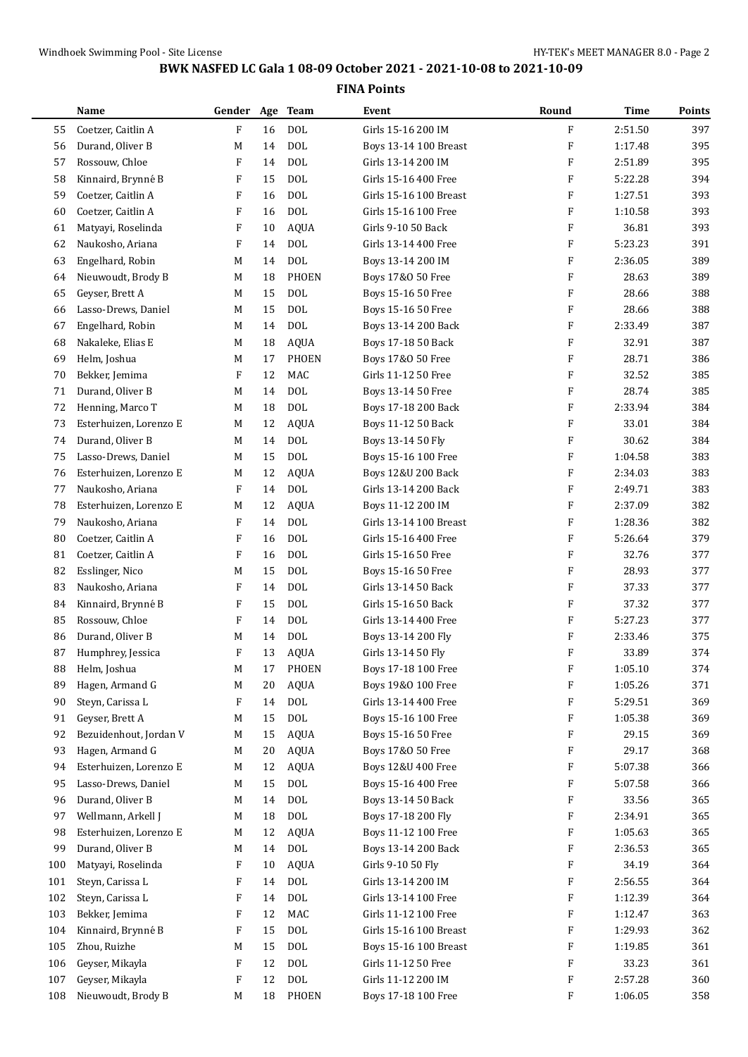| F<br>16<br><b>DOL</b><br>F<br>2:51.50<br>397<br>Coetzer, Caitlin A<br>Girls 15-16 200 IM<br>55<br><b>DOL</b><br>395<br>Durand, Oliver B<br>F<br>1:17.48<br>56<br>M<br>14<br>Boys 13-14 100 Breast<br><b>DOL</b><br>395<br>57<br>Rossouw, Chloe<br>F<br>Girls 13-14 200 IM<br>F<br>2:51.89<br>14<br>F<br><b>DOL</b><br>394<br>58<br>Kinnaird, Brynné B<br>Girls 15-16 400 Free<br>F<br>5:22.28<br>15<br><b>DOL</b><br>393<br>59<br>Coetzer, Caitlin A<br>F<br>Girls 15-16 100 Breast<br>F<br>1:27.51<br>16<br><b>DOL</b><br>60<br>Coetzer, Caitlin A<br>F<br>Girls 15-16 100 Free<br>F<br>1:10.58<br>393<br>16<br><b>AQUA</b><br>393<br>61<br>Matyayi, Roselinda<br>F<br>10<br>Girls 9-10 50 Back<br>F<br>36.81<br>5:23.23<br>62<br>Naukosho, Ariana<br>F<br><b>DOL</b><br>F<br>391<br>14<br>Girls 13-14 400 Free<br><b>DOL</b><br>389<br>63<br>Engelhard, Robin<br>F<br>2:36.05<br>M<br>14<br>Boys 13-14 200 IM<br>389<br>Nieuwoudt, Brody B<br>M<br><b>PHOEN</b><br>F<br>28.63<br>64<br>18<br>Boys 17&0 50 Free<br>F<br>388<br>65<br>Geyser, Brett A<br>15<br><b>DOL</b><br>28.66<br>M<br>Boys 15-16 50 Free<br>388<br>15<br><b>DOL</b><br>F<br>28.66<br>66<br>Lasso-Drews, Daniel<br>M<br>Boys 15-16 50 Free<br><b>DOL</b><br>387<br>67<br>Engelhard, Robin<br>F<br>2:33.49<br>M<br>14<br>Boys 13-14 200 Back<br>387<br>Nakaleke, Elias E<br><b>AQUA</b><br>F<br>32.91<br>68<br>M<br>18<br>Boys 17-18 50 Back<br>28.71<br>69<br>Helm, Joshua<br><b>PHOEN</b><br>F<br>386<br>M<br>17<br>Boys 17&0 50 Free<br>F<br>385<br>70<br>Bekker, Jemima<br>12<br><b>MAC</b><br>Girls 11-12 50 Free<br>F<br>32.52<br>F<br>385<br>71<br>Durand, Oliver B<br><b>DOL</b><br>28.74<br>M<br>14<br>Boys 13-14 50 Free<br><b>DOL</b><br>384<br>72<br>Henning, Marco T<br>18<br>F<br>2:33.94<br>M<br>Boys 17-18 200 Back<br><b>AQUA</b><br>73<br>Esterhuizen, Lorenzo E<br>12<br>Boys 11-12 50 Back<br>F<br>33.01<br>384<br>M<br>74<br>Durand, Oliver B<br><b>DOL</b><br>F<br>30.62<br>384<br>M<br>14<br>Boys 13-14 50 Fly<br><b>DOL</b><br>383<br>Lasso-Drews, Daniel<br>F<br>1:04.58<br>75<br>M<br>15<br>Boys 15-16 100 Free<br>383<br>Esterhuizen, Lorenzo E<br>12<br><b>AQUA</b><br>F<br>2:34.03<br>76<br>M<br>Boys 12&U 200 Back<br>F<br>F<br>14<br><b>DOL</b><br>2:49.71<br>383<br>77<br>Naukosho, Ariana<br>Girls 13-14 200 Back<br>382<br>12<br><b>AQUA</b><br>F<br>2:37.09<br>78<br>Esterhuizen, Lorenzo E<br>M<br>Boys 11-12 200 IM<br><b>DOL</b><br>382<br>79<br>Naukosho, Ariana<br>F<br>Girls 13-14 100 Breast<br>F<br>1:28.36<br>14<br>379<br>Coetzer, Caitlin A<br>F<br><b>DOL</b><br>F<br>5:26.64<br>80<br>16<br>Girls 15-16 400 Free<br><b>DOL</b><br>Coetzer, Caitlin A<br>F<br>Girls 15-16 50 Free<br>F<br>32.76<br>377<br>81<br>16<br><b>DOL</b><br>F<br>82<br>Esslinger, Nico<br>Boys 15-16 50 Free<br>28.93<br>377<br>M<br>15<br>83<br>Naukosho, Ariana<br>F<br><b>DOL</b><br>F<br>37.33<br>377<br>14<br>Girls 13-14 50 Back<br><b>DOL</b><br>Kinnaird, Brynné B<br>F<br>15<br>F<br>37.32<br>377<br>84<br>Girls 15-16 50 Back<br><b>DOL</b><br>85<br>Rossouw, Chloe<br>F<br>F<br>5:27.23<br>377<br>14<br>Girls 13-14 400 Free<br><b>DOL</b><br>Durand, Oliver B<br>F<br>2:33.46<br>375<br>86<br>M<br>14<br>Boys 13-14 200 Fly<br>Humphrey, Jessica<br>F<br><b>AQUA</b><br>F<br>374<br>87<br>13<br>Girls 13-14 50 Fly<br>33.89<br>F<br>1:05.10<br>Helm, Joshua<br>PHOEN<br>Boys 17-18 100 Free<br>374<br>M<br>88<br>17<br>F<br>Hagen, Armand G<br><b>AQUA</b><br>Boys 19&0 100 Free<br>1:05.26<br>371<br>89<br>M<br>20<br>Steyn, Carissa L<br>14<br><b>DOL</b><br>Girls 13-14 400 Free<br>F<br>369<br>90<br>F<br>5:29.51<br>$\text{DOL}$<br>Geyser, Brett A<br>Boys 15-16 100 Free<br>F<br>1:05.38<br>369<br>91<br>M<br>15<br>92<br>Bezuidenhout, Jordan V<br><b>AQUA</b><br>Boys 15-16 50 Free<br>F<br>29.15<br>369<br>M<br>15<br>368<br>Hagen, Armand G<br><b>AQUA</b><br>F<br>29.17<br>93<br>M<br>20<br>Boys 17&0 50 Free<br>Esterhuizen, Lorenzo E<br><b>AQUA</b><br>Boys 12&U 400 Free<br>F<br>5:07.38<br>366<br>94<br>M<br>12<br>Lasso-Drews, Daniel<br><b>DOL</b><br>Boys 15-16 400 Free<br>F<br>366<br>95<br>M<br>15<br>5:07.58<br>Durand, Oliver B<br>DOL<br>F<br>365<br>96<br>M<br>14<br>Boys 13-14 50 Back<br>33.56<br>97<br>Wellmann, Arkell J<br>18<br>DOL<br>Boys 17-18 200 Fly<br>F<br>2:34.91<br>365<br>M<br>Esterhuizen, Lorenzo E<br><b>AQUA</b><br>Boys 11-12 100 Free<br>F<br>1:05.63<br>365<br>98<br>M<br>12<br>Durand, Oliver B<br>$\text{DOL}$<br>Boys 13-14 200 Back<br>365<br>99<br>M<br>14<br>F<br>2:36.53<br>Girls 9-10 50 Fly<br>Matyayi, Roselinda<br>F<br><b>AQUA</b><br>F<br>34.19<br>364<br>100<br>10<br>Steyn, Carissa L<br>F<br><b>DOL</b><br>Girls 13-14 200 IM<br>F<br>2:56.55<br>364<br>101<br>14<br>Steyn, Carissa L<br>DOL<br>Girls 13-14 100 Free<br>364<br>102<br>F<br>14<br>F<br>1:12.39<br>MAC<br>Girls 11-12 100 Free<br>Bekker, Jemima<br>12<br>F<br>1:12.47<br>363<br>103<br>F<br>Kinnaird, Brynné B<br>F<br>DOL<br>Girls 15-16 100 Breast<br>F<br>1:29.93<br>362<br>104<br>15<br>Zhou, Ruizhe<br>DOL<br>Boys 15-16 100 Breast<br>361<br>105<br>15<br>F<br>1:19.85<br>M<br>F<br>Geyser, Mikayla<br>DOL<br>Girls 11-12 50 Free<br>F<br>33.23<br>361<br>106<br>12<br>Geyser, Mikayla<br>F<br>12<br>DOL<br>Girls 11-12 200 IM<br>F<br>2:57.28<br>360<br>107<br>Nieuwoudt, Brody B<br>PHOEN<br>F<br>358<br>18<br>Boys 17-18 100 Free<br>1:06.05<br>108<br>M | Name | Gender | Age | Team | Event | Round | Time | Points |
|----------------------------------------------------------------------------------------------------------------------------------------------------------------------------------------------------------------------------------------------------------------------------------------------------------------------------------------------------------------------------------------------------------------------------------------------------------------------------------------------------------------------------------------------------------------------------------------------------------------------------------------------------------------------------------------------------------------------------------------------------------------------------------------------------------------------------------------------------------------------------------------------------------------------------------------------------------------------------------------------------------------------------------------------------------------------------------------------------------------------------------------------------------------------------------------------------------------------------------------------------------------------------------------------------------------------------------------------------------------------------------------------------------------------------------------------------------------------------------------------------------------------------------------------------------------------------------------------------------------------------------------------------------------------------------------------------------------------------------------------------------------------------------------------------------------------------------------------------------------------------------------------------------------------------------------------------------------------------------------------------------------------------------------------------------------------------------------------------------------------------------------------------------------------------------------------------------------------------------------------------------------------------------------------------------------------------------------------------------------------------------------------------------------------------------------------------------------------------------------------------------------------------------------------------------------------------------------------------------------------------------------------------------------------------------------------------------------------------------------------------------------------------------------------------------------------------------------------------------------------------------------------------------------------------------------------------------------------------------------------------------------------------------------------------------------------------------------------------------------------------------------------------------------------------------------------------------------------------------------------------------------------------------------------------------------------------------------------------------------------------------------------------------------------------------------------------------------------------------------------------------------------------------------------------------------------------------------------------------------------------------------------------------------------------------------------------------------------------------------------------------------------------------------------------------------------------------------------------------------------------------------------------------------------------------------------------------------------------------------------------------------------------------------------------------------------------------------------------------------------------------------------------------------------------------------------------------------------------------------------------------------------------------------------------------------------------------------------------------------------------------------------------------------------------------------------------------------------------------------------------------------------------------------------------------------------------------------------------------------------------------------------------------------------------------------------------------------------------------------------------------------------------------------------------------------------------------------------------------------------------------------------------------------------------------------------------------------------------------------------------------------------------------------------------------------------------------------------------------------------------------------------------------------------------------------------------------------------------------------------------------------------------------------------------------------------------------------------------------------------------------------------------------|------|--------|-----|------|-------|-------|------|--------|
|                                                                                                                                                                                                                                                                                                                                                                                                                                                                                                                                                                                                                                                                                                                                                                                                                                                                                                                                                                                                                                                                                                                                                                                                                                                                                                                                                                                                                                                                                                                                                                                                                                                                                                                                                                                                                                                                                                                                                                                                                                                                                                                                                                                                                                                                                                                                                                                                                                                                                                                                                                                                                                                                                                                                                                                                                                                                                                                                                                                                                                                                                                                                                                                                                                                                                                                                                                                                                                                                                                                                                                                                                                                                                                                                                                                                                                                                                                                                                                                                                                                                                                                                                                                                                                                                                                                                                                                                                                                                                                                                                                                                                                                                                                                                                                                                                                                                                                                                                                                                                                                                                                                                                                                                                                                                                                                                                                                                          |      |        |     |      |       |       |      |        |
|                                                                                                                                                                                                                                                                                                                                                                                                                                                                                                                                                                                                                                                                                                                                                                                                                                                                                                                                                                                                                                                                                                                                                                                                                                                                                                                                                                                                                                                                                                                                                                                                                                                                                                                                                                                                                                                                                                                                                                                                                                                                                                                                                                                                                                                                                                                                                                                                                                                                                                                                                                                                                                                                                                                                                                                                                                                                                                                                                                                                                                                                                                                                                                                                                                                                                                                                                                                                                                                                                                                                                                                                                                                                                                                                                                                                                                                                                                                                                                                                                                                                                                                                                                                                                                                                                                                                                                                                                                                                                                                                                                                                                                                                                                                                                                                                                                                                                                                                                                                                                                                                                                                                                                                                                                                                                                                                                                                                          |      |        |     |      |       |       |      |        |
|                                                                                                                                                                                                                                                                                                                                                                                                                                                                                                                                                                                                                                                                                                                                                                                                                                                                                                                                                                                                                                                                                                                                                                                                                                                                                                                                                                                                                                                                                                                                                                                                                                                                                                                                                                                                                                                                                                                                                                                                                                                                                                                                                                                                                                                                                                                                                                                                                                                                                                                                                                                                                                                                                                                                                                                                                                                                                                                                                                                                                                                                                                                                                                                                                                                                                                                                                                                                                                                                                                                                                                                                                                                                                                                                                                                                                                                                                                                                                                                                                                                                                                                                                                                                                                                                                                                                                                                                                                                                                                                                                                                                                                                                                                                                                                                                                                                                                                                                                                                                                                                                                                                                                                                                                                                                                                                                                                                                          |      |        |     |      |       |       |      |        |
|                                                                                                                                                                                                                                                                                                                                                                                                                                                                                                                                                                                                                                                                                                                                                                                                                                                                                                                                                                                                                                                                                                                                                                                                                                                                                                                                                                                                                                                                                                                                                                                                                                                                                                                                                                                                                                                                                                                                                                                                                                                                                                                                                                                                                                                                                                                                                                                                                                                                                                                                                                                                                                                                                                                                                                                                                                                                                                                                                                                                                                                                                                                                                                                                                                                                                                                                                                                                                                                                                                                                                                                                                                                                                                                                                                                                                                                                                                                                                                                                                                                                                                                                                                                                                                                                                                                                                                                                                                                                                                                                                                                                                                                                                                                                                                                                                                                                                                                                                                                                                                                                                                                                                                                                                                                                                                                                                                                                          |      |        |     |      |       |       |      |        |
|                                                                                                                                                                                                                                                                                                                                                                                                                                                                                                                                                                                                                                                                                                                                                                                                                                                                                                                                                                                                                                                                                                                                                                                                                                                                                                                                                                                                                                                                                                                                                                                                                                                                                                                                                                                                                                                                                                                                                                                                                                                                                                                                                                                                                                                                                                                                                                                                                                                                                                                                                                                                                                                                                                                                                                                                                                                                                                                                                                                                                                                                                                                                                                                                                                                                                                                                                                                                                                                                                                                                                                                                                                                                                                                                                                                                                                                                                                                                                                                                                                                                                                                                                                                                                                                                                                                                                                                                                                                                                                                                                                                                                                                                                                                                                                                                                                                                                                                                                                                                                                                                                                                                                                                                                                                                                                                                                                                                          |      |        |     |      |       |       |      |        |
|                                                                                                                                                                                                                                                                                                                                                                                                                                                                                                                                                                                                                                                                                                                                                                                                                                                                                                                                                                                                                                                                                                                                                                                                                                                                                                                                                                                                                                                                                                                                                                                                                                                                                                                                                                                                                                                                                                                                                                                                                                                                                                                                                                                                                                                                                                                                                                                                                                                                                                                                                                                                                                                                                                                                                                                                                                                                                                                                                                                                                                                                                                                                                                                                                                                                                                                                                                                                                                                                                                                                                                                                                                                                                                                                                                                                                                                                                                                                                                                                                                                                                                                                                                                                                                                                                                                                                                                                                                                                                                                                                                                                                                                                                                                                                                                                                                                                                                                                                                                                                                                                                                                                                                                                                                                                                                                                                                                                          |      |        |     |      |       |       |      |        |
|                                                                                                                                                                                                                                                                                                                                                                                                                                                                                                                                                                                                                                                                                                                                                                                                                                                                                                                                                                                                                                                                                                                                                                                                                                                                                                                                                                                                                                                                                                                                                                                                                                                                                                                                                                                                                                                                                                                                                                                                                                                                                                                                                                                                                                                                                                                                                                                                                                                                                                                                                                                                                                                                                                                                                                                                                                                                                                                                                                                                                                                                                                                                                                                                                                                                                                                                                                                                                                                                                                                                                                                                                                                                                                                                                                                                                                                                                                                                                                                                                                                                                                                                                                                                                                                                                                                                                                                                                                                                                                                                                                                                                                                                                                                                                                                                                                                                                                                                                                                                                                                                                                                                                                                                                                                                                                                                                                                                          |      |        |     |      |       |       |      |        |
|                                                                                                                                                                                                                                                                                                                                                                                                                                                                                                                                                                                                                                                                                                                                                                                                                                                                                                                                                                                                                                                                                                                                                                                                                                                                                                                                                                                                                                                                                                                                                                                                                                                                                                                                                                                                                                                                                                                                                                                                                                                                                                                                                                                                                                                                                                                                                                                                                                                                                                                                                                                                                                                                                                                                                                                                                                                                                                                                                                                                                                                                                                                                                                                                                                                                                                                                                                                                                                                                                                                                                                                                                                                                                                                                                                                                                                                                                                                                                                                                                                                                                                                                                                                                                                                                                                                                                                                                                                                                                                                                                                                                                                                                                                                                                                                                                                                                                                                                                                                                                                                                                                                                                                                                                                                                                                                                                                                                          |      |        |     |      |       |       |      |        |
|                                                                                                                                                                                                                                                                                                                                                                                                                                                                                                                                                                                                                                                                                                                                                                                                                                                                                                                                                                                                                                                                                                                                                                                                                                                                                                                                                                                                                                                                                                                                                                                                                                                                                                                                                                                                                                                                                                                                                                                                                                                                                                                                                                                                                                                                                                                                                                                                                                                                                                                                                                                                                                                                                                                                                                                                                                                                                                                                                                                                                                                                                                                                                                                                                                                                                                                                                                                                                                                                                                                                                                                                                                                                                                                                                                                                                                                                                                                                                                                                                                                                                                                                                                                                                                                                                                                                                                                                                                                                                                                                                                                                                                                                                                                                                                                                                                                                                                                                                                                                                                                                                                                                                                                                                                                                                                                                                                                                          |      |        |     |      |       |       |      |        |
|                                                                                                                                                                                                                                                                                                                                                                                                                                                                                                                                                                                                                                                                                                                                                                                                                                                                                                                                                                                                                                                                                                                                                                                                                                                                                                                                                                                                                                                                                                                                                                                                                                                                                                                                                                                                                                                                                                                                                                                                                                                                                                                                                                                                                                                                                                                                                                                                                                                                                                                                                                                                                                                                                                                                                                                                                                                                                                                                                                                                                                                                                                                                                                                                                                                                                                                                                                                                                                                                                                                                                                                                                                                                                                                                                                                                                                                                                                                                                                                                                                                                                                                                                                                                                                                                                                                                                                                                                                                                                                                                                                                                                                                                                                                                                                                                                                                                                                                                                                                                                                                                                                                                                                                                                                                                                                                                                                                                          |      |        |     |      |       |       |      |        |
|                                                                                                                                                                                                                                                                                                                                                                                                                                                                                                                                                                                                                                                                                                                                                                                                                                                                                                                                                                                                                                                                                                                                                                                                                                                                                                                                                                                                                                                                                                                                                                                                                                                                                                                                                                                                                                                                                                                                                                                                                                                                                                                                                                                                                                                                                                                                                                                                                                                                                                                                                                                                                                                                                                                                                                                                                                                                                                                                                                                                                                                                                                                                                                                                                                                                                                                                                                                                                                                                                                                                                                                                                                                                                                                                                                                                                                                                                                                                                                                                                                                                                                                                                                                                                                                                                                                                                                                                                                                                                                                                                                                                                                                                                                                                                                                                                                                                                                                                                                                                                                                                                                                                                                                                                                                                                                                                                                                                          |      |        |     |      |       |       |      |        |
|                                                                                                                                                                                                                                                                                                                                                                                                                                                                                                                                                                                                                                                                                                                                                                                                                                                                                                                                                                                                                                                                                                                                                                                                                                                                                                                                                                                                                                                                                                                                                                                                                                                                                                                                                                                                                                                                                                                                                                                                                                                                                                                                                                                                                                                                                                                                                                                                                                                                                                                                                                                                                                                                                                                                                                                                                                                                                                                                                                                                                                                                                                                                                                                                                                                                                                                                                                                                                                                                                                                                                                                                                                                                                                                                                                                                                                                                                                                                                                                                                                                                                                                                                                                                                                                                                                                                                                                                                                                                                                                                                                                                                                                                                                                                                                                                                                                                                                                                                                                                                                                                                                                                                                                                                                                                                                                                                                                                          |      |        |     |      |       |       |      |        |
|                                                                                                                                                                                                                                                                                                                                                                                                                                                                                                                                                                                                                                                                                                                                                                                                                                                                                                                                                                                                                                                                                                                                                                                                                                                                                                                                                                                                                                                                                                                                                                                                                                                                                                                                                                                                                                                                                                                                                                                                                                                                                                                                                                                                                                                                                                                                                                                                                                                                                                                                                                                                                                                                                                                                                                                                                                                                                                                                                                                                                                                                                                                                                                                                                                                                                                                                                                                                                                                                                                                                                                                                                                                                                                                                                                                                                                                                                                                                                                                                                                                                                                                                                                                                                                                                                                                                                                                                                                                                                                                                                                                                                                                                                                                                                                                                                                                                                                                                                                                                                                                                                                                                                                                                                                                                                                                                                                                                          |      |        |     |      |       |       |      |        |
|                                                                                                                                                                                                                                                                                                                                                                                                                                                                                                                                                                                                                                                                                                                                                                                                                                                                                                                                                                                                                                                                                                                                                                                                                                                                                                                                                                                                                                                                                                                                                                                                                                                                                                                                                                                                                                                                                                                                                                                                                                                                                                                                                                                                                                                                                                                                                                                                                                                                                                                                                                                                                                                                                                                                                                                                                                                                                                                                                                                                                                                                                                                                                                                                                                                                                                                                                                                                                                                                                                                                                                                                                                                                                                                                                                                                                                                                                                                                                                                                                                                                                                                                                                                                                                                                                                                                                                                                                                                                                                                                                                                                                                                                                                                                                                                                                                                                                                                                                                                                                                                                                                                                                                                                                                                                                                                                                                                                          |      |        |     |      |       |       |      |        |
|                                                                                                                                                                                                                                                                                                                                                                                                                                                                                                                                                                                                                                                                                                                                                                                                                                                                                                                                                                                                                                                                                                                                                                                                                                                                                                                                                                                                                                                                                                                                                                                                                                                                                                                                                                                                                                                                                                                                                                                                                                                                                                                                                                                                                                                                                                                                                                                                                                                                                                                                                                                                                                                                                                                                                                                                                                                                                                                                                                                                                                                                                                                                                                                                                                                                                                                                                                                                                                                                                                                                                                                                                                                                                                                                                                                                                                                                                                                                                                                                                                                                                                                                                                                                                                                                                                                                                                                                                                                                                                                                                                                                                                                                                                                                                                                                                                                                                                                                                                                                                                                                                                                                                                                                                                                                                                                                                                                                          |      |        |     |      |       |       |      |        |
|                                                                                                                                                                                                                                                                                                                                                                                                                                                                                                                                                                                                                                                                                                                                                                                                                                                                                                                                                                                                                                                                                                                                                                                                                                                                                                                                                                                                                                                                                                                                                                                                                                                                                                                                                                                                                                                                                                                                                                                                                                                                                                                                                                                                                                                                                                                                                                                                                                                                                                                                                                                                                                                                                                                                                                                                                                                                                                                                                                                                                                                                                                                                                                                                                                                                                                                                                                                                                                                                                                                                                                                                                                                                                                                                                                                                                                                                                                                                                                                                                                                                                                                                                                                                                                                                                                                                                                                                                                                                                                                                                                                                                                                                                                                                                                                                                                                                                                                                                                                                                                                                                                                                                                                                                                                                                                                                                                                                          |      |        |     |      |       |       |      |        |
|                                                                                                                                                                                                                                                                                                                                                                                                                                                                                                                                                                                                                                                                                                                                                                                                                                                                                                                                                                                                                                                                                                                                                                                                                                                                                                                                                                                                                                                                                                                                                                                                                                                                                                                                                                                                                                                                                                                                                                                                                                                                                                                                                                                                                                                                                                                                                                                                                                                                                                                                                                                                                                                                                                                                                                                                                                                                                                                                                                                                                                                                                                                                                                                                                                                                                                                                                                                                                                                                                                                                                                                                                                                                                                                                                                                                                                                                                                                                                                                                                                                                                                                                                                                                                                                                                                                                                                                                                                                                                                                                                                                                                                                                                                                                                                                                                                                                                                                                                                                                                                                                                                                                                                                                                                                                                                                                                                                                          |      |        |     |      |       |       |      |        |
|                                                                                                                                                                                                                                                                                                                                                                                                                                                                                                                                                                                                                                                                                                                                                                                                                                                                                                                                                                                                                                                                                                                                                                                                                                                                                                                                                                                                                                                                                                                                                                                                                                                                                                                                                                                                                                                                                                                                                                                                                                                                                                                                                                                                                                                                                                                                                                                                                                                                                                                                                                                                                                                                                                                                                                                                                                                                                                                                                                                                                                                                                                                                                                                                                                                                                                                                                                                                                                                                                                                                                                                                                                                                                                                                                                                                                                                                                                                                                                                                                                                                                                                                                                                                                                                                                                                                                                                                                                                                                                                                                                                                                                                                                                                                                                                                                                                                                                                                                                                                                                                                                                                                                                                                                                                                                                                                                                                                          |      |        |     |      |       |       |      |        |
|                                                                                                                                                                                                                                                                                                                                                                                                                                                                                                                                                                                                                                                                                                                                                                                                                                                                                                                                                                                                                                                                                                                                                                                                                                                                                                                                                                                                                                                                                                                                                                                                                                                                                                                                                                                                                                                                                                                                                                                                                                                                                                                                                                                                                                                                                                                                                                                                                                                                                                                                                                                                                                                                                                                                                                                                                                                                                                                                                                                                                                                                                                                                                                                                                                                                                                                                                                                                                                                                                                                                                                                                                                                                                                                                                                                                                                                                                                                                                                                                                                                                                                                                                                                                                                                                                                                                                                                                                                                                                                                                                                                                                                                                                                                                                                                                                                                                                                                                                                                                                                                                                                                                                                                                                                                                                                                                                                                                          |      |        |     |      |       |       |      |        |
|                                                                                                                                                                                                                                                                                                                                                                                                                                                                                                                                                                                                                                                                                                                                                                                                                                                                                                                                                                                                                                                                                                                                                                                                                                                                                                                                                                                                                                                                                                                                                                                                                                                                                                                                                                                                                                                                                                                                                                                                                                                                                                                                                                                                                                                                                                                                                                                                                                                                                                                                                                                                                                                                                                                                                                                                                                                                                                                                                                                                                                                                                                                                                                                                                                                                                                                                                                                                                                                                                                                                                                                                                                                                                                                                                                                                                                                                                                                                                                                                                                                                                                                                                                                                                                                                                                                                                                                                                                                                                                                                                                                                                                                                                                                                                                                                                                                                                                                                                                                                                                                                                                                                                                                                                                                                                                                                                                                                          |      |        |     |      |       |       |      |        |
|                                                                                                                                                                                                                                                                                                                                                                                                                                                                                                                                                                                                                                                                                                                                                                                                                                                                                                                                                                                                                                                                                                                                                                                                                                                                                                                                                                                                                                                                                                                                                                                                                                                                                                                                                                                                                                                                                                                                                                                                                                                                                                                                                                                                                                                                                                                                                                                                                                                                                                                                                                                                                                                                                                                                                                                                                                                                                                                                                                                                                                                                                                                                                                                                                                                                                                                                                                                                                                                                                                                                                                                                                                                                                                                                                                                                                                                                                                                                                                                                                                                                                                                                                                                                                                                                                                                                                                                                                                                                                                                                                                                                                                                                                                                                                                                                                                                                                                                                                                                                                                                                                                                                                                                                                                                                                                                                                                                                          |      |        |     |      |       |       |      |        |
|                                                                                                                                                                                                                                                                                                                                                                                                                                                                                                                                                                                                                                                                                                                                                                                                                                                                                                                                                                                                                                                                                                                                                                                                                                                                                                                                                                                                                                                                                                                                                                                                                                                                                                                                                                                                                                                                                                                                                                                                                                                                                                                                                                                                                                                                                                                                                                                                                                                                                                                                                                                                                                                                                                                                                                                                                                                                                                                                                                                                                                                                                                                                                                                                                                                                                                                                                                                                                                                                                                                                                                                                                                                                                                                                                                                                                                                                                                                                                                                                                                                                                                                                                                                                                                                                                                                                                                                                                                                                                                                                                                                                                                                                                                                                                                                                                                                                                                                                                                                                                                                                                                                                                                                                                                                                                                                                                                                                          |      |        |     |      |       |       |      |        |
|                                                                                                                                                                                                                                                                                                                                                                                                                                                                                                                                                                                                                                                                                                                                                                                                                                                                                                                                                                                                                                                                                                                                                                                                                                                                                                                                                                                                                                                                                                                                                                                                                                                                                                                                                                                                                                                                                                                                                                                                                                                                                                                                                                                                                                                                                                                                                                                                                                                                                                                                                                                                                                                                                                                                                                                                                                                                                                                                                                                                                                                                                                                                                                                                                                                                                                                                                                                                                                                                                                                                                                                                                                                                                                                                                                                                                                                                                                                                                                                                                                                                                                                                                                                                                                                                                                                                                                                                                                                                                                                                                                                                                                                                                                                                                                                                                                                                                                                                                                                                                                                                                                                                                                                                                                                                                                                                                                                                          |      |        |     |      |       |       |      |        |
|                                                                                                                                                                                                                                                                                                                                                                                                                                                                                                                                                                                                                                                                                                                                                                                                                                                                                                                                                                                                                                                                                                                                                                                                                                                                                                                                                                                                                                                                                                                                                                                                                                                                                                                                                                                                                                                                                                                                                                                                                                                                                                                                                                                                                                                                                                                                                                                                                                                                                                                                                                                                                                                                                                                                                                                                                                                                                                                                                                                                                                                                                                                                                                                                                                                                                                                                                                                                                                                                                                                                                                                                                                                                                                                                                                                                                                                                                                                                                                                                                                                                                                                                                                                                                                                                                                                                                                                                                                                                                                                                                                                                                                                                                                                                                                                                                                                                                                                                                                                                                                                                                                                                                                                                                                                                                                                                                                                                          |      |        |     |      |       |       |      |        |
|                                                                                                                                                                                                                                                                                                                                                                                                                                                                                                                                                                                                                                                                                                                                                                                                                                                                                                                                                                                                                                                                                                                                                                                                                                                                                                                                                                                                                                                                                                                                                                                                                                                                                                                                                                                                                                                                                                                                                                                                                                                                                                                                                                                                                                                                                                                                                                                                                                                                                                                                                                                                                                                                                                                                                                                                                                                                                                                                                                                                                                                                                                                                                                                                                                                                                                                                                                                                                                                                                                                                                                                                                                                                                                                                                                                                                                                                                                                                                                                                                                                                                                                                                                                                                                                                                                                                                                                                                                                                                                                                                                                                                                                                                                                                                                                                                                                                                                                                                                                                                                                                                                                                                                                                                                                                                                                                                                                                          |      |        |     |      |       |       |      |        |
|                                                                                                                                                                                                                                                                                                                                                                                                                                                                                                                                                                                                                                                                                                                                                                                                                                                                                                                                                                                                                                                                                                                                                                                                                                                                                                                                                                                                                                                                                                                                                                                                                                                                                                                                                                                                                                                                                                                                                                                                                                                                                                                                                                                                                                                                                                                                                                                                                                                                                                                                                                                                                                                                                                                                                                                                                                                                                                                                                                                                                                                                                                                                                                                                                                                                                                                                                                                                                                                                                                                                                                                                                                                                                                                                                                                                                                                                                                                                                                                                                                                                                                                                                                                                                                                                                                                                                                                                                                                                                                                                                                                                                                                                                                                                                                                                                                                                                                                                                                                                                                                                                                                                                                                                                                                                                                                                                                                                          |      |        |     |      |       |       |      |        |
|                                                                                                                                                                                                                                                                                                                                                                                                                                                                                                                                                                                                                                                                                                                                                                                                                                                                                                                                                                                                                                                                                                                                                                                                                                                                                                                                                                                                                                                                                                                                                                                                                                                                                                                                                                                                                                                                                                                                                                                                                                                                                                                                                                                                                                                                                                                                                                                                                                                                                                                                                                                                                                                                                                                                                                                                                                                                                                                                                                                                                                                                                                                                                                                                                                                                                                                                                                                                                                                                                                                                                                                                                                                                                                                                                                                                                                                                                                                                                                                                                                                                                                                                                                                                                                                                                                                                                                                                                                                                                                                                                                                                                                                                                                                                                                                                                                                                                                                                                                                                                                                                                                                                                                                                                                                                                                                                                                                                          |      |        |     |      |       |       |      |        |
|                                                                                                                                                                                                                                                                                                                                                                                                                                                                                                                                                                                                                                                                                                                                                                                                                                                                                                                                                                                                                                                                                                                                                                                                                                                                                                                                                                                                                                                                                                                                                                                                                                                                                                                                                                                                                                                                                                                                                                                                                                                                                                                                                                                                                                                                                                                                                                                                                                                                                                                                                                                                                                                                                                                                                                                                                                                                                                                                                                                                                                                                                                                                                                                                                                                                                                                                                                                                                                                                                                                                                                                                                                                                                                                                                                                                                                                                                                                                                                                                                                                                                                                                                                                                                                                                                                                                                                                                                                                                                                                                                                                                                                                                                                                                                                                                                                                                                                                                                                                                                                                                                                                                                                                                                                                                                                                                                                                                          |      |        |     |      |       |       |      |        |
|                                                                                                                                                                                                                                                                                                                                                                                                                                                                                                                                                                                                                                                                                                                                                                                                                                                                                                                                                                                                                                                                                                                                                                                                                                                                                                                                                                                                                                                                                                                                                                                                                                                                                                                                                                                                                                                                                                                                                                                                                                                                                                                                                                                                                                                                                                                                                                                                                                                                                                                                                                                                                                                                                                                                                                                                                                                                                                                                                                                                                                                                                                                                                                                                                                                                                                                                                                                                                                                                                                                                                                                                                                                                                                                                                                                                                                                                                                                                                                                                                                                                                                                                                                                                                                                                                                                                                                                                                                                                                                                                                                                                                                                                                                                                                                                                                                                                                                                                                                                                                                                                                                                                                                                                                                                                                                                                                                                                          |      |        |     |      |       |       |      |        |
|                                                                                                                                                                                                                                                                                                                                                                                                                                                                                                                                                                                                                                                                                                                                                                                                                                                                                                                                                                                                                                                                                                                                                                                                                                                                                                                                                                                                                                                                                                                                                                                                                                                                                                                                                                                                                                                                                                                                                                                                                                                                                                                                                                                                                                                                                                                                                                                                                                                                                                                                                                                                                                                                                                                                                                                                                                                                                                                                                                                                                                                                                                                                                                                                                                                                                                                                                                                                                                                                                                                                                                                                                                                                                                                                                                                                                                                                                                                                                                                                                                                                                                                                                                                                                                                                                                                                                                                                                                                                                                                                                                                                                                                                                                                                                                                                                                                                                                                                                                                                                                                                                                                                                                                                                                                                                                                                                                                                          |      |        |     |      |       |       |      |        |
|                                                                                                                                                                                                                                                                                                                                                                                                                                                                                                                                                                                                                                                                                                                                                                                                                                                                                                                                                                                                                                                                                                                                                                                                                                                                                                                                                                                                                                                                                                                                                                                                                                                                                                                                                                                                                                                                                                                                                                                                                                                                                                                                                                                                                                                                                                                                                                                                                                                                                                                                                                                                                                                                                                                                                                                                                                                                                                                                                                                                                                                                                                                                                                                                                                                                                                                                                                                                                                                                                                                                                                                                                                                                                                                                                                                                                                                                                                                                                                                                                                                                                                                                                                                                                                                                                                                                                                                                                                                                                                                                                                                                                                                                                                                                                                                                                                                                                                                                                                                                                                                                                                                                                                                                                                                                                                                                                                                                          |      |        |     |      |       |       |      |        |
|                                                                                                                                                                                                                                                                                                                                                                                                                                                                                                                                                                                                                                                                                                                                                                                                                                                                                                                                                                                                                                                                                                                                                                                                                                                                                                                                                                                                                                                                                                                                                                                                                                                                                                                                                                                                                                                                                                                                                                                                                                                                                                                                                                                                                                                                                                                                                                                                                                                                                                                                                                                                                                                                                                                                                                                                                                                                                                                                                                                                                                                                                                                                                                                                                                                                                                                                                                                                                                                                                                                                                                                                                                                                                                                                                                                                                                                                                                                                                                                                                                                                                                                                                                                                                                                                                                                                                                                                                                                                                                                                                                                                                                                                                                                                                                                                                                                                                                                                                                                                                                                                                                                                                                                                                                                                                                                                                                                                          |      |        |     |      |       |       |      |        |
|                                                                                                                                                                                                                                                                                                                                                                                                                                                                                                                                                                                                                                                                                                                                                                                                                                                                                                                                                                                                                                                                                                                                                                                                                                                                                                                                                                                                                                                                                                                                                                                                                                                                                                                                                                                                                                                                                                                                                                                                                                                                                                                                                                                                                                                                                                                                                                                                                                                                                                                                                                                                                                                                                                                                                                                                                                                                                                                                                                                                                                                                                                                                                                                                                                                                                                                                                                                                                                                                                                                                                                                                                                                                                                                                                                                                                                                                                                                                                                                                                                                                                                                                                                                                                                                                                                                                                                                                                                                                                                                                                                                                                                                                                                                                                                                                                                                                                                                                                                                                                                                                                                                                                                                                                                                                                                                                                                                                          |      |        |     |      |       |       |      |        |
|                                                                                                                                                                                                                                                                                                                                                                                                                                                                                                                                                                                                                                                                                                                                                                                                                                                                                                                                                                                                                                                                                                                                                                                                                                                                                                                                                                                                                                                                                                                                                                                                                                                                                                                                                                                                                                                                                                                                                                                                                                                                                                                                                                                                                                                                                                                                                                                                                                                                                                                                                                                                                                                                                                                                                                                                                                                                                                                                                                                                                                                                                                                                                                                                                                                                                                                                                                                                                                                                                                                                                                                                                                                                                                                                                                                                                                                                                                                                                                                                                                                                                                                                                                                                                                                                                                                                                                                                                                                                                                                                                                                                                                                                                                                                                                                                                                                                                                                                                                                                                                                                                                                                                                                                                                                                                                                                                                                                          |      |        |     |      |       |       |      |        |
|                                                                                                                                                                                                                                                                                                                                                                                                                                                                                                                                                                                                                                                                                                                                                                                                                                                                                                                                                                                                                                                                                                                                                                                                                                                                                                                                                                                                                                                                                                                                                                                                                                                                                                                                                                                                                                                                                                                                                                                                                                                                                                                                                                                                                                                                                                                                                                                                                                                                                                                                                                                                                                                                                                                                                                                                                                                                                                                                                                                                                                                                                                                                                                                                                                                                                                                                                                                                                                                                                                                                                                                                                                                                                                                                                                                                                                                                                                                                                                                                                                                                                                                                                                                                                                                                                                                                                                                                                                                                                                                                                                                                                                                                                                                                                                                                                                                                                                                                                                                                                                                                                                                                                                                                                                                                                                                                                                                                          |      |        |     |      |       |       |      |        |
|                                                                                                                                                                                                                                                                                                                                                                                                                                                                                                                                                                                                                                                                                                                                                                                                                                                                                                                                                                                                                                                                                                                                                                                                                                                                                                                                                                                                                                                                                                                                                                                                                                                                                                                                                                                                                                                                                                                                                                                                                                                                                                                                                                                                                                                                                                                                                                                                                                                                                                                                                                                                                                                                                                                                                                                                                                                                                                                                                                                                                                                                                                                                                                                                                                                                                                                                                                                                                                                                                                                                                                                                                                                                                                                                                                                                                                                                                                                                                                                                                                                                                                                                                                                                                                                                                                                                                                                                                                                                                                                                                                                                                                                                                                                                                                                                                                                                                                                                                                                                                                                                                                                                                                                                                                                                                                                                                                                                          |      |        |     |      |       |       |      |        |
|                                                                                                                                                                                                                                                                                                                                                                                                                                                                                                                                                                                                                                                                                                                                                                                                                                                                                                                                                                                                                                                                                                                                                                                                                                                                                                                                                                                                                                                                                                                                                                                                                                                                                                                                                                                                                                                                                                                                                                                                                                                                                                                                                                                                                                                                                                                                                                                                                                                                                                                                                                                                                                                                                                                                                                                                                                                                                                                                                                                                                                                                                                                                                                                                                                                                                                                                                                                                                                                                                                                                                                                                                                                                                                                                                                                                                                                                                                                                                                                                                                                                                                                                                                                                                                                                                                                                                                                                                                                                                                                                                                                                                                                                                                                                                                                                                                                                                                                                                                                                                                                                                                                                                                                                                                                                                                                                                                                                          |      |        |     |      |       |       |      |        |
|                                                                                                                                                                                                                                                                                                                                                                                                                                                                                                                                                                                                                                                                                                                                                                                                                                                                                                                                                                                                                                                                                                                                                                                                                                                                                                                                                                                                                                                                                                                                                                                                                                                                                                                                                                                                                                                                                                                                                                                                                                                                                                                                                                                                                                                                                                                                                                                                                                                                                                                                                                                                                                                                                                                                                                                                                                                                                                                                                                                                                                                                                                                                                                                                                                                                                                                                                                                                                                                                                                                                                                                                                                                                                                                                                                                                                                                                                                                                                                                                                                                                                                                                                                                                                                                                                                                                                                                                                                                                                                                                                                                                                                                                                                                                                                                                                                                                                                                                                                                                                                                                                                                                                                                                                                                                                                                                                                                                          |      |        |     |      |       |       |      |        |
|                                                                                                                                                                                                                                                                                                                                                                                                                                                                                                                                                                                                                                                                                                                                                                                                                                                                                                                                                                                                                                                                                                                                                                                                                                                                                                                                                                                                                                                                                                                                                                                                                                                                                                                                                                                                                                                                                                                                                                                                                                                                                                                                                                                                                                                                                                                                                                                                                                                                                                                                                                                                                                                                                                                                                                                                                                                                                                                                                                                                                                                                                                                                                                                                                                                                                                                                                                                                                                                                                                                                                                                                                                                                                                                                                                                                                                                                                                                                                                                                                                                                                                                                                                                                                                                                                                                                                                                                                                                                                                                                                                                                                                                                                                                                                                                                                                                                                                                                                                                                                                                                                                                                                                                                                                                                                                                                                                                                          |      |        |     |      |       |       |      |        |
|                                                                                                                                                                                                                                                                                                                                                                                                                                                                                                                                                                                                                                                                                                                                                                                                                                                                                                                                                                                                                                                                                                                                                                                                                                                                                                                                                                                                                                                                                                                                                                                                                                                                                                                                                                                                                                                                                                                                                                                                                                                                                                                                                                                                                                                                                                                                                                                                                                                                                                                                                                                                                                                                                                                                                                                                                                                                                                                                                                                                                                                                                                                                                                                                                                                                                                                                                                                                                                                                                                                                                                                                                                                                                                                                                                                                                                                                                                                                                                                                                                                                                                                                                                                                                                                                                                                                                                                                                                                                                                                                                                                                                                                                                                                                                                                                                                                                                                                                                                                                                                                                                                                                                                                                                                                                                                                                                                                                          |      |        |     |      |       |       |      |        |
|                                                                                                                                                                                                                                                                                                                                                                                                                                                                                                                                                                                                                                                                                                                                                                                                                                                                                                                                                                                                                                                                                                                                                                                                                                                                                                                                                                                                                                                                                                                                                                                                                                                                                                                                                                                                                                                                                                                                                                                                                                                                                                                                                                                                                                                                                                                                                                                                                                                                                                                                                                                                                                                                                                                                                                                                                                                                                                                                                                                                                                                                                                                                                                                                                                                                                                                                                                                                                                                                                                                                                                                                                                                                                                                                                                                                                                                                                                                                                                                                                                                                                                                                                                                                                                                                                                                                                                                                                                                                                                                                                                                                                                                                                                                                                                                                                                                                                                                                                                                                                                                                                                                                                                                                                                                                                                                                                                                                          |      |        |     |      |       |       |      |        |
|                                                                                                                                                                                                                                                                                                                                                                                                                                                                                                                                                                                                                                                                                                                                                                                                                                                                                                                                                                                                                                                                                                                                                                                                                                                                                                                                                                                                                                                                                                                                                                                                                                                                                                                                                                                                                                                                                                                                                                                                                                                                                                                                                                                                                                                                                                                                                                                                                                                                                                                                                                                                                                                                                                                                                                                                                                                                                                                                                                                                                                                                                                                                                                                                                                                                                                                                                                                                                                                                                                                                                                                                                                                                                                                                                                                                                                                                                                                                                                                                                                                                                                                                                                                                                                                                                                                                                                                                                                                                                                                                                                                                                                                                                                                                                                                                                                                                                                                                                                                                                                                                                                                                                                                                                                                                                                                                                                                                          |      |        |     |      |       |       |      |        |
|                                                                                                                                                                                                                                                                                                                                                                                                                                                                                                                                                                                                                                                                                                                                                                                                                                                                                                                                                                                                                                                                                                                                                                                                                                                                                                                                                                                                                                                                                                                                                                                                                                                                                                                                                                                                                                                                                                                                                                                                                                                                                                                                                                                                                                                                                                                                                                                                                                                                                                                                                                                                                                                                                                                                                                                                                                                                                                                                                                                                                                                                                                                                                                                                                                                                                                                                                                                                                                                                                                                                                                                                                                                                                                                                                                                                                                                                                                                                                                                                                                                                                                                                                                                                                                                                                                                                                                                                                                                                                                                                                                                                                                                                                                                                                                                                                                                                                                                                                                                                                                                                                                                                                                                                                                                                                                                                                                                                          |      |        |     |      |       |       |      |        |
|                                                                                                                                                                                                                                                                                                                                                                                                                                                                                                                                                                                                                                                                                                                                                                                                                                                                                                                                                                                                                                                                                                                                                                                                                                                                                                                                                                                                                                                                                                                                                                                                                                                                                                                                                                                                                                                                                                                                                                                                                                                                                                                                                                                                                                                                                                                                                                                                                                                                                                                                                                                                                                                                                                                                                                                                                                                                                                                                                                                                                                                                                                                                                                                                                                                                                                                                                                                                                                                                                                                                                                                                                                                                                                                                                                                                                                                                                                                                                                                                                                                                                                                                                                                                                                                                                                                                                                                                                                                                                                                                                                                                                                                                                                                                                                                                                                                                                                                                                                                                                                                                                                                                                                                                                                                                                                                                                                                                          |      |        |     |      |       |       |      |        |
|                                                                                                                                                                                                                                                                                                                                                                                                                                                                                                                                                                                                                                                                                                                                                                                                                                                                                                                                                                                                                                                                                                                                                                                                                                                                                                                                                                                                                                                                                                                                                                                                                                                                                                                                                                                                                                                                                                                                                                                                                                                                                                                                                                                                                                                                                                                                                                                                                                                                                                                                                                                                                                                                                                                                                                                                                                                                                                                                                                                                                                                                                                                                                                                                                                                                                                                                                                                                                                                                                                                                                                                                                                                                                                                                                                                                                                                                                                                                                                                                                                                                                                                                                                                                                                                                                                                                                                                                                                                                                                                                                                                                                                                                                                                                                                                                                                                                                                                                                                                                                                                                                                                                                                                                                                                                                                                                                                                                          |      |        |     |      |       |       |      |        |
|                                                                                                                                                                                                                                                                                                                                                                                                                                                                                                                                                                                                                                                                                                                                                                                                                                                                                                                                                                                                                                                                                                                                                                                                                                                                                                                                                                                                                                                                                                                                                                                                                                                                                                                                                                                                                                                                                                                                                                                                                                                                                                                                                                                                                                                                                                                                                                                                                                                                                                                                                                                                                                                                                                                                                                                                                                                                                                                                                                                                                                                                                                                                                                                                                                                                                                                                                                                                                                                                                                                                                                                                                                                                                                                                                                                                                                                                                                                                                                                                                                                                                                                                                                                                                                                                                                                                                                                                                                                                                                                                                                                                                                                                                                                                                                                                                                                                                                                                                                                                                                                                                                                                                                                                                                                                                                                                                                                                          |      |        |     |      |       |       |      |        |
|                                                                                                                                                                                                                                                                                                                                                                                                                                                                                                                                                                                                                                                                                                                                                                                                                                                                                                                                                                                                                                                                                                                                                                                                                                                                                                                                                                                                                                                                                                                                                                                                                                                                                                                                                                                                                                                                                                                                                                                                                                                                                                                                                                                                                                                                                                                                                                                                                                                                                                                                                                                                                                                                                                                                                                                                                                                                                                                                                                                                                                                                                                                                                                                                                                                                                                                                                                                                                                                                                                                                                                                                                                                                                                                                                                                                                                                                                                                                                                                                                                                                                                                                                                                                                                                                                                                                                                                                                                                                                                                                                                                                                                                                                                                                                                                                                                                                                                                                                                                                                                                                                                                                                                                                                                                                                                                                                                                                          |      |        |     |      |       |       |      |        |
|                                                                                                                                                                                                                                                                                                                                                                                                                                                                                                                                                                                                                                                                                                                                                                                                                                                                                                                                                                                                                                                                                                                                                                                                                                                                                                                                                                                                                                                                                                                                                                                                                                                                                                                                                                                                                                                                                                                                                                                                                                                                                                                                                                                                                                                                                                                                                                                                                                                                                                                                                                                                                                                                                                                                                                                                                                                                                                                                                                                                                                                                                                                                                                                                                                                                                                                                                                                                                                                                                                                                                                                                                                                                                                                                                                                                                                                                                                                                                                                                                                                                                                                                                                                                                                                                                                                                                                                                                                                                                                                                                                                                                                                                                                                                                                                                                                                                                                                                                                                                                                                                                                                                                                                                                                                                                                                                                                                                          |      |        |     |      |       |       |      |        |
|                                                                                                                                                                                                                                                                                                                                                                                                                                                                                                                                                                                                                                                                                                                                                                                                                                                                                                                                                                                                                                                                                                                                                                                                                                                                                                                                                                                                                                                                                                                                                                                                                                                                                                                                                                                                                                                                                                                                                                                                                                                                                                                                                                                                                                                                                                                                                                                                                                                                                                                                                                                                                                                                                                                                                                                                                                                                                                                                                                                                                                                                                                                                                                                                                                                                                                                                                                                                                                                                                                                                                                                                                                                                                                                                                                                                                                                                                                                                                                                                                                                                                                                                                                                                                                                                                                                                                                                                                                                                                                                                                                                                                                                                                                                                                                                                                                                                                                                                                                                                                                                                                                                                                                                                                                                                                                                                                                                                          |      |        |     |      |       |       |      |        |
|                                                                                                                                                                                                                                                                                                                                                                                                                                                                                                                                                                                                                                                                                                                                                                                                                                                                                                                                                                                                                                                                                                                                                                                                                                                                                                                                                                                                                                                                                                                                                                                                                                                                                                                                                                                                                                                                                                                                                                                                                                                                                                                                                                                                                                                                                                                                                                                                                                                                                                                                                                                                                                                                                                                                                                                                                                                                                                                                                                                                                                                                                                                                                                                                                                                                                                                                                                                                                                                                                                                                                                                                                                                                                                                                                                                                                                                                                                                                                                                                                                                                                                                                                                                                                                                                                                                                                                                                                                                                                                                                                                                                                                                                                                                                                                                                                                                                                                                                                                                                                                                                                                                                                                                                                                                                                                                                                                                                          |      |        |     |      |       |       |      |        |
|                                                                                                                                                                                                                                                                                                                                                                                                                                                                                                                                                                                                                                                                                                                                                                                                                                                                                                                                                                                                                                                                                                                                                                                                                                                                                                                                                                                                                                                                                                                                                                                                                                                                                                                                                                                                                                                                                                                                                                                                                                                                                                                                                                                                                                                                                                                                                                                                                                                                                                                                                                                                                                                                                                                                                                                                                                                                                                                                                                                                                                                                                                                                                                                                                                                                                                                                                                                                                                                                                                                                                                                                                                                                                                                                                                                                                                                                                                                                                                                                                                                                                                                                                                                                                                                                                                                                                                                                                                                                                                                                                                                                                                                                                                                                                                                                                                                                                                                                                                                                                                                                                                                                                                                                                                                                                                                                                                                                          |      |        |     |      |       |       |      |        |
|                                                                                                                                                                                                                                                                                                                                                                                                                                                                                                                                                                                                                                                                                                                                                                                                                                                                                                                                                                                                                                                                                                                                                                                                                                                                                                                                                                                                                                                                                                                                                                                                                                                                                                                                                                                                                                                                                                                                                                                                                                                                                                                                                                                                                                                                                                                                                                                                                                                                                                                                                                                                                                                                                                                                                                                                                                                                                                                                                                                                                                                                                                                                                                                                                                                                                                                                                                                                                                                                                                                                                                                                                                                                                                                                                                                                                                                                                                                                                                                                                                                                                                                                                                                                                                                                                                                                                                                                                                                                                                                                                                                                                                                                                                                                                                                                                                                                                                                                                                                                                                                                                                                                                                                                                                                                                                                                                                                                          |      |        |     |      |       |       |      |        |
|                                                                                                                                                                                                                                                                                                                                                                                                                                                                                                                                                                                                                                                                                                                                                                                                                                                                                                                                                                                                                                                                                                                                                                                                                                                                                                                                                                                                                                                                                                                                                                                                                                                                                                                                                                                                                                                                                                                                                                                                                                                                                                                                                                                                                                                                                                                                                                                                                                                                                                                                                                                                                                                                                                                                                                                                                                                                                                                                                                                                                                                                                                                                                                                                                                                                                                                                                                                                                                                                                                                                                                                                                                                                                                                                                                                                                                                                                                                                                                                                                                                                                                                                                                                                                                                                                                                                                                                                                                                                                                                                                                                                                                                                                                                                                                                                                                                                                                                                                                                                                                                                                                                                                                                                                                                                                                                                                                                                          |      |        |     |      |       |       |      |        |
|                                                                                                                                                                                                                                                                                                                                                                                                                                                                                                                                                                                                                                                                                                                                                                                                                                                                                                                                                                                                                                                                                                                                                                                                                                                                                                                                                                                                                                                                                                                                                                                                                                                                                                                                                                                                                                                                                                                                                                                                                                                                                                                                                                                                                                                                                                                                                                                                                                                                                                                                                                                                                                                                                                                                                                                                                                                                                                                                                                                                                                                                                                                                                                                                                                                                                                                                                                                                                                                                                                                                                                                                                                                                                                                                                                                                                                                                                                                                                                                                                                                                                                                                                                                                                                                                                                                                                                                                                                                                                                                                                                                                                                                                                                                                                                                                                                                                                                                                                                                                                                                                                                                                                                                                                                                                                                                                                                                                          |      |        |     |      |       |       |      |        |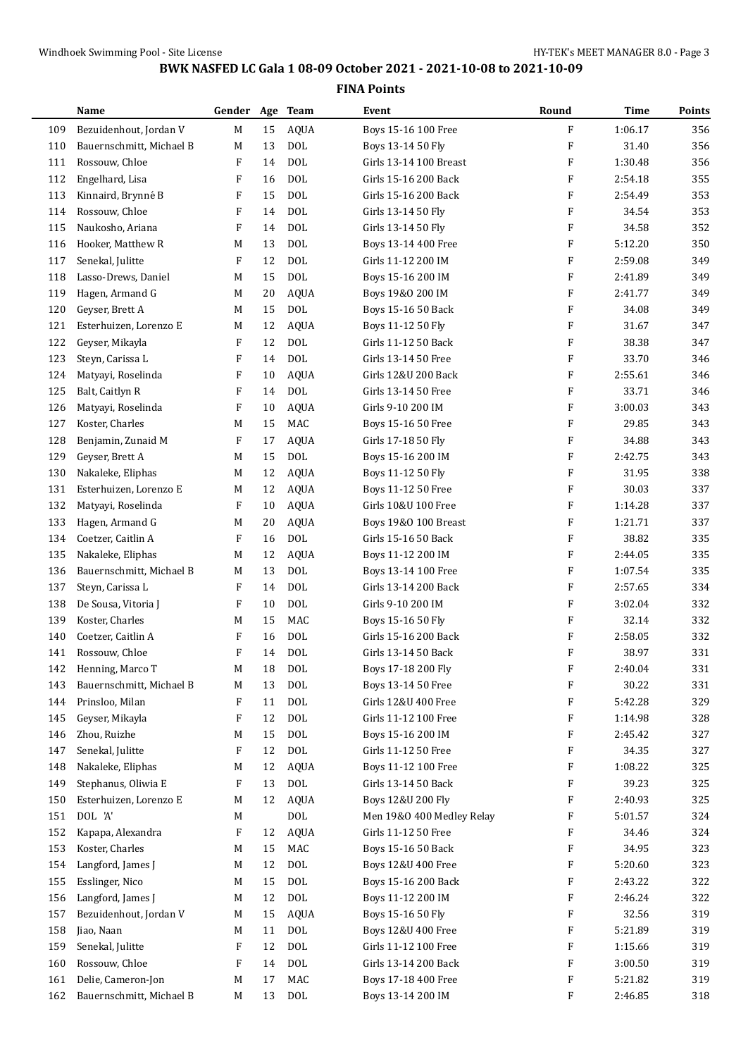|     | <b>Name</b>              | Gender Age Team |    |              | Event                     | Round                     | <b>Time</b> | Points |
|-----|--------------------------|-----------------|----|--------------|---------------------------|---------------------------|-------------|--------|
| 109 | Bezuidenhout, Jordan V   | M               | 15 | <b>AQUA</b>  | Boys 15-16 100 Free       | ${\bf F}$                 | 1:06.17     | 356    |
| 110 | Bauernschmitt, Michael B | M               | 13 | $\rm DOL$    | Boys 13-14 50 Fly         | F                         | 31.40       | 356    |
| 111 | Rossouw, Chloe           | F               | 14 | <b>DOL</b>   | Girls 13-14 100 Breast    | F                         | 1:30.48     | 356    |
| 112 | Engelhard, Lisa          | F               | 16 | <b>DOL</b>   | Girls 15-16 200 Back      | F                         | 2:54.18     | 355    |
| 113 | Kinnaird, Brynné B       | F               | 15 | <b>DOL</b>   | Girls 15-16 200 Back      | F                         | 2:54.49     | 353    |
| 114 | Rossouw, Chloe           | F               | 14 | <b>DOL</b>   | Girls 13-14 50 Fly        | F                         | 34.54       | 353    |
| 115 | Naukosho, Ariana         | F               | 14 | <b>DOL</b>   | Girls 13-14 50 Fly        | F                         | 34.58       | 352    |
| 116 | Hooker, Matthew R        | M               | 13 | <b>DOL</b>   | Boys 13-14 400 Free       | F                         | 5:12.20     | 350    |
| 117 | Senekal, Julitte         | F               | 12 | <b>DOL</b>   | Girls 11-12 200 IM        | F                         | 2:59.08     | 349    |
| 118 | Lasso-Drews, Daniel      | M               | 15 | <b>DOL</b>   | Boys 15-16 200 IM         | $\mathbf{F}$              | 2:41.89     | 349    |
| 119 | Hagen, Armand G          | M               | 20 | <b>AQUA</b>  | Boys 19&0 200 IM          | F                         | 2:41.77     | 349    |
| 120 | Geyser, Brett A          | M               | 15 | $\text{DOL}$ | Boys 15-16 50 Back        | F                         | 34.08       | 349    |
| 121 | Esterhuizen, Lorenzo E   | M               | 12 | <b>AQUA</b>  | Boys 11-12 50 Fly         | $\boldsymbol{\mathrm{F}}$ | 31.67       | 347    |
| 122 | Geyser, Mikayla          | F               | 12 | $\rm DOL$    | Girls 11-12 50 Back       | F                         | 38.38       | 347    |
| 123 | Steyn, Carissa L         | F               | 14 | <b>DOL</b>   | Girls 13-14 50 Free       | F                         | 33.70       | 346    |
| 124 | Matyayi, Roselinda       | F               | 10 | <b>AQUA</b>  | Girls 12&U 200 Back       | F                         | 2:55.61     | 346    |
| 125 | Balt, Caitlyn R          | F               | 14 | <b>DOL</b>   | Girls 13-14 50 Free       | F                         | 33.71       | 346    |
| 126 | Matyayi, Roselinda       | F               | 10 | <b>AQUA</b>  | Girls 9-10 200 IM         | F                         | 3:00.03     | 343    |
| 127 | Koster, Charles          | M               | 15 | MAC          | Boys 15-16 50 Free        | F                         | 29.85       | 343    |
| 128 | Benjamin, Zunaid M       | F               | 17 | <b>AQUA</b>  | Girls 17-18 50 Fly        | F                         | 34.88       | 343    |
| 129 | Geyser, Brett A          | M               | 15 | <b>DOL</b>   | Boys 15-16 200 IM         | F                         | 2:42.75     | 343    |
| 130 | Nakaleke, Eliphas        | M               | 12 | <b>AQUA</b>  | Boys 11-12 50 Fly         | F                         | 31.95       | 338    |
| 131 | Esterhuizen, Lorenzo E   | M               | 12 | AQUA         | Boys 11-12 50 Free        | F                         | 30.03       | 337    |
| 132 | Matyayi, Roselinda       | F               | 10 | <b>AQUA</b>  | Girls 10&U 100 Free       | F                         | 1:14.28     | 337    |
| 133 | Hagen, Armand G          | M               | 20 | <b>AQUA</b>  | Boys 19&0 100 Breast      | $\boldsymbol{\mathrm{F}}$ | 1:21.71     | 337    |
| 134 | Coetzer, Caitlin A       | F               | 16 | $\text{DOL}$ | Girls 15-16 50 Back       | F                         | 38.82       | 335    |
| 135 | Nakaleke, Eliphas        | M               | 12 | <b>AQUA</b>  | Boys 11-12 200 IM         | F                         | 2:44.05     | 335    |
| 136 | Bauernschmitt, Michael B | M               | 13 | <b>DOL</b>   | Boys 13-14 100 Free       | F                         | 1:07.54     | 335    |
| 137 | Steyn, Carissa L         | F               | 14 | <b>DOL</b>   | Girls 13-14 200 Back      | $\mathbf{F}$              | 2:57.65     | 334    |
| 138 | De Sousa, Vitoria J      | F               | 10 | <b>DOL</b>   | Girls 9-10 200 IM         | F                         | 3:02.04     | 332    |
| 139 | Koster, Charles          | M               | 15 | <b>MAC</b>   | Boys 15-16 50 Fly         | $\boldsymbol{\mathrm{F}}$ | 32.14       | 332    |
| 140 | Coetzer, Caitlin A       | F               | 16 | <b>DOL</b>   | Girls 15-16 200 Back      | F                         | 2:58.05     | 332    |
| 141 | Rossouw, Chloe           | F               | 14 | <b>DOL</b>   | Girls 13-14 50 Back       | F                         | 38.97       | 331    |
| 142 | Henning, Marco T         | M               | 18 | DOL          | Boys 17-18 200 Fly        | $\boldsymbol{\mathrm{F}}$ | 2:40.04     | 331    |
| 143 | Bauernschmitt, Michael B | M               | 13 | $\rm DOL$    | Boys 13-14 50 Free        | F                         | 30.22       | 331    |
| 144 | Prinsloo, Milan          | F               | 11 | $\rm DOL$    | Girls 12&U 400 Free       | F                         | 5:42.28     | 329    |
| 145 | Geyser, Mikayla          | F               | 12 | $\text{DOL}$ | Girls 11-12 100 Free      | F                         | 1:14.98     | 328    |
| 146 | Zhou, Ruizhe             | M               | 15 | DOL          | Boys 15-16 200 IM         | F                         | 2:45.42     | 327    |
| 147 | Senekal, Julitte         | F               | 12 | $\rm DOL$    | Girls 11-12 50 Free       | F                         | 34.35       | 327    |
| 148 | Nakaleke, Eliphas        | M               | 12 | <b>AQUA</b>  | Boys 11-12 100 Free       | F                         | 1:08.22     | 325    |
| 149 | Stephanus, Oliwia E      | F               | 13 | $\rm DOL$    | Girls 13-14 50 Back       | F                         | 39.23       | 325    |
| 150 | Esterhuizen, Lorenzo E   | M               | 12 | <b>AQUA</b>  | Boys 12&U 200 Fly         | F                         | 2:40.93     | 325    |
| 151 | DOL 'A'                  | M               |    | $\rm DOL$    | Men 19&0 400 Medley Relay | F                         | 5:01.57     | 324    |
| 152 | Kapapa, Alexandra        | F               | 12 | <b>AQUA</b>  | Girls 11-12 50 Free       | F                         | 34.46       | 324    |
| 153 | Koster, Charles          | M               | 15 | MAC          | Boys 15-16 50 Back        | F                         | 34.95       | 323    |
| 154 | Langford, James J        | M               | 12 | $\text{DOL}$ | Boys 12&U 400 Free        | F                         | 5:20.60     | 323    |
| 155 | Esslinger, Nico          | M               | 15 | $\text{DOL}$ | Boys 15-16 200 Back       | F                         | 2:43.22     | 322    |
| 156 | Langford, James J        | M               | 12 | $\text{DOL}$ | Boys 11-12 200 IM         | F                         | 2:46.24     | 322    |
| 157 | Bezuidenhout, Jordan V   | M               | 15 | <b>AQUA</b>  | Boys 15-16 50 Fly         | F                         | 32.56       | 319    |
| 158 | Jiao, Naan               | M               | 11 | $\rm DOL$    | Boys 12&U 400 Free        | F                         | 5:21.89     | 319    |
| 159 | Senekal, Julitte         | F               | 12 | $\rm DOL$    | Girls 11-12 100 Free      | F                         | 1:15.66     | 319    |
| 160 | Rossouw, Chloe           | F               | 14 | <b>DOL</b>   | Girls 13-14 200 Back      | F                         | 3:00.50     | 319    |
| 161 | Delie, Cameron-Jon       | M               | 17 | MAC          | Boys 17-18 400 Free       | F                         | 5:21.82     | 319    |
| 162 | Bauernschmitt, Michael B | M               | 13 | $\rm DOL$    | Boys 13-14 200 IM         | F                         | 2:46.85     | 318    |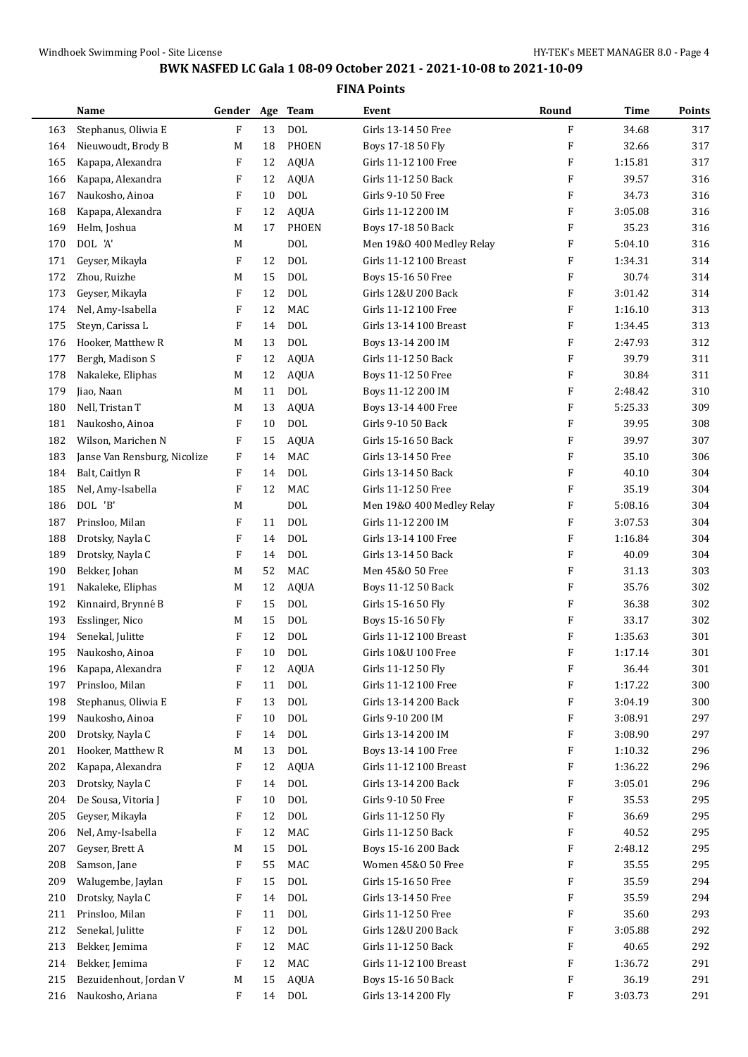|     | Name                         | Gender Age Team           |    |              | Event                     | Round                     | Time    | Points |
|-----|------------------------------|---------------------------|----|--------------|---------------------------|---------------------------|---------|--------|
| 163 | Stephanus, Oliwia E          | F                         | 13 | <b>DOL</b>   | Girls 13-14 50 Free       | F                         | 34.68   | 317    |
| 164 | Nieuwoudt, Brody B           | М                         | 18 | <b>PHOEN</b> | Boys 17-18 50 Fly         | F                         | 32.66   | 317    |
| 165 | Kapapa, Alexandra            | F                         | 12 | <b>AQUA</b>  | Girls 11-12 100 Free      | $\boldsymbol{\mathrm{F}}$ | 1:15.81 | 317    |
| 166 | Kapapa, Alexandra            | F                         | 12 | <b>AQUA</b>  | Girls 11-12 50 Back       | F                         | 39.57   | 316    |
| 167 | Naukosho, Ainoa              | F                         | 10 | <b>DOL</b>   | Girls 9-10 50 Free        | F                         | 34.73   | 316    |
| 168 | Kapapa, Alexandra            | F                         | 12 | <b>AQUA</b>  | Girls 11-12 200 IM        | F                         | 3:05.08 | 316    |
| 169 | Helm, Joshua                 | M                         | 17 | <b>PHOEN</b> | Boys 17-18 50 Back        | F                         | 35.23   | 316    |
| 170 | DOL 'A'                      | М                         |    | <b>DOL</b>   | Men 19&0 400 Medley Relay | F                         | 5:04.10 | 316    |
| 171 | Geyser, Mikayla              | F                         | 12 | <b>DOL</b>   | Girls 11-12 100 Breast    | F                         | 1:34.31 | 314    |
| 172 | Zhou, Ruizhe                 | M                         | 15 | <b>DOL</b>   | Boys 15-16 50 Free        | F                         | 30.74   | 314    |
| 173 | Geyser, Mikayla              | F                         | 12 | <b>DOL</b>   | Girls 12&U 200 Back       | F                         | 3:01.42 | 314    |
| 174 | Nel, Amy-Isabella            | F                         | 12 | MAC          | Girls 11-12 100 Free      | $\boldsymbol{\mathrm{F}}$ | 1:16.10 | 313    |
| 175 | Steyn, Carissa L             | F                         | 14 | <b>DOL</b>   | Girls 13-14 100 Breast    | F                         | 1:34.45 | 313    |
| 176 | Hooker, Matthew R            | M                         | 13 | <b>DOL</b>   | Boys 13-14 200 IM         | F                         | 2:47.93 | 312    |
| 177 | Bergh, Madison S             | F                         | 12 | <b>AQUA</b>  | Girls 11-12 50 Back       | F                         | 39.79   | 311    |
| 178 | Nakaleke, Eliphas            | M                         | 12 | <b>AQUA</b>  | Boys 11-12 50 Free        | F                         | 30.84   | 311    |
| 179 | Jiao, Naan                   | М                         | 11 | <b>DOL</b>   | Boys 11-12 200 IM         | F                         | 2:48.42 | 310    |
|     |                              |                           |    |              |                           |                           |         |        |
| 180 | Nell, Tristan T              | M                         | 13 | <b>AQUA</b>  | Boys 13-14 400 Free       | $\boldsymbol{\mathrm{F}}$ | 5:25.33 | 309    |
| 181 | Naukosho, Ainoa              | F                         | 10 | <b>DOL</b>   | Girls 9-10 50 Back        | F                         | 39.95   | 308    |
| 182 | Wilson, Marichen N           | F                         | 15 | <b>AQUA</b>  | Girls 15-16 50 Back       | F                         | 39.97   | 307    |
| 183 | Janse Van Rensburg, Nicolize | F                         | 14 | MAC          | Girls 13-14 50 Free       | F                         | 35.10   | 306    |
| 184 | Balt, Caitlyn R              | F                         | 14 | <b>DOL</b>   | Girls 13-14 50 Back       | F                         | 40.10   | 304    |
| 185 | Nel, Amy-Isabella            | $\boldsymbol{\mathrm{F}}$ | 12 | MAC          | Girls 11-12 50 Free       | F                         | 35.19   | 304    |
| 186 | DOL 'B'                      | М                         |    | <b>DOL</b>   | Men 19&0 400 Medley Relay | F                         | 5:08.16 | 304    |
| 187 | Prinsloo, Milan              | F                         | 11 | <b>DOL</b>   | Girls 11-12 200 IM        | F                         | 3:07.53 | 304    |
| 188 | Drotsky, Nayla C             | F                         | 14 | <b>DOL</b>   | Girls 13-14 100 Free      | F                         | 1:16.84 | 304    |
| 189 | Drotsky, Nayla C             | F                         | 14 | <b>DOL</b>   | Girls 13-14 50 Back       | F                         | 40.09   | 304    |
| 190 | Bekker, Johan                | M                         | 52 | MAC          | Men 45&0 50 Free          | F                         | 31.13   | 303    |
| 191 | Nakaleke, Eliphas            | M                         | 12 | <b>AQUA</b>  | Boys 11-12 50 Back        | F                         | 35.76   | 302    |
| 192 | Kinnaird, Brynné B           | F                         | 15 | <b>DOL</b>   | Girls 15-16 50 Fly        | F                         | 36.38   | 302    |
| 193 | Esslinger, Nico              | M                         | 15 | <b>DOL</b>   | Boys 15-16 50 Fly         | F                         | 33.17   | 302    |
| 194 | Senekal, Julitte             | F                         | 12 | <b>DOL</b>   | Girls 11-12 100 Breast    | F                         | 1:35.63 | 301    |
| 195 | Naukosho, Ainoa              | F                         | 10 | <b>DOL</b>   | Girls 10&U 100 Free       | F                         | 1:17.14 | 301    |
| 196 | Kapapa, Alexandra            | F                         | 12 | <b>AQUA</b>  | Girls 11-12 50 Fly        | F                         | 36.44   | 301    |
| 197 | Prinsloo, Milan              | F                         | 11 | <b>DOL</b>   | Girls 11-12 100 Free      | F                         | 1:17.22 | 300    |
| 198 | Stephanus, Oliwia E          | F                         | 13 | <b>DOL</b>   | Girls 13-14 200 Back      | F                         | 3:04.19 | 300    |
| 199 | Naukosho, Ainoa              | F                         | 10 | <b>DOL</b>   | Girls 9-10 200 IM         | F                         | 3:08.91 | 297    |
| 200 | Drotsky, Nayla C             | F                         | 14 | <b>DOL</b>   | Girls 13-14 200 IM        | F                         | 3:08.90 | 297    |
| 201 | Hooker, Matthew R            | M                         | 13 | <b>DOL</b>   | Boys 13-14 100 Free       | F                         | 1:10.32 | 296    |
| 202 | Kapapa, Alexandra            | F                         | 12 | <b>AQUA</b>  | Girls 11-12 100 Breast    | F                         | 1:36.22 | 296    |
| 203 | Drotsky, Nayla C             | F                         | 14 | <b>DOL</b>   | Girls 13-14 200 Back      | F                         | 3:05.01 | 296    |
| 204 | De Sousa, Vitoria J          | F                         | 10 | <b>DOL</b>   | Girls 9-10 50 Free        | F                         | 35.53   | 295    |
| 205 | Geyser, Mikayla              | F                         | 12 | <b>DOL</b>   | Girls 11-12 50 Fly        | F                         | 36.69   | 295    |
| 206 | Nel, Amy-Isabella            | F                         | 12 | MAC          | Girls 11-12 50 Back       | F                         | 40.52   | 295    |
| 207 | Geyser, Brett A              | M                         | 15 | <b>DOL</b>   | Boys 15-16 200 Back       | F                         | 2:48.12 | 295    |
| 208 | Samson, Jane                 | F                         | 55 | MAC          | Women 45&0 50 Free        | F                         | 35.55   | 295    |
| 209 | Walugembe, Jaylan            | F                         | 15 | <b>DOL</b>   | Girls 15-16 50 Free       | F                         | 35.59   | 294    |
| 210 | Drotsky, Nayla C             | F                         | 14 | <b>DOL</b>   | Girls 13-14 50 Free       | F                         | 35.59   | 294    |
| 211 | Prinsloo, Milan              | F                         | 11 | <b>DOL</b>   | Girls 11-12 50 Free       | F                         | 35.60   | 293    |
| 212 | Senekal, Julitte             | F                         | 12 | <b>DOL</b>   | Girls 12&U 200 Back       | F                         | 3:05.88 | 292    |
| 213 | Bekker, Jemima               | F                         | 12 | MAC          | Girls 11-12 50 Back       | F                         | 40.65   | 292    |
| 214 | Bekker, Jemima               | F                         | 12 | MAC          | Girls 11-12 100 Breast    | F                         | 1:36.72 | 291    |
| 215 | Bezuidenhout, Jordan V       | M                         | 15 | AQUA         | Boys 15-16 50 Back        | F                         | 36.19   | 291    |
| 216 | Naukosho, Ariana             | F                         | 14 | <b>DOL</b>   | Girls 13-14 200 Fly       | F                         | 3:03.73 | 291    |
|     |                              |                           |    |              |                           |                           |         |        |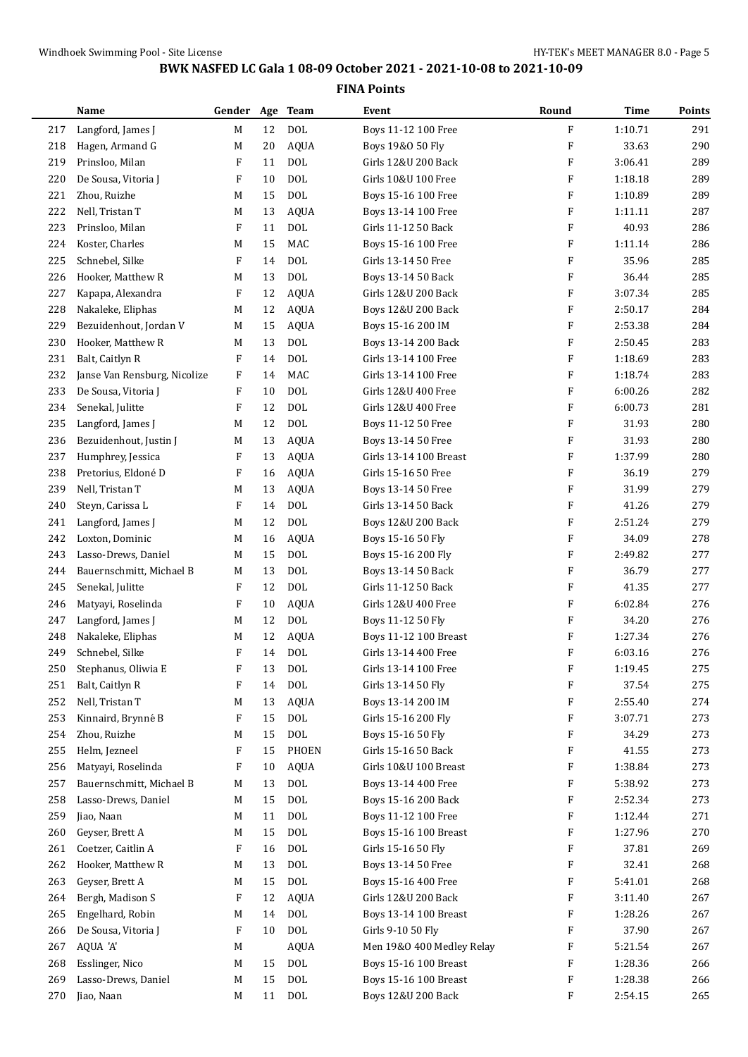|     | Name                         | Gender Age Team |    |             | Event                        | Round                     | Time    | Points |
|-----|------------------------------|-----------------|----|-------------|------------------------------|---------------------------|---------|--------|
| 217 | Langford, James J            | M               | 12 | <b>DOL</b>  | Boys 11-12 100 Free          | $\boldsymbol{\mathrm{F}}$ | 1:10.71 | 291    |
| 218 | Hagen, Armand G              | M               | 20 | <b>AQUA</b> | Boys 19&0 50 Fly             | F                         | 33.63   | 290    |
| 219 | Prinsloo, Milan              | F               | 11 | <b>DOL</b>  | Girls 12&U 200 Back          | F                         | 3:06.41 | 289    |
| 220 | De Sousa, Vitoria J          | F               | 10 | <b>DOL</b>  | Girls 10&U 100 Free          | $\boldsymbol{\mathrm{F}}$ | 1:18.18 | 289    |
| 221 | Zhou, Ruizhe                 | M               | 15 | <b>DOL</b>  | Boys 15-16 100 Free          | F                         | 1:10.89 | 289    |
| 222 | Nell, Tristan T              | M               | 13 | AQUA        | Boys 13-14 100 Free          | F                         | 1:11.11 | 287    |
| 223 | Prinsloo, Milan              | F               | 11 | <b>DOL</b>  | Girls 11-12 50 Back          | $\boldsymbol{\mathrm{F}}$ | 40.93   | 286    |
| 224 | Koster, Charles              | M               | 15 | <b>MAC</b>  | Boys 15-16 100 Free          | F                         | 1:11.14 | 286    |
| 225 | Schnebel, Silke              | F               | 14 | <b>DOL</b>  | Girls 13-14 50 Free          | F                         | 35.96   | 285    |
| 226 | Hooker, Matthew R            | M               | 13 | <b>DOL</b>  | Boys 13-14 50 Back           | $\boldsymbol{\mathrm{F}}$ | 36.44   | 285    |
| 227 | Kapapa, Alexandra            | F               | 12 | <b>AQUA</b> | Girls 12&U 200 Back          | F                         | 3:07.34 | 285    |
| 228 | Nakaleke, Eliphas            | M               | 12 | AQUA        | Boys 12&U 200 Back           | $\boldsymbol{\mathrm{F}}$ | 2:50.17 | 284    |
| 229 | Bezuidenhout, Jordan V       | M               | 15 | <b>AQUA</b> | Boys 15-16 200 IM            | $\boldsymbol{\mathrm{F}}$ | 2:53.38 | 284    |
| 230 | Hooker, Matthew R            | M               | 13 | DOL         | Boys 13-14 200 Back          | F                         | 2:50.45 | 283    |
| 231 | Balt, Caitlyn R              | F               | 14 | <b>DOL</b>  | Girls 13-14 100 Free         | F                         | 1:18.69 | 283    |
| 232 | Janse Van Rensburg, Nicolize | F               | 14 | <b>MAC</b>  | Girls 13-14 100 Free         | $\boldsymbol{\mathrm{F}}$ | 1:18.74 | 283    |
| 233 | De Sousa, Vitoria J          | F               | 10 | <b>DOL</b>  | Girls 12&U 400 Free          | $\boldsymbol{\mathrm{F}}$ | 6:00.26 | 282    |
| 234 | Senekal, Julitte             | F               | 12 | <b>DOL</b>  | Girls 12&U 400 Free          | $\boldsymbol{\mathrm{F}}$ | 6:00.73 | 281    |
| 235 | Langford, James J            | M               | 12 | <b>DOL</b>  | Boys 11-12 50 Free           | $\boldsymbol{\mathrm{F}}$ | 31.93   | 280    |
| 236 | Bezuidenhout, Justin J       | M               | 13 | <b>AQUA</b> | Boys 13-14 50 Free           | F                         | 31.93   | 280    |
| 237 | Humphrey, Jessica            | F               | 13 | <b>AQUA</b> | Girls 13-14 100 Breast       | F                         | 1:37.99 | 280    |
| 238 | Pretorius, Eldoné D          | F               | 16 | <b>AQUA</b> | Girls 15-16 50 Free          | $\boldsymbol{\mathrm{F}}$ | 36.19   | 279    |
| 239 | Nell, Tristan T              | M               | 13 | <b>AQUA</b> | Boys 13-14 50 Free           | F                         | 31.99   | 279    |
| 240 | Steyn, Carissa L             | F               | 14 | <b>DOL</b>  | Girls 13-14 50 Back          | $\boldsymbol{\mathrm{F}}$ | 41.26   | 279    |
| 241 | Langford, James J            | M               | 12 | <b>DOL</b>  | Boys 12&U 200 Back           | $\boldsymbol{\mathrm{F}}$ | 2:51.24 | 279    |
| 242 | Loxton, Dominic              | M               | 16 | <b>AQUA</b> | Boys 15-16 50 Fly            | F                         | 34.09   | 278    |
| 243 | Lasso-Drews, Daniel          | M               | 15 | <b>DOL</b>  | Boys 15-16 200 Fly           | F                         | 2:49.82 | 277    |
| 244 | Bauernschmitt, Michael B     | M               | 13 | <b>DOL</b>  | Boys 13-14 50 Back           | $\boldsymbol{\mathrm{F}}$ | 36.79   | 277    |
| 245 | Senekal, Julitte             | F               | 12 | <b>DOL</b>  | Girls 11-12 50 Back          | $\boldsymbol{\mathrm{F}}$ | 41.35   | 277    |
| 246 | Matyayi, Roselinda           | F               | 10 | AQUA        | Girls 12&U 400 Free          | $\boldsymbol{\mathrm{F}}$ | 6:02.84 | 276    |
| 247 | Langford, James J            | M               | 12 | <b>DOL</b>  | Boys 11-12 50 Fly            | F                         | 34.20   | 276    |
| 248 | Nakaleke, Eliphas            | M               | 12 | <b>AQUA</b> | <b>Boys 11-12 100 Breast</b> | F                         | 1:27.34 | 276    |
| 249 | Schnebel, Silke              | F               | 14 | <b>DOL</b>  | Girls 13-14 400 Free         | F                         | 6:03.16 | 276    |
| 250 | Stephanus, Oliwia E          | F               | 13 | <b>DOL</b>  | Girls 13-14 100 Free         | $\boldsymbol{\mathrm{F}}$ | 1:19.45 | 275    |
| 251 | Balt, Caitlyn R              | F               | 14 | <b>DOL</b>  | Girls 13-14 50 Fly           | F                         | 37.54   | 275    |
| 252 | Nell, Tristan T              | M               | 13 | AQUA        | Boys 13-14 200 IM            | F                         | 2:55.40 | 274    |
| 253 | Kinnaird, Brynné B           | F               | 15 | <b>DOL</b>  | Girls 15-16 200 Fly          | F                         | 3:07.71 | 273    |
| 254 | Zhou, Ruizhe                 | M               | 15 | <b>DOL</b>  | Boys 15-16 50 Fly            | F                         | 34.29   | 273    |
| 255 | Helm, Jezneel                | F               | 15 | PHOEN       | Girls 15-16 50 Back          | F                         | 41.55   | 273    |
| 256 | Matyayi, Roselinda           | F               | 10 | <b>AQUA</b> | Girls 10&U 100 Breast        | F                         | 1:38.84 | 273    |
| 257 | Bauernschmitt, Michael B     | M               | 13 | <b>DOL</b>  | Boys 13-14 400 Free          | F                         | 5:38.92 | 273    |
| 258 | Lasso-Drews, Daniel          | M               | 15 | <b>DOL</b>  | Boys 15-16 200 Back          | F                         | 2:52.34 | 273    |
| 259 | Jiao, Naan                   | M               | 11 | <b>DOL</b>  | Boys 11-12 100 Free          | F                         | 1:12.44 | 271    |
| 260 | Geyser, Brett A              | M               | 15 | <b>DOL</b>  | Boys 15-16 100 Breast        | F                         | 1:27.96 | 270    |
| 261 | Coetzer, Caitlin A           | F               | 16 | <b>DOL</b>  | Girls 15-16 50 Fly           | F                         | 37.81   | 269    |
| 262 | Hooker, Matthew R            | M               | 13 | <b>DOL</b>  | Boys 13-14 50 Free           | F                         | 32.41   | 268    |
| 263 | Geyser, Brett A              | M               | 15 | <b>DOL</b>  | Boys 15-16 400 Free          | F                         | 5:41.01 | 268    |
| 264 | Bergh, Madison S             | F               | 12 | AQUA        | Girls 12&U 200 Back          | F                         | 3:11.40 | 267    |
| 265 | Engelhard, Robin             | M               | 14 | <b>DOL</b>  | Boys 13-14 100 Breast        | F                         | 1:28.26 | 267    |
| 266 | De Sousa, Vitoria J          | F               | 10 | <b>DOL</b>  | Girls 9-10 50 Fly            | F                         | 37.90   | 267    |
| 267 | AQUA 'A'                     | M               |    | <b>AQUA</b> | Men 19&0 400 Medley Relay    | F                         | 5:21.54 | 267    |
| 268 | Esslinger, Nico              | M               | 15 | <b>DOL</b>  | Boys 15-16 100 Breast        | F                         | 1:28.36 | 266    |
| 269 | Lasso-Drews, Daniel          | M               | 15 | <b>DOL</b>  | Boys 15-16 100 Breast        | F                         | 1:28.38 | 266    |
| 270 | Jiao, Naan                   | M               | 11 | <b>DOL</b>  | Boys 12&U 200 Back           | F                         | 2:54.15 | 265    |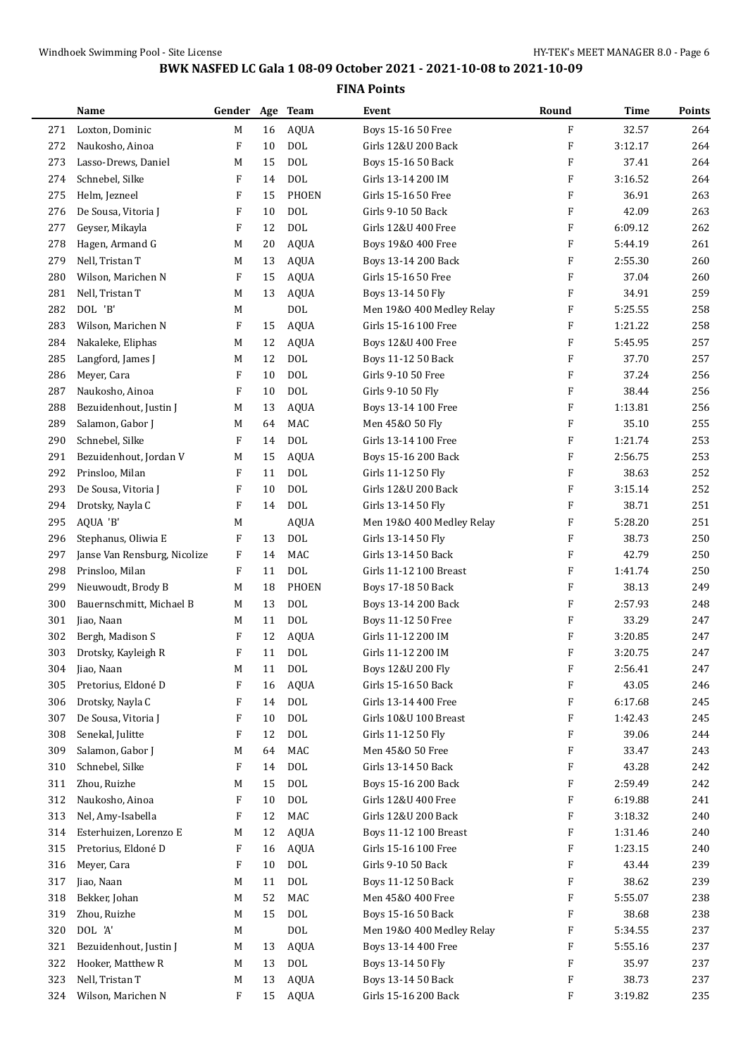|     | Name                         | Gender Age Team |    |              | Event                     | Round                     | Time    | <b>Points</b> |
|-----|------------------------------|-----------------|----|--------------|---------------------------|---------------------------|---------|---------------|
| 271 | Loxton, Dominic              | М               | 16 | <b>AQUA</b>  | Boys 15-16 50 Free        | $\rm F$                   | 32.57   | 264           |
| 272 | Naukosho, Ainoa              | F               | 10 | <b>DOL</b>   | Girls 12&U 200 Back       | F                         | 3:12.17 | 264           |
| 273 | Lasso-Drews, Daniel          | M               | 15 | <b>DOL</b>   | Boys 15-16 50 Back        | F                         | 37.41   | 264           |
| 274 | Schnebel, Silke              | F               | 14 | <b>DOL</b>   | Girls 13-14 200 IM        | F                         | 3:16.52 | 264           |
| 275 | Helm, Jezneel                | F               | 15 | <b>PHOEN</b> | Girls 15-16 50 Free       | F                         | 36.91   | 263           |
| 276 | De Sousa, Vitoria J          | F               | 10 | <b>DOL</b>   | Girls 9-10 50 Back        | F                         | 42.09   | 263           |
| 277 | Geyser, Mikayla              | F               | 12 | <b>DOL</b>   | Girls 12&U 400 Free       | F                         | 6:09.12 | 262           |
| 278 | Hagen, Armand G              | M               | 20 | <b>AQUA</b>  | Boys 19&0 400 Free        | F                         | 5:44.19 | 261           |
| 279 | Nell, Tristan T              | M               | 13 | <b>AQUA</b>  | Boys 13-14 200 Back       | F                         | 2:55.30 | 260           |
| 280 | Wilson, Marichen N           | F               | 15 | <b>AQUA</b>  | Girls 15-16 50 Free       | F                         | 37.04   | 260           |
| 281 | Nell, Tristan T              | M               | 13 | <b>AQUA</b>  | Boys 13-14 50 Fly         | F                         | 34.91   | 259           |
| 282 | DOL 'B'                      | M               |    | <b>DOL</b>   | Men 19&0 400 Medley Relay | F                         | 5:25.55 | 258           |
| 283 | Wilson, Marichen N           | F               | 15 | <b>AQUA</b>  | Girls 15-16 100 Free      | F                         | 1:21.22 | 258           |
| 284 | Nakaleke, Eliphas            | M               | 12 | <b>AQUA</b>  | Boys 12&U 400 Free        | F                         | 5:45.95 | 257           |
| 285 | Langford, James J            | M               | 12 | <b>DOL</b>   | Boys 11-12 50 Back        | F                         | 37.70   | 257           |
| 286 | Meyer, Cara                  | F               | 10 | <b>DOL</b>   | Girls 9-10 50 Free        | F                         | 37.24   | 256           |
| 287 | Naukosho, Ainoa              | F               | 10 | <b>DOL</b>   | Girls 9-10 50 Fly         | F                         | 38.44   | 256           |
| 288 | Bezuidenhout, Justin J       | M               | 13 | <b>AQUA</b>  | Boys 13-14 100 Free       | F                         | 1:13.81 | 256           |
| 289 | Salamon, Gabor J             | М               | 64 | MAC          | Men 45&0 50 Fly           | F                         | 35.10   | 255           |
| 290 | Schnebel, Silke              | F               | 14 | <b>DOL</b>   | Girls 13-14 100 Free      | F                         | 1:21.74 | 253           |
| 291 | Bezuidenhout, Jordan V       | M               | 15 | <b>AQUA</b>  | Boys 15-16 200 Back       | F                         | 2:56.75 | 253           |
| 292 | Prinsloo, Milan              | F               | 11 | <b>DOL</b>   | Girls 11-12 50 Fly        | F                         | 38.63   | 252           |
| 293 | De Sousa, Vitoria J          | F               | 10 | <b>DOL</b>   | Girls 12&U 200 Back       | F                         | 3:15.14 | 252           |
| 294 | Drotsky, Nayla C             | F               | 14 | <b>DOL</b>   | Girls 13-14 50 Fly        | F                         | 38.71   | 251           |
| 295 | AQUA 'B'                     | М               |    | <b>AQUA</b>  | Men 19&0 400 Medley Relay | F                         | 5:28.20 | 251           |
| 296 | Stephanus, Oliwia E          | F               | 13 | <b>DOL</b>   | Girls 13-14 50 Fly        | F                         | 38.73   | 250           |
| 297 | Janse Van Rensburg, Nicolize | F               | 14 | MAC          | Girls 13-14 50 Back       | F                         | 42.79   | 250           |
| 298 | Prinsloo, Milan              | F               | 11 | <b>DOL</b>   | Girls 11-12 100 Breast    | $\boldsymbol{\mathrm{F}}$ | 1:41.74 | 250           |
| 299 | Nieuwoudt, Brody B           | M               | 18 | <b>PHOEN</b> | Boys 17-18 50 Back        | F                         | 38.13   | 249           |
| 300 | Bauernschmitt, Michael B     | M               | 13 | <b>DOL</b>   | Boys 13-14 200 Back       | F                         | 2:57.93 | 248           |
| 301 | Jiao, Naan                   | М               | 11 | <b>DOL</b>   | Boys 11-12 50 Free        | F                         | 33.29   | 247           |
| 302 | Bergh, Madison S             | F               | 12 | <b>AQUA</b>  | Girls 11-12 200 IM        | F                         | 3:20.85 | 247           |
| 303 | Drotsky, Kayleigh R          | F               | 11 | <b>DOL</b>   | Girls 11-12 200 IM        | F                         | 3:20.75 | 247           |
| 304 | Jiao, Naan                   | М               | 11 | DOL          | Boys 12&U 200 Fly         | $\boldsymbol{\mathrm{F}}$ | 2:56.41 | 247           |
| 305 | Pretorius, Eldoné D          | F               | 16 | <b>AQUA</b>  | Girls 15-16 50 Back       | F                         | 43.05   | 246           |
| 306 | Drotsky, Nayla C             | F               | 14 | <b>DOL</b>   | Girls 13-14 400 Free      | F                         | 6:17.68 | 245           |
| 307 | De Sousa, Vitoria J          | F               | 10 | $\text{DOL}$ | Girls 10&U 100 Breast     | F                         | 1:42.43 | 245           |
| 308 | Senekal, Julitte             | F               | 12 | DOL          | Girls 11-12 50 Fly        | F                         | 39.06   | 244           |
| 309 | Salamon, Gabor J             | M               | 64 | MAC          | Men 45&0 50 Free          | F                         | 33.47   | 243           |
| 310 | Schnebel, Silke              | F               | 14 | <b>DOL</b>   | Girls 13-14 50 Back       | F                         | 43.28   | 242           |
| 311 | Zhou, Ruizhe                 | M               | 15 | <b>DOL</b>   | Boys 15-16 200 Back       | F                         | 2:59.49 | 242           |
| 312 | Naukosho, Ainoa              | F               | 10 | <b>DOL</b>   | Girls 12&U 400 Free       | F                         | 6:19.88 | 241           |
| 313 | Nel, Amy-Isabella            | F               | 12 | MAC          | Girls 12&U 200 Back       | F                         | 3:18.32 | 240           |
| 314 | Esterhuizen, Lorenzo E       | M               | 12 | <b>AQUA</b>  | Boys 11-12 100 Breast     | F                         | 1:31.46 | 240           |
| 315 | Pretorius, Eldoné D          | F               | 16 | <b>AQUA</b>  | Girls 15-16 100 Free      | F                         | 1:23.15 | 240           |
| 316 | Meyer, Cara                  | F               | 10 | <b>DOL</b>   | Girls 9-10 50 Back        | F                         | 43.44   | 239           |
| 317 | Jiao, Naan                   | M               | 11 | <b>DOL</b>   | Boys 11-12 50 Back        | F                         | 38.62   | 239           |
| 318 | Bekker, Johan                | M               | 52 | MAC          | Men 45&0 400 Free         | F                         | 5:55.07 | 238           |
| 319 | Zhou, Ruizhe                 | М               | 15 | $\text{DOL}$ | Boys 15-16 50 Back        | F                         | 38.68   | 238           |
| 320 | DOL 'A'                      | M               |    | DOL          | Men 19&0 400 Medley Relay | F                         | 5:34.55 | 237           |
| 321 | Bezuidenhout, Justin J       | M               | 13 | <b>AQUA</b>  | Boys 13-14 400 Free       | F                         | 5:55.16 | 237           |
| 322 | Hooker, Matthew R            | М               | 13 | DOL          | Boys 13-14 50 Fly         | F                         | 35.97   | 237           |
| 323 | Nell, Tristan T              | M               | 13 | <b>AQUA</b>  | Boys 13-14 50 Back        | F                         | 38.73   | 237           |
| 324 | Wilson, Marichen N           | F               | 15 | AQUA         | Girls 15-16 200 Back      | F                         | 3:19.82 | 235           |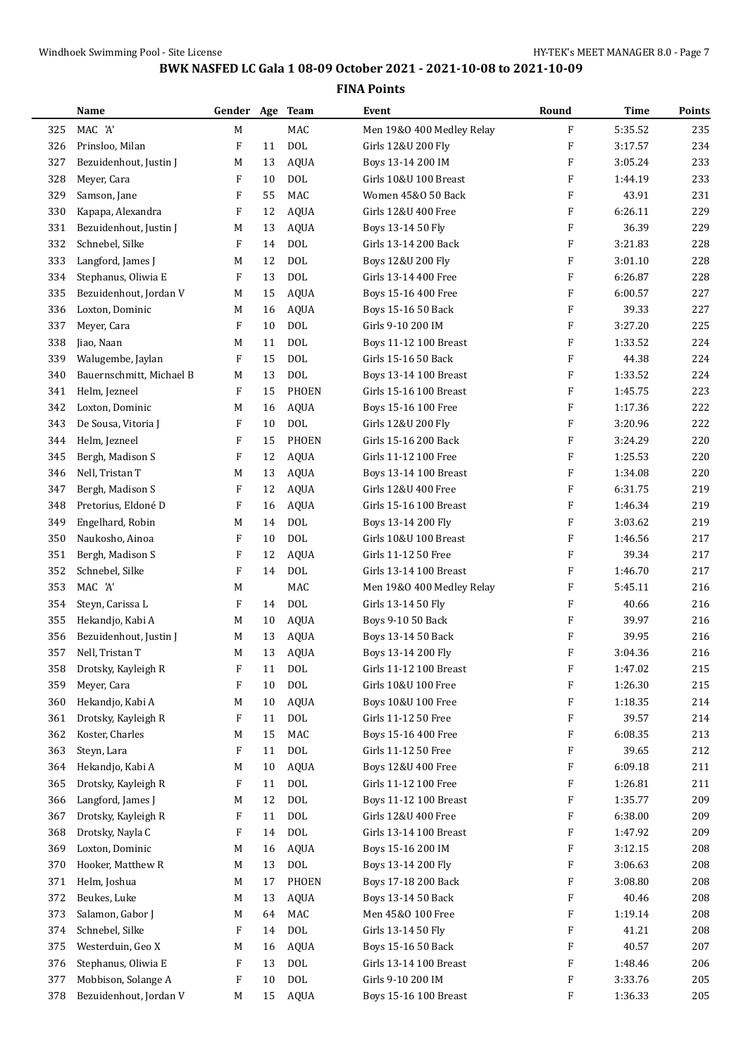|     | Name                     | Gender Age Team           |    |              | Event                     | Round     | Time    | Points |
|-----|--------------------------|---------------------------|----|--------------|---------------------------|-----------|---------|--------|
| 325 | MAC 'A'                  | M                         |    | MAC          | Men 19&0 400 Medley Relay | ${\bf F}$ | 5:35.52 | 235    |
| 326 | Prinsloo, Milan          | F                         | 11 | <b>DOL</b>   | Girls 12&U 200 Fly        | F         | 3:17.57 | 234    |
| 327 | Bezuidenhout, Justin J   | M                         | 13 | <b>AQUA</b>  | Boys 13-14 200 IM         | F         | 3:05.24 | 233    |
| 328 | Meyer, Cara              | $\boldsymbol{\mathrm{F}}$ | 10 | <b>DOL</b>   | Girls 10&U 100 Breast     | F         | 1:44.19 | 233    |
| 329 | Samson, Jane             | F                         | 55 | <b>MAC</b>   | Women 45&0 50 Back        | F         | 43.91   | 231    |
| 330 | Kapapa, Alexandra        | F                         | 12 | <b>AQUA</b>  | Girls 12&U 400 Free       | F         | 6:26.11 | 229    |
| 331 | Bezuidenhout, Justin J   | M                         | 13 | <b>AQUA</b>  | Boys 13-14 50 Fly         | F         | 36.39   | 229    |
| 332 | Schnebel, Silke          | F                         | 14 | DOL          | Girls 13-14 200 Back      | F         | 3:21.83 | 228    |
| 333 | Langford, James J        | M                         | 12 | <b>DOL</b>   | Boys 12&U 200 Fly         | F         | 3:01.10 | 228    |
| 334 | Stephanus, Oliwia E      | F                         | 13 | <b>DOL</b>   | Girls 13-14 400 Free      | F         | 6:26.87 | 228    |
| 335 | Bezuidenhout, Jordan V   | M                         | 15 | <b>AQUA</b>  | Boys 15-16 400 Free       | F         | 6:00.57 | 227    |
| 336 | Loxton, Dominic          | М                         | 16 | <b>AQUA</b>  | Boys 15-16 50 Back        | F         | 39.33   | 227    |
| 337 | Meyer, Cara              | F                         | 10 | <b>DOL</b>   | Girls 9-10 200 IM         | F         | 3:27.20 | 225    |
| 338 | Jiao, Naan               | M                         | 11 | <b>DOL</b>   | Boys 11-12 100 Breast     | F         | 1:33.52 | 224    |
| 339 | Walugembe, Jaylan        | F                         | 15 | <b>DOL</b>   | Girls 15-16 50 Back       | F         | 44.38   | 224    |
| 340 | Bauernschmitt, Michael B | M                         | 13 | <b>DOL</b>   | Boys 13-14 100 Breast     | F         | 1:33.52 | 224    |
| 341 | Helm, Jezneel            | F                         | 15 | <b>PHOEN</b> | Girls 15-16 100 Breast    | F         | 1:45.75 | 223    |
| 342 | Loxton, Dominic          | M                         | 16 | <b>AQUA</b>  | Boys 15-16 100 Free       | F         | 1:17.36 | 222    |
| 343 | De Sousa, Vitoria J      | F                         | 10 | <b>DOL</b>   | Girls 12&U 200 Fly        | F         | 3:20.96 | 222    |
| 344 | Helm, Jezneel            | F                         | 15 | <b>PHOEN</b> | Girls 15-16 200 Back      | F         | 3:24.29 | 220    |
| 345 | Bergh, Madison S         | F                         | 12 | <b>AQUA</b>  | Girls 11-12 100 Free      | F         | 1:25.53 | 220    |
| 346 | Nell, Tristan T          | M                         | 13 | <b>AQUA</b>  | Boys 13-14 100 Breast     | F         | 1:34.08 | 220    |
| 347 | Bergh, Madison S         | F                         | 12 | <b>AQUA</b>  | Girls 12&U 400 Free       | F         | 6:31.75 | 219    |
| 348 | Pretorius, Eldoné D      | F                         | 16 | <b>AQUA</b>  | Girls 15-16 100 Breast    | F         | 1:46.34 | 219    |
| 349 | Engelhard, Robin         | M                         | 14 | <b>DOL</b>   | Boys 13-14 200 Fly        | F         | 3:03.62 | 219    |
| 350 | Naukosho, Ainoa          | F                         | 10 | <b>DOL</b>   | Girls 10&U 100 Breast     | F         | 1:46.56 | 217    |
| 351 | Bergh, Madison S         | F                         | 12 | <b>AQUA</b>  | Girls 11-12 50 Free       | F         | 39.34   | 217    |
| 352 | Schnebel, Silke          | $\boldsymbol{\mathrm{F}}$ | 14 | <b>DOL</b>   | Girls 13-14 100 Breast    | F         | 1:46.70 | 217    |
| 353 | MAC 'A'                  | M                         |    | MAC          | Men 19&0 400 Medley Relay | F         | 5:45.11 | 216    |
| 354 | Steyn, Carissa L         | F                         | 14 | <b>DOL</b>   | Girls 13-14 50 Fly        | F         | 40.66   | 216    |
| 355 | Hekandjo, Kabi A         | M                         | 10 | <b>AQUA</b>  | Boys 9-10 50 Back         | F         | 39.97   | 216    |
| 356 | Bezuidenhout, Justin J   | M                         | 13 | <b>AQUA</b>  | Boys 13-14 50 Back        | F         | 39.95   | 216    |
| 357 | Nell, Tristan T          | М                         | 13 | <b>AQUA</b>  | Boys 13-14 200 Fly        | F         | 3:04.36 | 216    |
| 358 | Drotsky, Kayleigh R      | F                         | 11 | <b>DOL</b>   | Girls 11-12 100 Breast    | F         | 1:47.02 | 215    |
| 359 | Meyer, Cara              | F                         | 10 | <b>DOL</b>   | Girls 10&U 100 Free       | F         | 1:26.30 | 215    |
| 360 | Hekandjo, Kabi A         | M                         | 10 | AQUA         | Boys 10&U 100 Free        | F         | 1:18.35 | 214    |
| 361 | Drotsky, Kayleigh R      | F                         | 11 | <b>DOL</b>   | Girls 11-12 50 Free       | F         | 39.57   | 214    |
| 362 | Koster, Charles          | M                         | 15 | MAC          | Boys 15-16 400 Free       | F         | 6:08.35 | 213    |
| 363 | Steyn, Lara              | F                         | 11 | <b>DOL</b>   | Girls 11-12 50 Free       | F         | 39.65   | 212    |
| 364 | Hekandjo, Kabi A         | M                         | 10 | <b>AQUA</b>  | Boys 12&U 400 Free        | F         | 6:09.18 | 211    |
| 365 | Drotsky, Kayleigh R      | F                         | 11 | DOL          | Girls 11-12 100 Free      | F         | 1:26.81 | 211    |
| 366 | Langford, James J        | M                         | 12 | <b>DOL</b>   | Boys 11-12 100 Breast     | F         | 1:35.77 | 209    |
| 367 | Drotsky, Kayleigh R      | F                         | 11 | <b>DOL</b>   | Girls 12&U 400 Free       | F         | 6:38.00 | 209    |
| 368 | Drotsky, Nayla C         | F                         | 14 | <b>DOL</b>   | Girls 13-14 100 Breast    | F         | 1:47.92 | 209    |
| 369 | Loxton, Dominic          | M                         | 16 | <b>AQUA</b>  | Boys 15-16 200 IM         | F         | 3:12.15 | 208    |
| 370 | Hooker, Matthew R        | M                         | 13 | <b>DOL</b>   | Boys 13-14 200 Fly        | F         | 3:06.63 | 208    |
| 371 | Helm, Joshua             | M                         | 17 | PHOEN        | Boys 17-18 200 Back       | F         | 3:08.80 | 208    |
| 372 | Beukes, Luke             | M                         | 13 | <b>AQUA</b>  | Boys 13-14 50 Back        | F         | 40.46   | 208    |
| 373 | Salamon, Gabor J         | M                         | 64 | MAC          | Men 45&0 100 Free         | F         | 1:19.14 | 208    |
| 374 | Schnebel, Silke          | F                         | 14 | $\text{DOL}$ | Girls 13-14 50 Fly        | F         | 41.21   | 208    |
| 375 | Westerduin, Geo X        | M                         | 16 | <b>AQUA</b>  | Boys 15-16 50 Back        | F         | 40.57   | 207    |
| 376 | Stephanus, Oliwia E      | F                         | 13 | <b>DOL</b>   | Girls 13-14 100 Breast    | F         | 1:48.46 | 206    |
| 377 | Mobbison, Solange A      | F                         | 10 | <b>DOL</b>   | Girls 9-10 200 IM         | F         | 3:33.76 | 205    |
| 378 | Bezuidenhout, Jordan V   | M                         | 15 | <b>AQUA</b>  | Boys 15-16 100 Breast     | F         | 1:36.33 | 205    |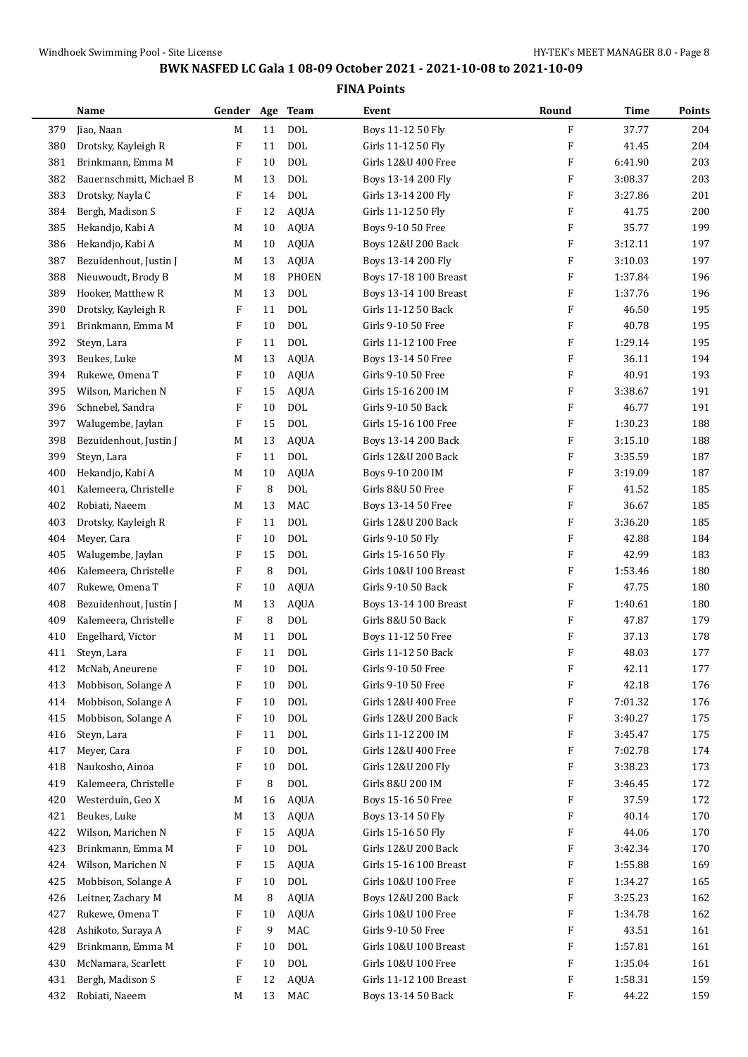| <b>DOL</b><br>F<br>M<br>11<br>37.77<br>204<br>379<br>Jiao, Naan<br>Boys 11-12 50 Fly<br><b>DOL</b><br>F<br>204<br>F<br>11<br>41.45<br>380<br>Drotsky, Kayleigh R<br>Girls 11-12 50 Fly<br><b>DOL</b><br>F<br>203<br>381<br>Brinkmann, Emma M<br>F<br>10<br>Girls 12&U 400 Free<br>6:41.90<br><b>DOL</b><br>F<br>3:08.37<br>203<br>382<br>Bauernschmitt, Michael B<br>13<br>M<br>Boys 13-14 200 Fly<br><b>DOL</b><br>F<br>201<br>Drotsky, Nayla C<br>F<br>14<br>3:27.86<br>383<br>Girls 13-14 200 Fly<br>$\boldsymbol{\mathrm{F}}$<br>F<br>200<br>Bergh, Madison S<br>12<br><b>AQUA</b><br>41.75<br>384<br>Girls 11-12 50 Fly<br><b>AQUA</b><br>F<br>199<br>385<br>Hekandjo, Kabi A<br>M<br>10<br>Boys 9-10 50 Free<br>35.77<br>$\boldsymbol{\mathrm{F}}$<br>3:12.11<br>197<br>Hekandjo, Kabi A<br><b>AQUA</b><br>386<br>М<br>10<br>Boys 12&U 200 Back<br>F<br>3:10.03<br>197<br>387<br>Bezuidenhout, Justin J<br><b>AQUA</b><br>М<br>13<br>Boys 13-14 200 Fly<br>Nieuwoudt, Brody B<br><b>PHOEN</b><br>F<br>196<br>388<br>18<br>Boys 17-18 100 Breast<br>1:37.84<br>M<br><b>DOL</b><br>F<br>196<br>Hooker, Matthew R<br>13<br>1:37.76<br>389<br>М<br>Boys 13-14 100 Breast<br><b>DOL</b><br>F<br>195<br>F<br>11<br>46.50<br>390<br>Drotsky, Kayleigh R<br>Girls 11-12 50 Back<br><b>DOL</b><br>F<br>195<br>391<br>Brinkmann, Emma M<br>F<br>10<br>Girls 9-10 50 Free<br>40.78<br><b>DOL</b><br>F<br>1:29.14<br>195<br>Steyn, Lara<br>F<br>Girls 11-12 100 Free<br>392<br>11<br>F<br>36.11<br>194<br>393<br>Beukes, Luke<br>13<br><b>AQUA</b><br>M<br>Boys 13-14 50 Free<br>193<br>Rukewe, Omena T<br>F<br>40.91<br>394<br>F<br>10<br><b>AQUA</b><br>Girls 9-10 50 Free<br>F<br>191<br>Wilson, Marichen N<br>F<br>15<br><b>AQUA</b><br>Girls 15-16 200 IM<br>3:38.67<br>395<br>$\boldsymbol{\mathrm{F}}$<br><b>DOL</b><br>F<br>191<br>Schnebel, Sandra<br>10<br>Girls 9-10 50 Back<br>46.77<br>396<br><b>DOL</b><br>F<br>1:30.23<br>188<br>397<br>Walugembe, Jaylan<br>F<br>15<br>Girls 15-16 100 Free<br><b>AQUA</b><br>$\boldsymbol{\mathrm{F}}$<br>188<br>Bezuidenhout, Justin J<br>13<br>3:15.10<br>398<br>М<br>Boys 13-14 200 Back<br><b>DOL</b><br>F<br>187<br>399<br>Steyn, Lara<br>F<br>3:35.59<br>11<br>Girls 12&U 200 Back<br><b>AQUA</b><br>F<br>187<br>Hekandjo, Kabi A<br>10<br>Boys 9-10 200 IM<br>3:19.09<br>400<br>М<br>8<br><b>DOL</b><br>F<br>185<br>Kalemeera, Christelle<br>F<br>Girls 8&U 50 Free<br>41.52<br>401<br>MAC<br>F<br>185<br>13<br>36.67<br>402<br>Robiati, Naeem<br>Boys 13-14 50 Free<br>M<br><b>DOL</b><br>F<br>3:36.20<br>185<br>403<br>Drotsky, Kayleigh R<br>F<br>11<br>Girls 12&U 200 Back<br><b>DOL</b><br>F<br>184<br>Meyer, Cara<br>F<br>42.88<br>404<br>10<br>Girls 9-10 50 Fly<br><b>DOL</b><br>F<br>183<br>F<br>15<br>Girls 15-16 50 Fly<br>42.99<br>405<br>Walugembe, Jaylan<br>F<br>8<br><b>DOL</b><br>Girls 10&U 100 Breast<br>F<br>1:53.46<br>180<br>Kalemeera, Christelle<br>406<br>F<br>180<br>Rukewe, Omena T<br>F<br>10<br><b>AQUA</b><br>Girls 9-10 50 Back<br>47.75<br>407<br>F<br>180<br>Bezuidenhout, Justin J<br>13<br>AQUA<br>1:40.61<br>408<br>M<br>Boys 13-14 100 Breast<br>Kalemeera, Christelle<br>8<br><b>DOL</b><br>179<br>409<br>F<br>Girls 8&U 50 Back<br>F<br>47.87<br><b>DOL</b><br>Engelhard, Victor<br>11<br>Boys 11-12 50 Free<br>F<br>37.13<br>178<br>410<br>M<br>$\boldsymbol{\mathrm{F}}$<br><b>DOL</b><br>F<br>177<br>48.03<br>411<br>Steyn, Lara<br>11<br>Girls 11-12 50 Back<br>McNab, Aneurene<br>F<br>10<br><b>DOL</b><br>Girls 9-10 50 Free<br>F<br>42.11<br>177<br>412<br><b>DOL</b><br>F<br>Mobbison, Solange A<br>F<br>10<br>Girls 9-10 50 Free<br>42.18<br>176<br>413<br><b>DOL</b><br>F<br>Mobbison, Solange A<br>F<br>10<br>Girls 12&U 400 Free<br>7:01.32<br>176<br>414<br><b>DOL</b><br>Mobbison, Solange A<br>10<br>Girls 12&U 200 Back<br>F<br>3:40.27<br>175<br>415<br>F<br><b>DOL</b><br>Girls 11-12 200 IM<br>F<br>175<br>416<br>Steyn, Lara<br>F<br>11<br>3:45.47<br>Meyer, Cara<br><b>DOL</b><br>Girls 12&U 400 Free<br>F<br>174<br>417<br>F<br>10<br>7:02.78<br><b>DOL</b><br>418<br>Naukosho, Ainoa<br>F<br>10<br>Girls 12&U 200 Fly<br>F<br>3:38.23<br>173<br><b>DOL</b><br>Kalemeera, Christelle<br>8<br>Girls 8&U 200 IM<br>F<br>172<br>419<br>F<br>3:46.45<br>F<br>Westerduin, Geo X<br><b>AQUA</b><br>37.59<br>172<br>420<br>16<br>Boys 15-16 50 Free<br>M<br>Beukes, Luke<br><b>AQUA</b><br>F<br>40.14<br>170<br>421<br>13<br>Boys 13-14 50 Fly<br>M<br>Wilson, Marichen N<br><b>AQUA</b><br>F<br>44.06<br>170<br>422<br>F<br>15<br>Girls 15-16 50 Fly<br><b>DOL</b><br>Brinkmann, Emma M<br>Girls 12&U 200 Back<br>F<br>3:42.34<br>170<br>423<br>F<br>10<br>Wilson, Marichen N<br>169<br>F<br><b>AQUA</b><br>Girls 15-16 100 Breast<br>F<br>424<br>15<br>1:55.88<br><b>DOL</b><br>Mobbison, Solange A<br>F<br>Girls 10&U 100 Free<br>F<br>165<br>425<br>10<br>1:34.27<br>Leitner, Zachary M<br>8<br><b>AQUA</b><br>F<br>3:25.23<br>162<br>426<br>Boys 12&U 200 Back<br>M<br>Rukewe, Omena T<br>162<br>427<br><b>AQUA</b><br>Girls 10&U 100 Free<br>F<br>1:34.78<br>F<br>10<br>MAC<br>Ashikoto, Suraya A<br>9<br>Girls 9-10 50 Free<br>F<br>43.51<br>161<br>428<br>F<br><b>DOL</b><br>Brinkmann, Emma M<br>Girls 10&U 100 Breast<br>F<br>1:57.81<br>161<br>429<br>F<br>10<br><b>DOL</b><br>430<br>McNamara, Scarlett<br>F<br>10<br>Girls 10&U 100 Free<br>F<br>1:35.04<br>161<br>Bergh, Madison S<br>12<br><b>AQUA</b><br>Girls 11-12 100 Breast<br>F<br>1:58.31<br>159<br>431<br>F<br>F<br>Robiati, Naeem<br>MAC<br>44.22<br>159<br>432<br>13<br>Boys 13-14 50 Back<br>M | Name | Gender Age Team |  | Event | Round | Time | Points |
|----------------------------------------------------------------------------------------------------------------------------------------------------------------------------------------------------------------------------------------------------------------------------------------------------------------------------------------------------------------------------------------------------------------------------------------------------------------------------------------------------------------------------------------------------------------------------------------------------------------------------------------------------------------------------------------------------------------------------------------------------------------------------------------------------------------------------------------------------------------------------------------------------------------------------------------------------------------------------------------------------------------------------------------------------------------------------------------------------------------------------------------------------------------------------------------------------------------------------------------------------------------------------------------------------------------------------------------------------------------------------------------------------------------------------------------------------------------------------------------------------------------------------------------------------------------------------------------------------------------------------------------------------------------------------------------------------------------------------------------------------------------------------------------------------------------------------------------------------------------------------------------------------------------------------------------------------------------------------------------------------------------------------------------------------------------------------------------------------------------------------------------------------------------------------------------------------------------------------------------------------------------------------------------------------------------------------------------------------------------------------------------------------------------------------------------------------------------------------------------------------------------------------------------------------------------------------------------------------------------------------------------------------------------------------------------------------------------------------------------------------------------------------------------------------------------------------------------------------------------------------------------------------------------------------------------------------------------------------------------------------------------------------------------------------------------------------------------------------------------------------------------------------------------------------------------------------------------------------------------------------------------------------------------------------------------------------------------------------------------------------------------------------------------------------------------------------------------------------------------------------------------------------------------------------------------------------------------------------------------------------------------------------------------------------------------------------------------------------------------------------------------------------------------------------------------------------------------------------------------------------------------------------------------------------------------------------------------------------------------------------------------------------------------------------------------------------------------------------------------------------------------------------------------------------------------------------------------------------------------------------------------------------------------------------------------------------------------------------------------------------------------------------------------------------------------------------------------------------------------------------------------------------------------------------------------------------------------------------------------------------------------------------------------------------------------------------------------------------------------------------------------------------------------------------------------------------------------------------------------------------------------------------------------------------------------------------------------------------------------------------------------------------------------------------------------------------------------------------------------------------------------------------------------------------------------------------------------------------------------------------------------------------------------------------------------------------------------------------------------------------------------------------------------------------------------------------------------------------------------------------------------------------------------------------------------------------------|------|-----------------|--|-------|-------|------|--------|
|                                                                                                                                                                                                                                                                                                                                                                                                                                                                                                                                                                                                                                                                                                                                                                                                                                                                                                                                                                                                                                                                                                                                                                                                                                                                                                                                                                                                                                                                                                                                                                                                                                                                                                                                                                                                                                                                                                                                                                                                                                                                                                                                                                                                                                                                                                                                                                                                                                                                                                                                                                                                                                                                                                                                                                                                                                                                                                                                                                                                                                                                                                                                                                                                                                                                                                                                                                                                                                                                                                                                                                                                                                                                                                                                                                                                                                                                                                                                                                                                                                                                                                                                                                                                                                                                                                                                                                                                                                                                                                                                                                                                                                                                                                                                                                                                                                                                                                                                                                                                                                                                                                                                                                                                                                                                                                                                                                                                                                                                                                                                                                                  |      |                 |  |       |       |      |        |
|                                                                                                                                                                                                                                                                                                                                                                                                                                                                                                                                                                                                                                                                                                                                                                                                                                                                                                                                                                                                                                                                                                                                                                                                                                                                                                                                                                                                                                                                                                                                                                                                                                                                                                                                                                                                                                                                                                                                                                                                                                                                                                                                                                                                                                                                                                                                                                                                                                                                                                                                                                                                                                                                                                                                                                                                                                                                                                                                                                                                                                                                                                                                                                                                                                                                                                                                                                                                                                                                                                                                                                                                                                                                                                                                                                                                                                                                                                                                                                                                                                                                                                                                                                                                                                                                                                                                                                                                                                                                                                                                                                                                                                                                                                                                                                                                                                                                                                                                                                                                                                                                                                                                                                                                                                                                                                                                                                                                                                                                                                                                                                                  |      |                 |  |       |       |      |        |
|                                                                                                                                                                                                                                                                                                                                                                                                                                                                                                                                                                                                                                                                                                                                                                                                                                                                                                                                                                                                                                                                                                                                                                                                                                                                                                                                                                                                                                                                                                                                                                                                                                                                                                                                                                                                                                                                                                                                                                                                                                                                                                                                                                                                                                                                                                                                                                                                                                                                                                                                                                                                                                                                                                                                                                                                                                                                                                                                                                                                                                                                                                                                                                                                                                                                                                                                                                                                                                                                                                                                                                                                                                                                                                                                                                                                                                                                                                                                                                                                                                                                                                                                                                                                                                                                                                                                                                                                                                                                                                                                                                                                                                                                                                                                                                                                                                                                                                                                                                                                                                                                                                                                                                                                                                                                                                                                                                                                                                                                                                                                                                                  |      |                 |  |       |       |      |        |
|                                                                                                                                                                                                                                                                                                                                                                                                                                                                                                                                                                                                                                                                                                                                                                                                                                                                                                                                                                                                                                                                                                                                                                                                                                                                                                                                                                                                                                                                                                                                                                                                                                                                                                                                                                                                                                                                                                                                                                                                                                                                                                                                                                                                                                                                                                                                                                                                                                                                                                                                                                                                                                                                                                                                                                                                                                                                                                                                                                                                                                                                                                                                                                                                                                                                                                                                                                                                                                                                                                                                                                                                                                                                                                                                                                                                                                                                                                                                                                                                                                                                                                                                                                                                                                                                                                                                                                                                                                                                                                                                                                                                                                                                                                                                                                                                                                                                                                                                                                                                                                                                                                                                                                                                                                                                                                                                                                                                                                                                                                                                                                                  |      |                 |  |       |       |      |        |
|                                                                                                                                                                                                                                                                                                                                                                                                                                                                                                                                                                                                                                                                                                                                                                                                                                                                                                                                                                                                                                                                                                                                                                                                                                                                                                                                                                                                                                                                                                                                                                                                                                                                                                                                                                                                                                                                                                                                                                                                                                                                                                                                                                                                                                                                                                                                                                                                                                                                                                                                                                                                                                                                                                                                                                                                                                                                                                                                                                                                                                                                                                                                                                                                                                                                                                                                                                                                                                                                                                                                                                                                                                                                                                                                                                                                                                                                                                                                                                                                                                                                                                                                                                                                                                                                                                                                                                                                                                                                                                                                                                                                                                                                                                                                                                                                                                                                                                                                                                                                                                                                                                                                                                                                                                                                                                                                                                                                                                                                                                                                                                                  |      |                 |  |       |       |      |        |
|                                                                                                                                                                                                                                                                                                                                                                                                                                                                                                                                                                                                                                                                                                                                                                                                                                                                                                                                                                                                                                                                                                                                                                                                                                                                                                                                                                                                                                                                                                                                                                                                                                                                                                                                                                                                                                                                                                                                                                                                                                                                                                                                                                                                                                                                                                                                                                                                                                                                                                                                                                                                                                                                                                                                                                                                                                                                                                                                                                                                                                                                                                                                                                                                                                                                                                                                                                                                                                                                                                                                                                                                                                                                                                                                                                                                                                                                                                                                                                                                                                                                                                                                                                                                                                                                                                                                                                                                                                                                                                                                                                                                                                                                                                                                                                                                                                                                                                                                                                                                                                                                                                                                                                                                                                                                                                                                                                                                                                                                                                                                                                                  |      |                 |  |       |       |      |        |
|                                                                                                                                                                                                                                                                                                                                                                                                                                                                                                                                                                                                                                                                                                                                                                                                                                                                                                                                                                                                                                                                                                                                                                                                                                                                                                                                                                                                                                                                                                                                                                                                                                                                                                                                                                                                                                                                                                                                                                                                                                                                                                                                                                                                                                                                                                                                                                                                                                                                                                                                                                                                                                                                                                                                                                                                                                                                                                                                                                                                                                                                                                                                                                                                                                                                                                                                                                                                                                                                                                                                                                                                                                                                                                                                                                                                                                                                                                                                                                                                                                                                                                                                                                                                                                                                                                                                                                                                                                                                                                                                                                                                                                                                                                                                                                                                                                                                                                                                                                                                                                                                                                                                                                                                                                                                                                                                                                                                                                                                                                                                                                                  |      |                 |  |       |       |      |        |
|                                                                                                                                                                                                                                                                                                                                                                                                                                                                                                                                                                                                                                                                                                                                                                                                                                                                                                                                                                                                                                                                                                                                                                                                                                                                                                                                                                                                                                                                                                                                                                                                                                                                                                                                                                                                                                                                                                                                                                                                                                                                                                                                                                                                                                                                                                                                                                                                                                                                                                                                                                                                                                                                                                                                                                                                                                                                                                                                                                                                                                                                                                                                                                                                                                                                                                                                                                                                                                                                                                                                                                                                                                                                                                                                                                                                                                                                                                                                                                                                                                                                                                                                                                                                                                                                                                                                                                                                                                                                                                                                                                                                                                                                                                                                                                                                                                                                                                                                                                                                                                                                                                                                                                                                                                                                                                                                                                                                                                                                                                                                                                                  |      |                 |  |       |       |      |        |
|                                                                                                                                                                                                                                                                                                                                                                                                                                                                                                                                                                                                                                                                                                                                                                                                                                                                                                                                                                                                                                                                                                                                                                                                                                                                                                                                                                                                                                                                                                                                                                                                                                                                                                                                                                                                                                                                                                                                                                                                                                                                                                                                                                                                                                                                                                                                                                                                                                                                                                                                                                                                                                                                                                                                                                                                                                                                                                                                                                                                                                                                                                                                                                                                                                                                                                                                                                                                                                                                                                                                                                                                                                                                                                                                                                                                                                                                                                                                                                                                                                                                                                                                                                                                                                                                                                                                                                                                                                                                                                                                                                                                                                                                                                                                                                                                                                                                                                                                                                                                                                                                                                                                                                                                                                                                                                                                                                                                                                                                                                                                                                                  |      |                 |  |       |       |      |        |
|                                                                                                                                                                                                                                                                                                                                                                                                                                                                                                                                                                                                                                                                                                                                                                                                                                                                                                                                                                                                                                                                                                                                                                                                                                                                                                                                                                                                                                                                                                                                                                                                                                                                                                                                                                                                                                                                                                                                                                                                                                                                                                                                                                                                                                                                                                                                                                                                                                                                                                                                                                                                                                                                                                                                                                                                                                                                                                                                                                                                                                                                                                                                                                                                                                                                                                                                                                                                                                                                                                                                                                                                                                                                                                                                                                                                                                                                                                                                                                                                                                                                                                                                                                                                                                                                                                                                                                                                                                                                                                                                                                                                                                                                                                                                                                                                                                                                                                                                                                                                                                                                                                                                                                                                                                                                                                                                                                                                                                                                                                                                                                                  |      |                 |  |       |       |      |        |
|                                                                                                                                                                                                                                                                                                                                                                                                                                                                                                                                                                                                                                                                                                                                                                                                                                                                                                                                                                                                                                                                                                                                                                                                                                                                                                                                                                                                                                                                                                                                                                                                                                                                                                                                                                                                                                                                                                                                                                                                                                                                                                                                                                                                                                                                                                                                                                                                                                                                                                                                                                                                                                                                                                                                                                                                                                                                                                                                                                                                                                                                                                                                                                                                                                                                                                                                                                                                                                                                                                                                                                                                                                                                                                                                                                                                                                                                                                                                                                                                                                                                                                                                                                                                                                                                                                                                                                                                                                                                                                                                                                                                                                                                                                                                                                                                                                                                                                                                                                                                                                                                                                                                                                                                                                                                                                                                                                                                                                                                                                                                                                                  |      |                 |  |       |       |      |        |
|                                                                                                                                                                                                                                                                                                                                                                                                                                                                                                                                                                                                                                                                                                                                                                                                                                                                                                                                                                                                                                                                                                                                                                                                                                                                                                                                                                                                                                                                                                                                                                                                                                                                                                                                                                                                                                                                                                                                                                                                                                                                                                                                                                                                                                                                                                                                                                                                                                                                                                                                                                                                                                                                                                                                                                                                                                                                                                                                                                                                                                                                                                                                                                                                                                                                                                                                                                                                                                                                                                                                                                                                                                                                                                                                                                                                                                                                                                                                                                                                                                                                                                                                                                                                                                                                                                                                                                                                                                                                                                                                                                                                                                                                                                                                                                                                                                                                                                                                                                                                                                                                                                                                                                                                                                                                                                                                                                                                                                                                                                                                                                                  |      |                 |  |       |       |      |        |
|                                                                                                                                                                                                                                                                                                                                                                                                                                                                                                                                                                                                                                                                                                                                                                                                                                                                                                                                                                                                                                                                                                                                                                                                                                                                                                                                                                                                                                                                                                                                                                                                                                                                                                                                                                                                                                                                                                                                                                                                                                                                                                                                                                                                                                                                                                                                                                                                                                                                                                                                                                                                                                                                                                                                                                                                                                                                                                                                                                                                                                                                                                                                                                                                                                                                                                                                                                                                                                                                                                                                                                                                                                                                                                                                                                                                                                                                                                                                                                                                                                                                                                                                                                                                                                                                                                                                                                                                                                                                                                                                                                                                                                                                                                                                                                                                                                                                                                                                                                                                                                                                                                                                                                                                                                                                                                                                                                                                                                                                                                                                                                                  |      |                 |  |       |       |      |        |
|                                                                                                                                                                                                                                                                                                                                                                                                                                                                                                                                                                                                                                                                                                                                                                                                                                                                                                                                                                                                                                                                                                                                                                                                                                                                                                                                                                                                                                                                                                                                                                                                                                                                                                                                                                                                                                                                                                                                                                                                                                                                                                                                                                                                                                                                                                                                                                                                                                                                                                                                                                                                                                                                                                                                                                                                                                                                                                                                                                                                                                                                                                                                                                                                                                                                                                                                                                                                                                                                                                                                                                                                                                                                                                                                                                                                                                                                                                                                                                                                                                                                                                                                                                                                                                                                                                                                                                                                                                                                                                                                                                                                                                                                                                                                                                                                                                                                                                                                                                                                                                                                                                                                                                                                                                                                                                                                                                                                                                                                                                                                                                                  |      |                 |  |       |       |      |        |
|                                                                                                                                                                                                                                                                                                                                                                                                                                                                                                                                                                                                                                                                                                                                                                                                                                                                                                                                                                                                                                                                                                                                                                                                                                                                                                                                                                                                                                                                                                                                                                                                                                                                                                                                                                                                                                                                                                                                                                                                                                                                                                                                                                                                                                                                                                                                                                                                                                                                                                                                                                                                                                                                                                                                                                                                                                                                                                                                                                                                                                                                                                                                                                                                                                                                                                                                                                                                                                                                                                                                                                                                                                                                                                                                                                                                                                                                                                                                                                                                                                                                                                                                                                                                                                                                                                                                                                                                                                                                                                                                                                                                                                                                                                                                                                                                                                                                                                                                                                                                                                                                                                                                                                                                                                                                                                                                                                                                                                                                                                                                                                                  |      |                 |  |       |       |      |        |
|                                                                                                                                                                                                                                                                                                                                                                                                                                                                                                                                                                                                                                                                                                                                                                                                                                                                                                                                                                                                                                                                                                                                                                                                                                                                                                                                                                                                                                                                                                                                                                                                                                                                                                                                                                                                                                                                                                                                                                                                                                                                                                                                                                                                                                                                                                                                                                                                                                                                                                                                                                                                                                                                                                                                                                                                                                                                                                                                                                                                                                                                                                                                                                                                                                                                                                                                                                                                                                                                                                                                                                                                                                                                                                                                                                                                                                                                                                                                                                                                                                                                                                                                                                                                                                                                                                                                                                                                                                                                                                                                                                                                                                                                                                                                                                                                                                                                                                                                                                                                                                                                                                                                                                                                                                                                                                                                                                                                                                                                                                                                                                                  |      |                 |  |       |       |      |        |
|                                                                                                                                                                                                                                                                                                                                                                                                                                                                                                                                                                                                                                                                                                                                                                                                                                                                                                                                                                                                                                                                                                                                                                                                                                                                                                                                                                                                                                                                                                                                                                                                                                                                                                                                                                                                                                                                                                                                                                                                                                                                                                                                                                                                                                                                                                                                                                                                                                                                                                                                                                                                                                                                                                                                                                                                                                                                                                                                                                                                                                                                                                                                                                                                                                                                                                                                                                                                                                                                                                                                                                                                                                                                                                                                                                                                                                                                                                                                                                                                                                                                                                                                                                                                                                                                                                                                                                                                                                                                                                                                                                                                                                                                                                                                                                                                                                                                                                                                                                                                                                                                                                                                                                                                                                                                                                                                                                                                                                                                                                                                                                                  |      |                 |  |       |       |      |        |
|                                                                                                                                                                                                                                                                                                                                                                                                                                                                                                                                                                                                                                                                                                                                                                                                                                                                                                                                                                                                                                                                                                                                                                                                                                                                                                                                                                                                                                                                                                                                                                                                                                                                                                                                                                                                                                                                                                                                                                                                                                                                                                                                                                                                                                                                                                                                                                                                                                                                                                                                                                                                                                                                                                                                                                                                                                                                                                                                                                                                                                                                                                                                                                                                                                                                                                                                                                                                                                                                                                                                                                                                                                                                                                                                                                                                                                                                                                                                                                                                                                                                                                                                                                                                                                                                                                                                                                                                                                                                                                                                                                                                                                                                                                                                                                                                                                                                                                                                                                                                                                                                                                                                                                                                                                                                                                                                                                                                                                                                                                                                                                                  |      |                 |  |       |       |      |        |
|                                                                                                                                                                                                                                                                                                                                                                                                                                                                                                                                                                                                                                                                                                                                                                                                                                                                                                                                                                                                                                                                                                                                                                                                                                                                                                                                                                                                                                                                                                                                                                                                                                                                                                                                                                                                                                                                                                                                                                                                                                                                                                                                                                                                                                                                                                                                                                                                                                                                                                                                                                                                                                                                                                                                                                                                                                                                                                                                                                                                                                                                                                                                                                                                                                                                                                                                                                                                                                                                                                                                                                                                                                                                                                                                                                                                                                                                                                                                                                                                                                                                                                                                                                                                                                                                                                                                                                                                                                                                                                                                                                                                                                                                                                                                                                                                                                                                                                                                                                                                                                                                                                                                                                                                                                                                                                                                                                                                                                                                                                                                                                                  |      |                 |  |       |       |      |        |
|                                                                                                                                                                                                                                                                                                                                                                                                                                                                                                                                                                                                                                                                                                                                                                                                                                                                                                                                                                                                                                                                                                                                                                                                                                                                                                                                                                                                                                                                                                                                                                                                                                                                                                                                                                                                                                                                                                                                                                                                                                                                                                                                                                                                                                                                                                                                                                                                                                                                                                                                                                                                                                                                                                                                                                                                                                                                                                                                                                                                                                                                                                                                                                                                                                                                                                                                                                                                                                                                                                                                                                                                                                                                                                                                                                                                                                                                                                                                                                                                                                                                                                                                                                                                                                                                                                                                                                                                                                                                                                                                                                                                                                                                                                                                                                                                                                                                                                                                                                                                                                                                                                                                                                                                                                                                                                                                                                                                                                                                                                                                                                                  |      |                 |  |       |       |      |        |
|                                                                                                                                                                                                                                                                                                                                                                                                                                                                                                                                                                                                                                                                                                                                                                                                                                                                                                                                                                                                                                                                                                                                                                                                                                                                                                                                                                                                                                                                                                                                                                                                                                                                                                                                                                                                                                                                                                                                                                                                                                                                                                                                                                                                                                                                                                                                                                                                                                                                                                                                                                                                                                                                                                                                                                                                                                                                                                                                                                                                                                                                                                                                                                                                                                                                                                                                                                                                                                                                                                                                                                                                                                                                                                                                                                                                                                                                                                                                                                                                                                                                                                                                                                                                                                                                                                                                                                                                                                                                                                                                                                                                                                                                                                                                                                                                                                                                                                                                                                                                                                                                                                                                                                                                                                                                                                                                                                                                                                                                                                                                                                                  |      |                 |  |       |       |      |        |
|                                                                                                                                                                                                                                                                                                                                                                                                                                                                                                                                                                                                                                                                                                                                                                                                                                                                                                                                                                                                                                                                                                                                                                                                                                                                                                                                                                                                                                                                                                                                                                                                                                                                                                                                                                                                                                                                                                                                                                                                                                                                                                                                                                                                                                                                                                                                                                                                                                                                                                                                                                                                                                                                                                                                                                                                                                                                                                                                                                                                                                                                                                                                                                                                                                                                                                                                                                                                                                                                                                                                                                                                                                                                                                                                                                                                                                                                                                                                                                                                                                                                                                                                                                                                                                                                                                                                                                                                                                                                                                                                                                                                                                                                                                                                                                                                                                                                                                                                                                                                                                                                                                                                                                                                                                                                                                                                                                                                                                                                                                                                                                                  |      |                 |  |       |       |      |        |
|                                                                                                                                                                                                                                                                                                                                                                                                                                                                                                                                                                                                                                                                                                                                                                                                                                                                                                                                                                                                                                                                                                                                                                                                                                                                                                                                                                                                                                                                                                                                                                                                                                                                                                                                                                                                                                                                                                                                                                                                                                                                                                                                                                                                                                                                                                                                                                                                                                                                                                                                                                                                                                                                                                                                                                                                                                                                                                                                                                                                                                                                                                                                                                                                                                                                                                                                                                                                                                                                                                                                                                                                                                                                                                                                                                                                                                                                                                                                                                                                                                                                                                                                                                                                                                                                                                                                                                                                                                                                                                                                                                                                                                                                                                                                                                                                                                                                                                                                                                                                                                                                                                                                                                                                                                                                                                                                                                                                                                                                                                                                                                                  |      |                 |  |       |       |      |        |
|                                                                                                                                                                                                                                                                                                                                                                                                                                                                                                                                                                                                                                                                                                                                                                                                                                                                                                                                                                                                                                                                                                                                                                                                                                                                                                                                                                                                                                                                                                                                                                                                                                                                                                                                                                                                                                                                                                                                                                                                                                                                                                                                                                                                                                                                                                                                                                                                                                                                                                                                                                                                                                                                                                                                                                                                                                                                                                                                                                                                                                                                                                                                                                                                                                                                                                                                                                                                                                                                                                                                                                                                                                                                                                                                                                                                                                                                                                                                                                                                                                                                                                                                                                                                                                                                                                                                                                                                                                                                                                                                                                                                                                                                                                                                                                                                                                                                                                                                                                                                                                                                                                                                                                                                                                                                                                                                                                                                                                                                                                                                                                                  |      |                 |  |       |       |      |        |
|                                                                                                                                                                                                                                                                                                                                                                                                                                                                                                                                                                                                                                                                                                                                                                                                                                                                                                                                                                                                                                                                                                                                                                                                                                                                                                                                                                                                                                                                                                                                                                                                                                                                                                                                                                                                                                                                                                                                                                                                                                                                                                                                                                                                                                                                                                                                                                                                                                                                                                                                                                                                                                                                                                                                                                                                                                                                                                                                                                                                                                                                                                                                                                                                                                                                                                                                                                                                                                                                                                                                                                                                                                                                                                                                                                                                                                                                                                                                                                                                                                                                                                                                                                                                                                                                                                                                                                                                                                                                                                                                                                                                                                                                                                                                                                                                                                                                                                                                                                                                                                                                                                                                                                                                                                                                                                                                                                                                                                                                                                                                                                                  |      |                 |  |       |       |      |        |
|                                                                                                                                                                                                                                                                                                                                                                                                                                                                                                                                                                                                                                                                                                                                                                                                                                                                                                                                                                                                                                                                                                                                                                                                                                                                                                                                                                                                                                                                                                                                                                                                                                                                                                                                                                                                                                                                                                                                                                                                                                                                                                                                                                                                                                                                                                                                                                                                                                                                                                                                                                                                                                                                                                                                                                                                                                                                                                                                                                                                                                                                                                                                                                                                                                                                                                                                                                                                                                                                                                                                                                                                                                                                                                                                                                                                                                                                                                                                                                                                                                                                                                                                                                                                                                                                                                                                                                                                                                                                                                                                                                                                                                                                                                                                                                                                                                                                                                                                                                                                                                                                                                                                                                                                                                                                                                                                                                                                                                                                                                                                                                                  |      |                 |  |       |       |      |        |
|                                                                                                                                                                                                                                                                                                                                                                                                                                                                                                                                                                                                                                                                                                                                                                                                                                                                                                                                                                                                                                                                                                                                                                                                                                                                                                                                                                                                                                                                                                                                                                                                                                                                                                                                                                                                                                                                                                                                                                                                                                                                                                                                                                                                                                                                                                                                                                                                                                                                                                                                                                                                                                                                                                                                                                                                                                                                                                                                                                                                                                                                                                                                                                                                                                                                                                                                                                                                                                                                                                                                                                                                                                                                                                                                                                                                                                                                                                                                                                                                                                                                                                                                                                                                                                                                                                                                                                                                                                                                                                                                                                                                                                                                                                                                                                                                                                                                                                                                                                                                                                                                                                                                                                                                                                                                                                                                                                                                                                                                                                                                                                                  |      |                 |  |       |       |      |        |
|                                                                                                                                                                                                                                                                                                                                                                                                                                                                                                                                                                                                                                                                                                                                                                                                                                                                                                                                                                                                                                                                                                                                                                                                                                                                                                                                                                                                                                                                                                                                                                                                                                                                                                                                                                                                                                                                                                                                                                                                                                                                                                                                                                                                                                                                                                                                                                                                                                                                                                                                                                                                                                                                                                                                                                                                                                                                                                                                                                                                                                                                                                                                                                                                                                                                                                                                                                                                                                                                                                                                                                                                                                                                                                                                                                                                                                                                                                                                                                                                                                                                                                                                                                                                                                                                                                                                                                                                                                                                                                                                                                                                                                                                                                                                                                                                                                                                                                                                                                                                                                                                                                                                                                                                                                                                                                                                                                                                                                                                                                                                                                                  |      |                 |  |       |       |      |        |
|                                                                                                                                                                                                                                                                                                                                                                                                                                                                                                                                                                                                                                                                                                                                                                                                                                                                                                                                                                                                                                                                                                                                                                                                                                                                                                                                                                                                                                                                                                                                                                                                                                                                                                                                                                                                                                                                                                                                                                                                                                                                                                                                                                                                                                                                                                                                                                                                                                                                                                                                                                                                                                                                                                                                                                                                                                                                                                                                                                                                                                                                                                                                                                                                                                                                                                                                                                                                                                                                                                                                                                                                                                                                                                                                                                                                                                                                                                                                                                                                                                                                                                                                                                                                                                                                                                                                                                                                                                                                                                                                                                                                                                                                                                                                                                                                                                                                                                                                                                                                                                                                                                                                                                                                                                                                                                                                                                                                                                                                                                                                                                                  |      |                 |  |       |       |      |        |
|                                                                                                                                                                                                                                                                                                                                                                                                                                                                                                                                                                                                                                                                                                                                                                                                                                                                                                                                                                                                                                                                                                                                                                                                                                                                                                                                                                                                                                                                                                                                                                                                                                                                                                                                                                                                                                                                                                                                                                                                                                                                                                                                                                                                                                                                                                                                                                                                                                                                                                                                                                                                                                                                                                                                                                                                                                                                                                                                                                                                                                                                                                                                                                                                                                                                                                                                                                                                                                                                                                                                                                                                                                                                                                                                                                                                                                                                                                                                                                                                                                                                                                                                                                                                                                                                                                                                                                                                                                                                                                                                                                                                                                                                                                                                                                                                                                                                                                                                                                                                                                                                                                                                                                                                                                                                                                                                                                                                                                                                                                                                                                                  |      |                 |  |       |       |      |        |
|                                                                                                                                                                                                                                                                                                                                                                                                                                                                                                                                                                                                                                                                                                                                                                                                                                                                                                                                                                                                                                                                                                                                                                                                                                                                                                                                                                                                                                                                                                                                                                                                                                                                                                                                                                                                                                                                                                                                                                                                                                                                                                                                                                                                                                                                                                                                                                                                                                                                                                                                                                                                                                                                                                                                                                                                                                                                                                                                                                                                                                                                                                                                                                                                                                                                                                                                                                                                                                                                                                                                                                                                                                                                                                                                                                                                                                                                                                                                                                                                                                                                                                                                                                                                                                                                                                                                                                                                                                                                                                                                                                                                                                                                                                                                                                                                                                                                                                                                                                                                                                                                                                                                                                                                                                                                                                                                                                                                                                                                                                                                                                                  |      |                 |  |       |       |      |        |
|                                                                                                                                                                                                                                                                                                                                                                                                                                                                                                                                                                                                                                                                                                                                                                                                                                                                                                                                                                                                                                                                                                                                                                                                                                                                                                                                                                                                                                                                                                                                                                                                                                                                                                                                                                                                                                                                                                                                                                                                                                                                                                                                                                                                                                                                                                                                                                                                                                                                                                                                                                                                                                                                                                                                                                                                                                                                                                                                                                                                                                                                                                                                                                                                                                                                                                                                                                                                                                                                                                                                                                                                                                                                                                                                                                                                                                                                                                                                                                                                                                                                                                                                                                                                                                                                                                                                                                                                                                                                                                                                                                                                                                                                                                                                                                                                                                                                                                                                                                                                                                                                                                                                                                                                                                                                                                                                                                                                                                                                                                                                                                                  |      |                 |  |       |       |      |        |
|                                                                                                                                                                                                                                                                                                                                                                                                                                                                                                                                                                                                                                                                                                                                                                                                                                                                                                                                                                                                                                                                                                                                                                                                                                                                                                                                                                                                                                                                                                                                                                                                                                                                                                                                                                                                                                                                                                                                                                                                                                                                                                                                                                                                                                                                                                                                                                                                                                                                                                                                                                                                                                                                                                                                                                                                                                                                                                                                                                                                                                                                                                                                                                                                                                                                                                                                                                                                                                                                                                                                                                                                                                                                                                                                                                                                                                                                                                                                                                                                                                                                                                                                                                                                                                                                                                                                                                                                                                                                                                                                                                                                                                                                                                                                                                                                                                                                                                                                                                                                                                                                                                                                                                                                                                                                                                                                                                                                                                                                                                                                                                                  |      |                 |  |       |       |      |        |
|                                                                                                                                                                                                                                                                                                                                                                                                                                                                                                                                                                                                                                                                                                                                                                                                                                                                                                                                                                                                                                                                                                                                                                                                                                                                                                                                                                                                                                                                                                                                                                                                                                                                                                                                                                                                                                                                                                                                                                                                                                                                                                                                                                                                                                                                                                                                                                                                                                                                                                                                                                                                                                                                                                                                                                                                                                                                                                                                                                                                                                                                                                                                                                                                                                                                                                                                                                                                                                                                                                                                                                                                                                                                                                                                                                                                                                                                                                                                                                                                                                                                                                                                                                                                                                                                                                                                                                                                                                                                                                                                                                                                                                                                                                                                                                                                                                                                                                                                                                                                                                                                                                                                                                                                                                                                                                                                                                                                                                                                                                                                                                                  |      |                 |  |       |       |      |        |
|                                                                                                                                                                                                                                                                                                                                                                                                                                                                                                                                                                                                                                                                                                                                                                                                                                                                                                                                                                                                                                                                                                                                                                                                                                                                                                                                                                                                                                                                                                                                                                                                                                                                                                                                                                                                                                                                                                                                                                                                                                                                                                                                                                                                                                                                                                                                                                                                                                                                                                                                                                                                                                                                                                                                                                                                                                                                                                                                                                                                                                                                                                                                                                                                                                                                                                                                                                                                                                                                                                                                                                                                                                                                                                                                                                                                                                                                                                                                                                                                                                                                                                                                                                                                                                                                                                                                                                                                                                                                                                                                                                                                                                                                                                                                                                                                                                                                                                                                                                                                                                                                                                                                                                                                                                                                                                                                                                                                                                                                                                                                                                                  |      |                 |  |       |       |      |        |
|                                                                                                                                                                                                                                                                                                                                                                                                                                                                                                                                                                                                                                                                                                                                                                                                                                                                                                                                                                                                                                                                                                                                                                                                                                                                                                                                                                                                                                                                                                                                                                                                                                                                                                                                                                                                                                                                                                                                                                                                                                                                                                                                                                                                                                                                                                                                                                                                                                                                                                                                                                                                                                                                                                                                                                                                                                                                                                                                                                                                                                                                                                                                                                                                                                                                                                                                                                                                                                                                                                                                                                                                                                                                                                                                                                                                                                                                                                                                                                                                                                                                                                                                                                                                                                                                                                                                                                                                                                                                                                                                                                                                                                                                                                                                                                                                                                                                                                                                                                                                                                                                                                                                                                                                                                                                                                                                                                                                                                                                                                                                                                                  |      |                 |  |       |       |      |        |
|                                                                                                                                                                                                                                                                                                                                                                                                                                                                                                                                                                                                                                                                                                                                                                                                                                                                                                                                                                                                                                                                                                                                                                                                                                                                                                                                                                                                                                                                                                                                                                                                                                                                                                                                                                                                                                                                                                                                                                                                                                                                                                                                                                                                                                                                                                                                                                                                                                                                                                                                                                                                                                                                                                                                                                                                                                                                                                                                                                                                                                                                                                                                                                                                                                                                                                                                                                                                                                                                                                                                                                                                                                                                                                                                                                                                                                                                                                                                                                                                                                                                                                                                                                                                                                                                                                                                                                                                                                                                                                                                                                                                                                                                                                                                                                                                                                                                                                                                                                                                                                                                                                                                                                                                                                                                                                                                                                                                                                                                                                                                                                                  |      |                 |  |       |       |      |        |
|                                                                                                                                                                                                                                                                                                                                                                                                                                                                                                                                                                                                                                                                                                                                                                                                                                                                                                                                                                                                                                                                                                                                                                                                                                                                                                                                                                                                                                                                                                                                                                                                                                                                                                                                                                                                                                                                                                                                                                                                                                                                                                                                                                                                                                                                                                                                                                                                                                                                                                                                                                                                                                                                                                                                                                                                                                                                                                                                                                                                                                                                                                                                                                                                                                                                                                                                                                                                                                                                                                                                                                                                                                                                                                                                                                                                                                                                                                                                                                                                                                                                                                                                                                                                                                                                                                                                                                                                                                                                                                                                                                                                                                                                                                                                                                                                                                                                                                                                                                                                                                                                                                                                                                                                                                                                                                                                                                                                                                                                                                                                                                                  |      |                 |  |       |       |      |        |
|                                                                                                                                                                                                                                                                                                                                                                                                                                                                                                                                                                                                                                                                                                                                                                                                                                                                                                                                                                                                                                                                                                                                                                                                                                                                                                                                                                                                                                                                                                                                                                                                                                                                                                                                                                                                                                                                                                                                                                                                                                                                                                                                                                                                                                                                                                                                                                                                                                                                                                                                                                                                                                                                                                                                                                                                                                                                                                                                                                                                                                                                                                                                                                                                                                                                                                                                                                                                                                                                                                                                                                                                                                                                                                                                                                                                                                                                                                                                                                                                                                                                                                                                                                                                                                                                                                                                                                                                                                                                                                                                                                                                                                                                                                                                                                                                                                                                                                                                                                                                                                                                                                                                                                                                                                                                                                                                                                                                                                                                                                                                                                                  |      |                 |  |       |       |      |        |
|                                                                                                                                                                                                                                                                                                                                                                                                                                                                                                                                                                                                                                                                                                                                                                                                                                                                                                                                                                                                                                                                                                                                                                                                                                                                                                                                                                                                                                                                                                                                                                                                                                                                                                                                                                                                                                                                                                                                                                                                                                                                                                                                                                                                                                                                                                                                                                                                                                                                                                                                                                                                                                                                                                                                                                                                                                                                                                                                                                                                                                                                                                                                                                                                                                                                                                                                                                                                                                                                                                                                                                                                                                                                                                                                                                                                                                                                                                                                                                                                                                                                                                                                                                                                                                                                                                                                                                                                                                                                                                                                                                                                                                                                                                                                                                                                                                                                                                                                                                                                                                                                                                                                                                                                                                                                                                                                                                                                                                                                                                                                                                                  |      |                 |  |       |       |      |        |
|                                                                                                                                                                                                                                                                                                                                                                                                                                                                                                                                                                                                                                                                                                                                                                                                                                                                                                                                                                                                                                                                                                                                                                                                                                                                                                                                                                                                                                                                                                                                                                                                                                                                                                                                                                                                                                                                                                                                                                                                                                                                                                                                                                                                                                                                                                                                                                                                                                                                                                                                                                                                                                                                                                                                                                                                                                                                                                                                                                                                                                                                                                                                                                                                                                                                                                                                                                                                                                                                                                                                                                                                                                                                                                                                                                                                                                                                                                                                                                                                                                                                                                                                                                                                                                                                                                                                                                                                                                                                                                                                                                                                                                                                                                                                                                                                                                                                                                                                                                                                                                                                                                                                                                                                                                                                                                                                                                                                                                                                                                                                                                                  |      |                 |  |       |       |      |        |
|                                                                                                                                                                                                                                                                                                                                                                                                                                                                                                                                                                                                                                                                                                                                                                                                                                                                                                                                                                                                                                                                                                                                                                                                                                                                                                                                                                                                                                                                                                                                                                                                                                                                                                                                                                                                                                                                                                                                                                                                                                                                                                                                                                                                                                                                                                                                                                                                                                                                                                                                                                                                                                                                                                                                                                                                                                                                                                                                                                                                                                                                                                                                                                                                                                                                                                                                                                                                                                                                                                                                                                                                                                                                                                                                                                                                                                                                                                                                                                                                                                                                                                                                                                                                                                                                                                                                                                                                                                                                                                                                                                                                                                                                                                                                                                                                                                                                                                                                                                                                                                                                                                                                                                                                                                                                                                                                                                                                                                                                                                                                                                                  |      |                 |  |       |       |      |        |
|                                                                                                                                                                                                                                                                                                                                                                                                                                                                                                                                                                                                                                                                                                                                                                                                                                                                                                                                                                                                                                                                                                                                                                                                                                                                                                                                                                                                                                                                                                                                                                                                                                                                                                                                                                                                                                                                                                                                                                                                                                                                                                                                                                                                                                                                                                                                                                                                                                                                                                                                                                                                                                                                                                                                                                                                                                                                                                                                                                                                                                                                                                                                                                                                                                                                                                                                                                                                                                                                                                                                                                                                                                                                                                                                                                                                                                                                                                                                                                                                                                                                                                                                                                                                                                                                                                                                                                                                                                                                                                                                                                                                                                                                                                                                                                                                                                                                                                                                                                                                                                                                                                                                                                                                                                                                                                                                                                                                                                                                                                                                                                                  |      |                 |  |       |       |      |        |
|                                                                                                                                                                                                                                                                                                                                                                                                                                                                                                                                                                                                                                                                                                                                                                                                                                                                                                                                                                                                                                                                                                                                                                                                                                                                                                                                                                                                                                                                                                                                                                                                                                                                                                                                                                                                                                                                                                                                                                                                                                                                                                                                                                                                                                                                                                                                                                                                                                                                                                                                                                                                                                                                                                                                                                                                                                                                                                                                                                                                                                                                                                                                                                                                                                                                                                                                                                                                                                                                                                                                                                                                                                                                                                                                                                                                                                                                                                                                                                                                                                                                                                                                                                                                                                                                                                                                                                                                                                                                                                                                                                                                                                                                                                                                                                                                                                                                                                                                                                                                                                                                                                                                                                                                                                                                                                                                                                                                                                                                                                                                                                                  |      |                 |  |       |       |      |        |
|                                                                                                                                                                                                                                                                                                                                                                                                                                                                                                                                                                                                                                                                                                                                                                                                                                                                                                                                                                                                                                                                                                                                                                                                                                                                                                                                                                                                                                                                                                                                                                                                                                                                                                                                                                                                                                                                                                                                                                                                                                                                                                                                                                                                                                                                                                                                                                                                                                                                                                                                                                                                                                                                                                                                                                                                                                                                                                                                                                                                                                                                                                                                                                                                                                                                                                                                                                                                                                                                                                                                                                                                                                                                                                                                                                                                                                                                                                                                                                                                                                                                                                                                                                                                                                                                                                                                                                                                                                                                                                                                                                                                                                                                                                                                                                                                                                                                                                                                                                                                                                                                                                                                                                                                                                                                                                                                                                                                                                                                                                                                                                                  |      |                 |  |       |       |      |        |
|                                                                                                                                                                                                                                                                                                                                                                                                                                                                                                                                                                                                                                                                                                                                                                                                                                                                                                                                                                                                                                                                                                                                                                                                                                                                                                                                                                                                                                                                                                                                                                                                                                                                                                                                                                                                                                                                                                                                                                                                                                                                                                                                                                                                                                                                                                                                                                                                                                                                                                                                                                                                                                                                                                                                                                                                                                                                                                                                                                                                                                                                                                                                                                                                                                                                                                                                                                                                                                                                                                                                                                                                                                                                                                                                                                                                                                                                                                                                                                                                                                                                                                                                                                                                                                                                                                                                                                                                                                                                                                                                                                                                                                                                                                                                                                                                                                                                                                                                                                                                                                                                                                                                                                                                                                                                                                                                                                                                                                                                                                                                                                                  |      |                 |  |       |       |      |        |
|                                                                                                                                                                                                                                                                                                                                                                                                                                                                                                                                                                                                                                                                                                                                                                                                                                                                                                                                                                                                                                                                                                                                                                                                                                                                                                                                                                                                                                                                                                                                                                                                                                                                                                                                                                                                                                                                                                                                                                                                                                                                                                                                                                                                                                                                                                                                                                                                                                                                                                                                                                                                                                                                                                                                                                                                                                                                                                                                                                                                                                                                                                                                                                                                                                                                                                                                                                                                                                                                                                                                                                                                                                                                                                                                                                                                                                                                                                                                                                                                                                                                                                                                                                                                                                                                                                                                                                                                                                                                                                                                                                                                                                                                                                                                                                                                                                                                                                                                                                                                                                                                                                                                                                                                                                                                                                                                                                                                                                                                                                                                                                                  |      |                 |  |       |       |      |        |
|                                                                                                                                                                                                                                                                                                                                                                                                                                                                                                                                                                                                                                                                                                                                                                                                                                                                                                                                                                                                                                                                                                                                                                                                                                                                                                                                                                                                                                                                                                                                                                                                                                                                                                                                                                                                                                                                                                                                                                                                                                                                                                                                                                                                                                                                                                                                                                                                                                                                                                                                                                                                                                                                                                                                                                                                                                                                                                                                                                                                                                                                                                                                                                                                                                                                                                                                                                                                                                                                                                                                                                                                                                                                                                                                                                                                                                                                                                                                                                                                                                                                                                                                                                                                                                                                                                                                                                                                                                                                                                                                                                                                                                                                                                                                                                                                                                                                                                                                                                                                                                                                                                                                                                                                                                                                                                                                                                                                                                                                                                                                                                                  |      |                 |  |       |       |      |        |
|                                                                                                                                                                                                                                                                                                                                                                                                                                                                                                                                                                                                                                                                                                                                                                                                                                                                                                                                                                                                                                                                                                                                                                                                                                                                                                                                                                                                                                                                                                                                                                                                                                                                                                                                                                                                                                                                                                                                                                                                                                                                                                                                                                                                                                                                                                                                                                                                                                                                                                                                                                                                                                                                                                                                                                                                                                                                                                                                                                                                                                                                                                                                                                                                                                                                                                                                                                                                                                                                                                                                                                                                                                                                                                                                                                                                                                                                                                                                                                                                                                                                                                                                                                                                                                                                                                                                                                                                                                                                                                                                                                                                                                                                                                                                                                                                                                                                                                                                                                                                                                                                                                                                                                                                                                                                                                                                                                                                                                                                                                                                                                                  |      |                 |  |       |       |      |        |
|                                                                                                                                                                                                                                                                                                                                                                                                                                                                                                                                                                                                                                                                                                                                                                                                                                                                                                                                                                                                                                                                                                                                                                                                                                                                                                                                                                                                                                                                                                                                                                                                                                                                                                                                                                                                                                                                                                                                                                                                                                                                                                                                                                                                                                                                                                                                                                                                                                                                                                                                                                                                                                                                                                                                                                                                                                                                                                                                                                                                                                                                                                                                                                                                                                                                                                                                                                                                                                                                                                                                                                                                                                                                                                                                                                                                                                                                                                                                                                                                                                                                                                                                                                                                                                                                                                                                                                                                                                                                                                                                                                                                                                                                                                                                                                                                                                                                                                                                                                                                                                                                                                                                                                                                                                                                                                                                                                                                                                                                                                                                                                                  |      |                 |  |       |       |      |        |
|                                                                                                                                                                                                                                                                                                                                                                                                                                                                                                                                                                                                                                                                                                                                                                                                                                                                                                                                                                                                                                                                                                                                                                                                                                                                                                                                                                                                                                                                                                                                                                                                                                                                                                                                                                                                                                                                                                                                                                                                                                                                                                                                                                                                                                                                                                                                                                                                                                                                                                                                                                                                                                                                                                                                                                                                                                                                                                                                                                                                                                                                                                                                                                                                                                                                                                                                                                                                                                                                                                                                                                                                                                                                                                                                                                                                                                                                                                                                                                                                                                                                                                                                                                                                                                                                                                                                                                                                                                                                                                                                                                                                                                                                                                                                                                                                                                                                                                                                                                                                                                                                                                                                                                                                                                                                                                                                                                                                                                                                                                                                                                                  |      |                 |  |       |       |      |        |
|                                                                                                                                                                                                                                                                                                                                                                                                                                                                                                                                                                                                                                                                                                                                                                                                                                                                                                                                                                                                                                                                                                                                                                                                                                                                                                                                                                                                                                                                                                                                                                                                                                                                                                                                                                                                                                                                                                                                                                                                                                                                                                                                                                                                                                                                                                                                                                                                                                                                                                                                                                                                                                                                                                                                                                                                                                                                                                                                                                                                                                                                                                                                                                                                                                                                                                                                                                                                                                                                                                                                                                                                                                                                                                                                                                                                                                                                                                                                                                                                                                                                                                                                                                                                                                                                                                                                                                                                                                                                                                                                                                                                                                                                                                                                                                                                                                                                                                                                                                                                                                                                                                                                                                                                                                                                                                                                                                                                                                                                                                                                                                                  |      |                 |  |       |       |      |        |
|                                                                                                                                                                                                                                                                                                                                                                                                                                                                                                                                                                                                                                                                                                                                                                                                                                                                                                                                                                                                                                                                                                                                                                                                                                                                                                                                                                                                                                                                                                                                                                                                                                                                                                                                                                                                                                                                                                                                                                                                                                                                                                                                                                                                                                                                                                                                                                                                                                                                                                                                                                                                                                                                                                                                                                                                                                                                                                                                                                                                                                                                                                                                                                                                                                                                                                                                                                                                                                                                                                                                                                                                                                                                                                                                                                                                                                                                                                                                                                                                                                                                                                                                                                                                                                                                                                                                                                                                                                                                                                                                                                                                                                                                                                                                                                                                                                                                                                                                                                                                                                                                                                                                                                                                                                                                                                                                                                                                                                                                                                                                                                                  |      |                 |  |       |       |      |        |
|                                                                                                                                                                                                                                                                                                                                                                                                                                                                                                                                                                                                                                                                                                                                                                                                                                                                                                                                                                                                                                                                                                                                                                                                                                                                                                                                                                                                                                                                                                                                                                                                                                                                                                                                                                                                                                                                                                                                                                                                                                                                                                                                                                                                                                                                                                                                                                                                                                                                                                                                                                                                                                                                                                                                                                                                                                                                                                                                                                                                                                                                                                                                                                                                                                                                                                                                                                                                                                                                                                                                                                                                                                                                                                                                                                                                                                                                                                                                                                                                                                                                                                                                                                                                                                                                                                                                                                                                                                                                                                                                                                                                                                                                                                                                                                                                                                                                                                                                                                                                                                                                                                                                                                                                                                                                                                                                                                                                                                                                                                                                                                                  |      |                 |  |       |       |      |        |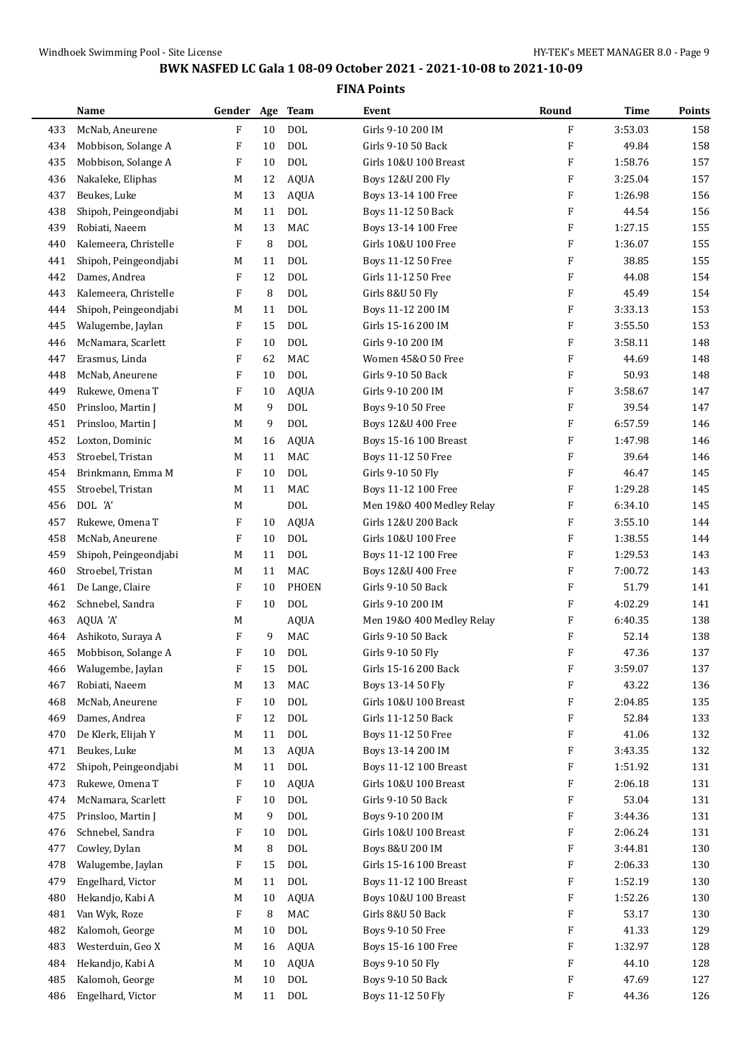|     | Name                  | Gender Age Team |    |              | Event                        | Round                     | <b>Time</b> | Points |
|-----|-----------------------|-----------------|----|--------------|------------------------------|---------------------------|-------------|--------|
| 433 | McNab, Aneurene       | F               | 10 | <b>DOL</b>   | Girls 9-10 200 IM            | $\rm F$                   | 3:53.03     | 158    |
| 434 | Mobbison, Solange A   | F               | 10 | <b>DOL</b>   | Girls 9-10 50 Back           | $\boldsymbol{\mathrm{F}}$ | 49.84       | 158    |
| 435 | Mobbison, Solange A   | F               | 10 | <b>DOL</b>   | Girls 10&U 100 Breast        | F                         | 1:58.76     | 157    |
| 436 | Nakaleke, Eliphas     | M               | 12 | <b>AQUA</b>  | Boys 12&U 200 Fly            | F                         | 3:25.04     | 157    |
| 437 | Beukes, Luke          | M               | 13 | <b>AQUA</b>  | Boys 13-14 100 Free          | $\boldsymbol{\mathrm{F}}$ | 1:26.98     | 156    |
| 438 | Shipoh, Peingeondjabi | M               | 11 | <b>DOL</b>   | Boys 11-12 50 Back           | $\boldsymbol{\mathrm{F}}$ | 44.54       | 156    |
| 439 | Robiati, Naeem        | M               | 13 | <b>MAC</b>   | Boys 13-14 100 Free          | F                         | 1:27.15     | 155    |
| 440 | Kalemeera, Christelle | F               | 8  | <b>DOL</b>   | Girls 10&U 100 Free          | $\boldsymbol{\mathrm{F}}$ | 1:36.07     | 155    |
| 441 | Shipoh, Peingeondjabi | M               | 11 | <b>DOL</b>   | Boys 11-12 50 Free           | F                         | 38.85       | 155    |
| 442 | Dames, Andrea         | F               | 12 | <b>DOL</b>   | Girls 11-12 50 Free          | F                         | 44.08       | 154    |
| 443 | Kalemeera, Christelle | F               | 8  | <b>DOL</b>   | Girls 8&U 50 Fly             | $\boldsymbol{\mathrm{F}}$ | 45.49       | 154    |
| 444 | Shipoh, Peingeondjabi | M               | 11 | <b>DOL</b>   | Boys 11-12 200 IM            | $\boldsymbol{\mathrm{F}}$ | 3:33.13     | 153    |
| 445 | Walugembe, Jaylan     | F               | 15 | <b>DOL</b>   | Girls 15-16 200 IM           | $\boldsymbol{\mathrm{F}}$ | 3:55.50     | 153    |
| 446 | McNamara, Scarlett    | F               | 10 | <b>DOL</b>   | Girls 9-10 200 IM            | $\boldsymbol{\mathrm{F}}$ | 3:58.11     | 148    |
| 447 | Erasmus, Linda        | F               | 62 | <b>MAC</b>   | Women 45&0 50 Free           | F                         | 44.69       | 148    |
| 448 | McNab, Aneurene       | F               | 10 | <b>DOL</b>   | Girls 9-10 50 Back           | $\boldsymbol{\mathrm{F}}$ | 50.93       | 148    |
| 449 | Rukewe, Omena T       | F               | 10 | <b>AQUA</b>  | Girls 9-10 200 IM            | $\boldsymbol{\mathrm{F}}$ | 3:58.67     | 147    |
| 450 | Prinsloo, Martin J    | M               | 9  | <b>DOL</b>   | Boys 9-10 50 Free            | $\boldsymbol{\mathrm{F}}$ | 39.54       | 147    |
| 451 | Prinsloo, Martin J    | M               | 9  | <b>DOL</b>   | Boys 12&U 400 Free           | $\boldsymbol{\mathrm{F}}$ | 6:57.59     | 146    |
| 452 | Loxton, Dominic       | M               | 16 | <b>AQUA</b>  | Boys 15-16 100 Breast        | F                         | 1:47.98     | 146    |
| 453 | Stroebel, Tristan     | M               | 11 | MAC          | Boys 11-12 50 Free           | F                         | 39.64       | 146    |
| 454 | Brinkmann, Emma M     | F               | 10 | <b>DOL</b>   | Girls 9-10 50 Fly            | F                         | 46.47       | 145    |
| 455 | Stroebel, Tristan     | M               | 11 | <b>MAC</b>   | Boys 11-12 100 Free          | $\boldsymbol{\mathrm{F}}$ | 1:29.28     | 145    |
| 456 | DOL 'A'               | M               |    | <b>DOL</b>   | Men 19&0 400 Medley Relay    | F                         | 6:34.10     | 145    |
| 457 | Rukewe, Omena T       | F               | 10 | <b>AQUA</b>  | Girls 12&U 200 Back          | F                         | 3:55.10     | 144    |
| 458 | McNab, Aneurene       | F               | 10 | <b>DOL</b>   | Girls 10&U 100 Free          | $\boldsymbol{\mathrm{F}}$ | 1:38.55     | 144    |
| 459 | Shipoh, Peingeondjabi | M               | 11 | <b>DOL</b>   | Boys 11-12 100 Free          | F                         | 1:29.53     | 143    |
| 460 | Stroebel, Tristan     | M               | 11 | <b>MAC</b>   | Boys 12&U 400 Free           | F                         | 7:00.72     | 143    |
| 461 | De Lange, Claire      | F               | 10 | <b>PHOEN</b> | Girls 9-10 50 Back           | $\boldsymbol{\mathrm{F}}$ | 51.79       | 141    |
| 462 | Schnebel, Sandra      | F               | 10 | <b>DOL</b>   | Girls 9-10 200 IM            | F                         | 4:02.29     | 141    |
| 463 | AQUA 'A'              | M               |    | <b>AQUA</b>  | Men 19&0 400 Medley Relay    | F                         | 6:40.35     | 138    |
| 464 | Ashikoto, Suraya A    | F               | 9  | <b>MAC</b>   | Girls 9-10 50 Back           | F                         | 52.14       | 138    |
| 465 | Mobbison, Solange A   | F               | 10 | <b>DOL</b>   | Girls 9-10 50 Fly            | $\boldsymbol{\mathrm{F}}$ | 47.36       | 137    |
| 466 | Walugembe, Jaylan     | F               | 15 | $\rm DOL$    | Girls 15-16 200 Back         | F                         | 3:59.07     | 137    |
| 467 | Robiati, Naeem        | M               | 13 | MAC          | Boys 13-14 50 Fly            | $\boldsymbol{\mathrm{F}}$ | 43.22       | 136    |
| 468 | McNab, Aneurene       | F               | 10 | <b>DOL</b>   | Girls 10&U 100 Breast        | F                         | 2:04.85     | 135    |
| 469 | Dames, Andrea         | F               | 12 | <b>DOL</b>   | Girls 11-12 50 Back          | F                         | 52.84       | 133    |
| 470 | De Klerk, Elijah Y    | M               | 11 | $\text{DOL}$ | Boys 11-12 50 Free           | F                         | 41.06       | 132    |
| 471 | Beukes, Luke          | M               | 13 | AQUA         | Boys 13-14 200 IM            | F                         | 3:43.35     | 132    |
| 472 | Shipoh, Peingeondjabi | M               | 11 | <b>DOL</b>   | <b>Boys 11-12 100 Breast</b> | F                         | 1:51.92     | 131    |
| 473 | Rukewe, Omena T       | F               | 10 | AQUA         | Girls 10&U 100 Breast        | F                         | 2:06.18     | 131    |
| 474 | McNamara, Scarlett    | F               | 10 | <b>DOL</b>   | Girls 9-10 50 Back           | F                         | 53.04       | 131    |
| 475 | Prinsloo, Martin J    | M               | 9  | $\text{DOL}$ | Boys 9-10 200 IM             | F                         | 3:44.36     | 131    |
| 476 | Schnebel, Sandra      | F               | 10 | $\text{DOL}$ | Girls 10&U 100 Breast        | F                         | 2:06.24     | 131    |
| 477 | Cowley, Dylan         | M               | 8  | $\text{DOL}$ | Boys 8&U 200 IM              | F                         | 3:44.81     | 130    |
| 478 | Walugembe, Jaylan     | F               | 15 | $\text{DOL}$ | Girls 15-16 100 Breast       | F                         | 2:06.33     | 130    |
| 479 | Engelhard, Victor     | M               | 11 | $\text{DOL}$ | <b>Boys 11-12 100 Breast</b> | F                         | 1:52.19     | 130    |
| 480 | Hekandjo, Kabi A      | M               | 10 | <b>AQUA</b>  | Boys 10&U 100 Breast         | F                         | 1:52.26     | 130    |
| 481 | Van Wyk, Roze         | F               | 8  | MAC          | Girls 8&U 50 Back            | F                         | 53.17       | 130    |
| 482 | Kalomoh, George       | M               | 10 | $\text{DOL}$ | Boys 9-10 50 Free            | F                         | 41.33       | 129    |
| 483 | Westerduin, Geo X     | M               | 16 | AQUA         | Boys 15-16 100 Free          | F                         | 1:32.97     | 128    |
| 484 | Hekandjo, Kabi A      | M               | 10 | <b>AQUA</b>  | Boys 9-10 50 Fly             | F                         | 44.10       | 128    |
| 485 | Kalomoh, George       | M               | 10 | $\rm DOL$    | Boys 9-10 50 Back            | $\boldsymbol{\mathrm{F}}$ | 47.69       | 127    |
| 486 | Engelhard, Victor     | M               | 11 | <b>DOL</b>   | Boys 11-12 50 Fly            | $\boldsymbol{\mathrm{F}}$ | 44.36       | 126    |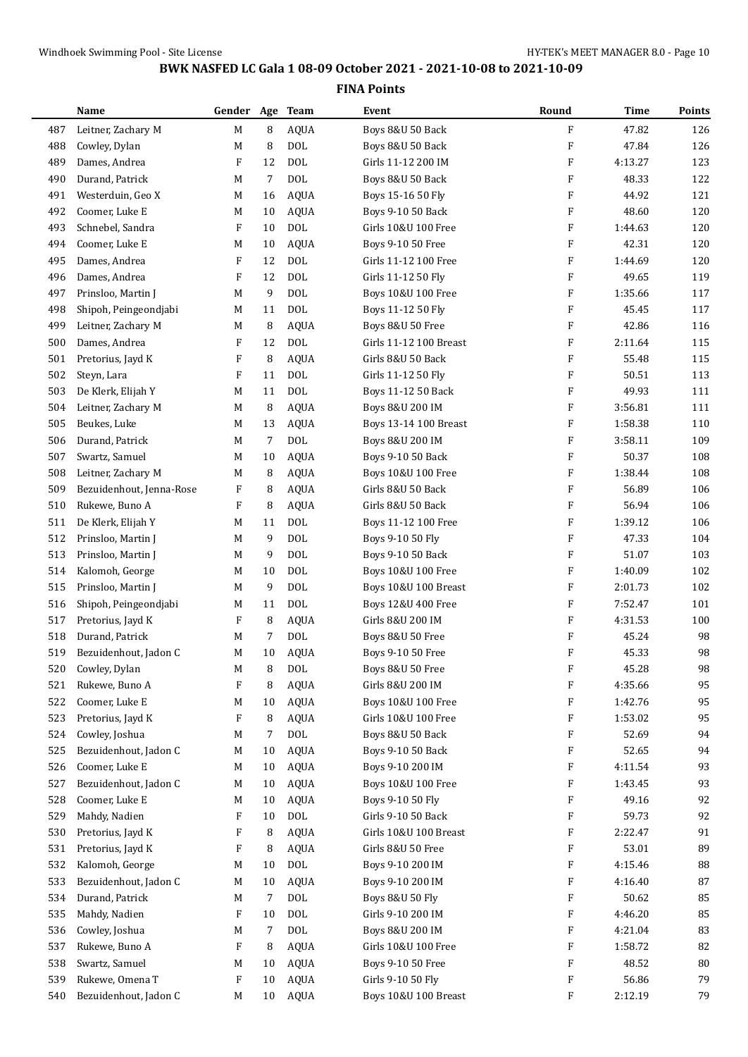|     | Name                     | Gender Age Team |            |             | Event                                | Round                     | Time    | Points     |
|-----|--------------------------|-----------------|------------|-------------|--------------------------------------|---------------------------|---------|------------|
| 487 | Leitner, Zachary M       | M               | 8          | <b>AQUA</b> | Boys 8&U 50 Back                     | F                         | 47.82   | 126        |
| 488 | Cowley, Dylan            | M               | 8          | <b>DOL</b>  | Boys 8&U 50 Back                     | $\boldsymbol{\mathrm{F}}$ | 47.84   | 126        |
| 489 | Dames, Andrea            | F               | 12         | <b>DOL</b>  | Girls 11-12 200 IM                   | $\boldsymbol{\mathrm{F}}$ | 4:13.27 | 123        |
| 490 | Durand, Patrick          | M               | 7          | <b>DOL</b>  | Boys 8&U 50 Back                     | F                         | 48.33   | 122        |
| 491 | Westerduin, Geo X        | M               | 16         | AQUA        | Boys 15-16 50 Fly                    | F                         | 44.92   | 121        |
| 492 | Coomer, Luke E           | M               | 10         | AQUA        | Boys 9-10 50 Back                    | $\boldsymbol{\mathrm{F}}$ | 48.60   | 120        |
| 493 | Schnebel, Sandra         | F               | 10         | <b>DOL</b>  | Girls 10&U 100 Free                  | F                         | 1:44.63 | 120        |
| 494 | Coomer, Luke E           | M               | 10         | <b>AQUA</b> | Boys 9-10 50 Free                    | F                         | 42.31   | 120        |
| 495 | Dames, Andrea            | F               | 12         | <b>DOL</b>  | Girls 11-12 100 Free                 | $\boldsymbol{\mathrm{F}}$ | 1:44.69 | 120        |
| 496 | Dames, Andrea            | F               | 12         | <b>DOL</b>  | Girls 11-12 50 Fly                   | F                         | 49.65   | 119        |
| 497 | Prinsloo, Martin J       | M               | 9          | <b>DOL</b>  | Boys 10&U 100 Free                   | F                         | 1:35.66 | 117        |
| 498 | Shipoh, Peingeondjabi    | M               | 11         | <b>DOL</b>  | Boys 11-12 50 Fly                    | $\boldsymbol{\mathrm{F}}$ | 45.45   | 117        |
| 499 | Leitner, Zachary M       | M               | 8          | <b>AQUA</b> | Boys 8&U 50 Free                     | $\boldsymbol{\mathrm{F}}$ | 42.86   | 116        |
| 500 | Dames, Andrea            | F               | 12         | <b>DOL</b>  | Girls 11-12 100 Breast               | F                         | 2:11.64 | 115        |
| 501 | Pretorius, Jayd K        | F               | 8          | <b>AQUA</b> | Girls 8&U 50 Back                    | $\boldsymbol{\mathrm{F}}$ | 55.48   | 115        |
| 502 | Steyn, Lara              | F               | 11         | <b>DOL</b>  | Girls 11-12 50 Fly                   | F                         | 50.51   | 113        |
| 503 | De Klerk, Elijah Y       | M               | 11         | <b>DOL</b>  | Boys 11-12 50 Back                   | $\boldsymbol{\mathrm{F}}$ | 49.93   | 111        |
| 504 | Leitner, Zachary M       | M               | 8          | <b>AQUA</b> | Boys 8&U 200 IM                      | $\boldsymbol{\mathrm{F}}$ | 3:56.81 | 111        |
| 505 | Beukes, Luke             | M               | 13         | <b>AQUA</b> | Boys 13-14 100 Breast                | F                         | 1:58.38 | 110        |
| 506 | Durand, Patrick          | M               | $\sqrt{7}$ | <b>DOL</b>  | Boys 8&U 200 IM                      | F                         | 3:58.11 | 109        |
| 507 | Swartz, Samuel           | M               | 10         | <b>AQUA</b> | Boys 9-10 50 Back                    | $\boldsymbol{\mathrm{F}}$ | 50.37   | 108        |
| 508 | Leitner, Zachary M       | M               | 8          | <b>AQUA</b> | Boys 10&U 100 Free                   | F                         | 1:38.44 | 108        |
| 509 | Bezuidenhout, Jenna-Rose | F               | 8          | <b>AQUA</b> | Girls 8&U 50 Back                    | $\boldsymbol{\mathrm{F}}$ | 56.89   | 106        |
| 510 | Rukewe, Buno A           | F               | 8          | <b>AQUA</b> | Girls 8&U 50 Back                    | $\boldsymbol{\mathrm{F}}$ | 56.94   | 106        |
| 511 | De Klerk, Elijah Y       | M               | 11         | <b>DOL</b>  | Boys 11-12 100 Free                  | F                         | 1:39.12 | 106        |
| 512 | Prinsloo, Martin J       | M               | 9          | <b>DOL</b>  | Boys 9-10 50 Fly                     | F                         | 47.33   | 104        |
| 513 | Prinsloo, Martin J       | M               | 9          | <b>DOL</b>  | Boys 9-10 50 Back                    | $\boldsymbol{\mathrm{F}}$ | 51.07   | 103        |
| 514 | Kalomoh, George          | M               | 10         | <b>DOL</b>  | Boys 10&U 100 Free                   | F                         | 1:40.09 | 102        |
| 515 | Prinsloo, Martin J       | M               | 9          | <b>DOL</b>  | Boys 10&U 100 Breast                 | F                         | 2:01.73 | 102        |
| 516 | Shipoh, Peingeondjabi    | M               | 11         | <b>DOL</b>  | Boys 12&U 400 Free                   | $\boldsymbol{\mathrm{F}}$ | 7:52.47 | 101        |
| 517 | Pretorius, Jayd K        | F               | 8          | <b>AQUA</b> | Girls 8&U 200 IM                     | F                         | 4:31.53 | 100        |
| 518 | Durand, Patrick          | M               | 7          | <b>DOL</b>  | Boys 8&U 50 Free                     | F                         | 45.24   | 98         |
| 519 | Bezuidenhout, Jadon C    | M               | 10         | <b>AQUA</b> | Boys 9-10 50 Free                    | F                         | 45.33   | 98         |
| 520 | Cowley, Dylan            | M               | 8          | <b>DOL</b>  | Boys 8&U 50 Free                     | F                         | 45.28   | 98         |
| 521 | Rukewe, Buno A           | F               | 8          | <b>AQUA</b> | Girls 8&U 200 IM                     | F                         | 4:35.66 | 95         |
| 522 | Coomer, Luke E           | M               | 10         | AQUA        | Boys 10&U 100 Free                   | F                         | 1:42.76 | 95         |
| 523 | Pretorius, Jayd K        | F               | 8          | <b>AQUA</b> | Girls 10&U 100 Free                  | F                         | 1:53.02 | 95         |
| 524 | Cowley, Joshua           | M               | 7          | <b>DOL</b>  | Boys 8&U 50 Back                     | F                         | 52.69   | 94         |
| 525 | Bezuidenhout, Jadon C    | M               | 10         | <b>AQUA</b> | Boys 9-10 50 Back                    | F                         | 52.65   | 94         |
| 526 | Coomer, Luke E           | M               | 10         | <b>AQUA</b> | Boys 9-10 200 IM                     | F                         | 4:11.54 | 93         |
| 527 | Bezuidenhout, Jadon C    | M               | 10         | <b>AQUA</b> | Boys 10&U 100 Free                   | F                         | 1:43.45 | 93         |
| 528 | Coomer, Luke E           | M               | 10         | <b>AQUA</b> | Boys 9-10 50 Fly                     | F                         | 49.16   | 92         |
| 529 | Mahdy, Nadien            | F               | 10         | <b>DOL</b>  | Girls 9-10 50 Back                   | F                         | 59.73   | 92         |
| 530 | Pretorius, Jayd K        | F               | 8          | <b>AQUA</b> | Girls 10&U 100 Breast                | F                         | 2:22.47 | 91         |
| 531 | Pretorius, Jayd K        | F               | 8          | <b>AQUA</b> | Girls 8&U 50 Free                    | F                         | 53.01   | 89         |
| 532 | Kalomoh, George          | M               | 10         | <b>DOL</b>  | Boys 9-10 200 IM                     | F                         | 4:15.46 | 88         |
| 533 | Bezuidenhout, Jadon C    | M               | 10         | AQUA        | Boys 9-10 200 IM                     | F                         | 4:16.40 | 87         |
| 534 | Durand, Patrick          |                 |            | $\rm DOL$   |                                      | F                         | 50.62   | 85         |
| 535 | Mahdy, Nadien            | M<br>F          | 7<br>10    | <b>DOL</b>  | Boys 8&U 50 Fly<br>Girls 9-10 200 IM | F                         | 4:46.20 | 85         |
| 536 | Cowley, Joshua           | M               | 7          | <b>DOL</b>  | Boys 8&U 200 IM                      | F                         | 4:21.04 | 83         |
| 537 | Rukewe, Buno A           | F               | 8          | <b>AQUA</b> | Girls 10&U 100 Free                  | F                         | 1:58.72 | 82         |
| 538 | Swartz, Samuel           |                 | 10         | AQUA        | Boys 9-10 50 Free                    | F                         | 48.52   | ${\bf 80}$ |
| 539 | Rukewe, Omena T          | M<br>F          | 10         | <b>AQUA</b> | Girls 9-10 50 Fly                    | F                         | 56.86   | 79         |
| 540 | Bezuidenhout, Jadon C    |                 |            |             |                                      | F                         | 2:12.19 | 79         |
|     |                          | M               | 10         | AQUA        | Boys 10&U 100 Breast                 |                           |         |            |